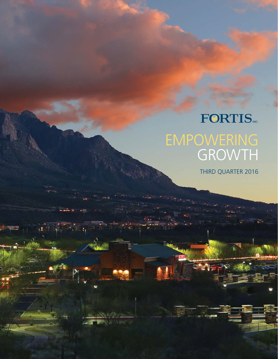# **FORTIS** EMPOWERING GROWTH

 $\mathbb{R}^{\mathbb{N}_{\mathbb{N}_{\mathbb{N}_{\mathbb{N}}}}}$  , and

THIRD QUARTER 2016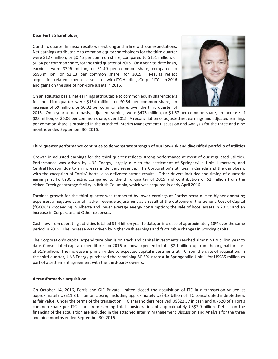#### **Dear Fortis Shareholder,**

Ourthird quarterfinancial results were strong and in line with our expectations. Net earnings attributable to common equity shareholders for the third quarter were \$127 million, or \$0.45 per common share, compared to \$151 million, or \$0.54 per common share, for the third quarter of 2015. On a year-to-date basis, earnings were \$396 million, or \$1.40 per common share, compared to \$593 million, or \$2.13 per common share, for 2015. Results reflect acquisition-related expenses associated with ITC Holdings Corp. ("ITC") in 2016 and gains on the sale of non-core assets in 2015.

On an adjusted basis, net earnings attributable to common equity shareholders for the third quarter were \$154 million, or \$0.54 per common share, an increase of \$9 million, or \$0.02 per common share, over the third quarter of



2015. On a year-to-date basis, adjusted earnings were \$475 million, or \$1.67 per common share, an increase of \$28 million, or \$0.06 per common share, over 2015. A reconciliation of adjusted net earnings and adjusted earnings per common share is provided in the attached Interim Management Discussion and Analysis for the three and nine months ended September 30, 2016.

#### Third quarter performance continues to demonstrate strength of our low-risk and diversified portfolio of utilities

Growth in adjusted earnings for the third quarter reflects strong performance at most of our regulated utilities. Performance was driven by UNS Energy, largely due to the settlement of Springerville Unit 1 matters, and Central Hudson, due to an increase in delivery revenue. The Corporation's utilities in Canada and the Caribbean, with the exception of FortisAlberta, also delivered strong results. Other drivers included the timing of quarterly earnings at FortisBC Electric compared to the third quarter of 2015 and contribution of \$2 million from the Aitken Creek gas storage facility in British Columbia, which was acquired in early April 2016.

Earnings growth for the third quarter was tempered by lower earnings at FortisAlberta due to higher operating expenses, a negative capital tracker revenue adjustment as a result of the outcome of the Generic Cost of Capital ("GCOC") Proceeding in Alberta and lower average energy consumption; the sale of hotel assets in 2015; and an increase in Corporate and Other expenses.

Cash flow from operating activitiestotalled \$1.4 billion year to date, an increase of approximately 10% over the same period in 2015. The increase was driven by higher cash earnings and favourable changes in working capital.

The Corporation's capital expenditure plan is on track and capital investments reached almost \$1.4 billion year to date. Consolidated capital expenditures for 2016 are now expected to total \$2.1 billion, up from the original forecast of \$1.9 billion. The increase is primarily due to expected capital investments at ITC from the date of acquisition. In the third quarter, UNS Energy purchased the remaining 50.5% interest in Springerville Unit 1 for US\$85 million as part of a settlement agreement with the third-party owners.

#### **A transformative acquisition**

On October 14, 2016, Fortis and GIC Private Limited closed the acquisition of ITC in a transaction valued at approximately US\$11.8 billion on closing, including approximately US\$4.8 billion of ITC consolidated indebtedness at fair value. Under the terms of the transaction, ITC shareholders received US\$22.57 in cash and 0.7520 of a Fortis common share per ITC share, representing total consideration of approximately US\$7.0 billion. Details on the financing of the acquisition are included in the attached Interim Management Discussion and Analysis for the three and nine months ended September 30, 2016.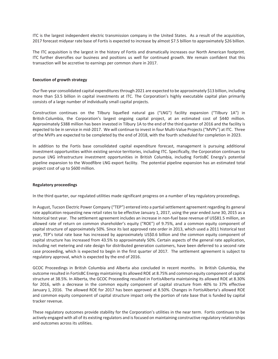ITC is the largest independent electric transmission company in the United States. As a result of the acquisition, 2017 forecast midyear rate base of Fortis is expected to increase by almost \$7.5 billion to approximately \$26 billion.

The ITC acquisition is the largest in the history of Fortis and dramatically increases our North American footprint. ITC further diversifies our business and positions us well for continued growth. We remain confident that this transaction will be accretive to earnings per common share in 2017.

## **Execution of growth strategy**

Our five-year consolidated capital expenditures through 2021 are expected to be approximately \$13 billion, including more than \$3.5 billion in capital investments at ITC. The Corporation's highly executable capital plan primarily consists of a large number of individually small capital projects.

Construction continues on the Tilbury liquefied natural gas ("LNG") facility expansion ("Tilbury 1A") in British Columbia, the Corporation's largest ongoing capital project, at an estimated cost of \$440 million. Approximately \$388 million has been invested in Tilbury 1A to the end of the third quarter of 2016 and the facility is expected to be in service in mid-2017. We will continue to invest in four Multi-Value Projects ("MVPs") at ITC. Three of the MVPs are expected to be completed by the end of 2018, with the fourth scheduled for completion in 2023.

In addition to the Fortis base consolidated capital expenditure forecast, management is pursuing additional investment opportunities within existing service territories, including ITC. Specifically, the Corporation continues to pursue LNG infrastructure investment opportunities in British Columbia, including FortisBC Energy's potential pipeline expansion to the Woodfibre LNG export facility. The potential pipeline expansion has an estimated total project cost of up to \$600 million.

#### **Regulatory proceedings**

In the third quarter, our regulated utilities made significant progress on a number of key regulatory proceedings.

In August, Tucson Electric Power Company ("TEP") entered into a partial settlement agreement regarding its general rate application requesting new retail rates to be effective January 1, 2017, using the year ended June 30, 2015 as a historical test year. The settlement agreement includes an increase in non-fuel base revenue of US\$81.5 million, an allowed rate of return on common shareholder's equity ("ROE") of 9.75%, and a common equity component of capital structure of approximately 50%. Since its last approved rate order in 2013, which used a 2011 historical test year, TEP's total rate base has increased by approximately US\$0.6 billion and the common equity component of capital structure has increased from 43.5% to approximately 50%. Certain aspects of the general rate application, including net metering and rate design for distributed generation customers, have been deferred to a second rate case proceeding, which is expected to begin in the first quarter of 2017. The settlement agreement is subject to regulatory approval, which is expected by the end of 2016.

GCOC Proceedings in British Columbia and Alberta also concluded in recent months. In British Columbia, the outcome resulted in FortisBC Energy maintaining its allowed ROE at 8.75% and common equity component of capital structure at 38.5%. In Alberta, the GCOC Proceeding resulted in FortisAlberta maintaining its allowed ROE at 8.30% for 2016, with a decrease in the common equity component of capital structure from 40% to 37% effective January 1, 2016. The allowed ROE for 2017 has been approved at 8.50%. Changes in FortisAlberta's allowed ROE and common equity component of capital structure impact only the portion of rate base that is funded by capital tracker revenue.

These regulatory outcomes provide stability for the Corporation's utilities in the near term. Fortis continues to be actively engaged with all of its existing regulators and isfocused on maintaining constructive regulatory relationships and outcomes across its utilities.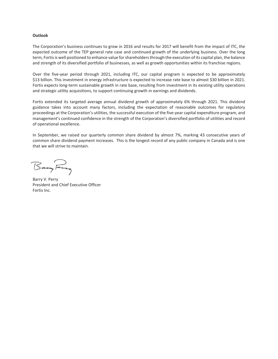#### **Outlook**

The Corporation's business continues to grow in 2016 and results for 2017 will benefit from the impact of ITC, the expected outcome of the TEP general rate case and continued growth of the underlying business. Over the long term, Fortisis well positioned to enhance value forshareholdersthrough the execution of its capital plan, the balance and strength of its diversified portfolio of businesses, as well as growth opportunities within its franchise regions.

Over the five-year period through 2021, including ITC, our capital program is expected to be approximately \$13 billion. This investment in energy infrastructure is expected to increase rate base to almost \$30 billion in 2021. Fortis expects long-term sustainable growth in rate base, resulting from investment in its existing utility operations and strategic utility acquisitions, to support continuing growth in earnings and dividends.

Fortis extended its targeted average annual dividend growth of approximately 6% through 2021. This dividend guidance takes into account many factors, including the expectation of reasonable outcomes for regulatory proceedings at the Corporation's utilities, the successful execution of the five-year capital expenditure program, and management's continued confidence in the strength of the Corporation's diversified portfolio of utilities and record of operational excellence.

In September, we raised our quarterly common share dividend by almost 7%, marking 43 consecutive years of common share dividend payment increases. This is the longest record of any public company in Canada and is one that we will strive to maintain.

BanyFary

Barry V. Perry President and Chief Executive Officer Fortis Inc.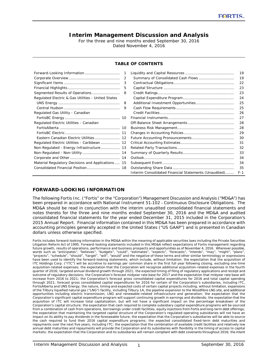# **Interim Management Discussion and Analysis**

For the three and nine months ended September 30, 2016 Dated November 4, 2016

#### **TABLE OF CONTENTS**

|                                                    | 1 |                                                       | 19    |
|----------------------------------------------------|---|-------------------------------------------------------|-------|
|                                                    | 2 | Summary of Consolidated Cash Flows                    | 19    |
|                                                    | 3 |                                                       | 22    |
|                                                    | 5 |                                                       | 23    |
|                                                    | 8 |                                                       | 23    |
| Regulated Electric & Gas Utilities - United States |   |                                                       | 24    |
|                                                    | 8 |                                                       | 25    |
|                                                    | 9 |                                                       | 25    |
| Regulated Gas Utility - Canadian                   |   |                                                       | 26    |
|                                                    |   |                                                       | 27    |
| Regulated Electric Utilities - Canadian            |   |                                                       | 28    |
|                                                    |   |                                                       | 28    |
|                                                    |   |                                                       | 29    |
| Eastern Canadian Electric Utilities  12            |   |                                                       | 30    |
| Regulated Electric Utilities - Caribbean 12        |   |                                                       | 31    |
| Non-Regulated - Energy Infrastructure 13           |   |                                                       | 32    |
|                                                    |   |                                                       | 33    |
|                                                    |   |                                                       | 34    |
| Material Regulatory Decisions and Applications 15  |   |                                                       | 34    |
|                                                    |   |                                                       | 35    |
|                                                    |   | Interim Consolidated Financial Statements (Unaudited) | $F-1$ |

## **FORWARD-LOOKING INFORMATION**

The following Fortis Inc. ("Fortis" or the "Corporation") Management Discussion and Analysis ("MD&A") has been prepared in accordance with National Instrument 51-102 - *Continuous Disclosure Obligations*. The MD&A should be read in conjunction with the interim unaudited consolidated financial statements and notes thereto for the three and nine months ended September 30, 2016 and the MD&A and audited consolidated financial statements for the year ended December 31, 2015 included in the Corporation's 2015 Annual Report. Financial information contained in this MD&A has been prepared in accordance with accounting principles generally accepted in the United States ("US GAAP") and is presented in Canadian dollars unless otherwise specified.

Fortis includes forward-looking information in the MD&A within the meaning of applicable securities laws including the Private Securities *Litigation Reform Act of 1995. Forward-looking statements included in this MD&A reflect expectations of Fortis management regarding future growth, results of operations, performance and business prospects and opportunities as of November 4, 2016. Wherever possible, words such as "anticipates", "believes", "budgets", "could", "estimates", "expects", "forecasts", "intends", "may", "might", "plans", "projects", "schedule", "should", "target", "will", "would" and the negative of these terms and other similar terminology or expressions have been used to identify the forward-looking statements, which include, without limitation: the expectation that the acquisition of ITC Holdings Corp. ("ITC") will be accretive to earnings per common share in the first full year following closing, excluding one-time acquisition-related expenses; the expectation that the Corporation will recognize additional acquisition-related expenses in the fourth quarter of 2016; targeted annual dividend growth through 2021; the expected timing of filing of regulatory applications and receipt and outcome of regulatory decisions; the Corporation's forecast midyear rate base for 2017 and the expectation that midyear rate base will increase from 2016 to 2021; the Corporation's forecast gross consolidated capital expenditures for 2016 and total capital spending through 2021; forecast gross consolidated capital expenditures for 2016 for certain of the Corporation's subsidiaries, including ITC, FortisAlberta and UNS Energy; the nature, timing and expected costs of certain capital projects including, without limitation, expansions of the Tilbury liquefied natural gas ("LNG") facility, including Tilbury 1A, the pipeline expansion to the Woodfibre LNG site, and additional opportunities including electric transmission, LNG and renewable-related infrastructure and generation; the expectation that the Corporation's significant capital expenditure program will support continuing growth in earnings and dividends; the expectation that the*  acquisition of ITC will increase total capitalization, but will not have a significant impact on the percentage breakdown of the *Corporation's capital structure; the expectation that cash required to complete subsidiary capital expenditure programs will be sourced from a combination of cash from operations, borrowings under credit facilities, equity injections from Fortis and long-term debt offerings; the expectation that maintaining the targeted capital structure of the Corporation's regulated operating subsidiaries will not have an impact on its ability to pay dividends in the foreseeable future; the expectation that the Corporation's subsidiaries will be able to source the cash required to fund their 2016 capital expenditure programs; the expected consolidated fixed-term debt maturities and repayments over the next five years, including ITC; the expectation that the combination of available credit facilities and relatively low annual debt maturities and repayments will provide the Corporation and its subsidiaries with flexibility in the timing of access to capital markets; the expectation that the Corporation and its subsidiaries will remain compliant with debt covenants throughout 2016; the intent*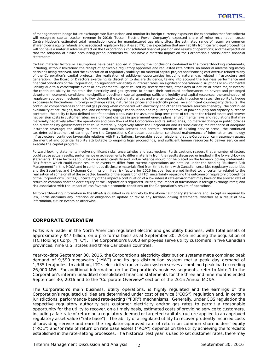*of management to hedge future exchange rate fluctuations and monitor its foreign currency exposure; the expectation that FortisAlberta will recognize capital tracker revenue in 2016; Tucson Electric Power Company's expected share of mine reclamation costs; Central Hudson's estimated total remediation costs for manufactured gas plant sites; the estimated range of return on common shareholder's equity refunds and associated regulatory liabilities at ITC; the expectation that any liability from current legal proceedings will not have a material adverse effect on the Corporation's consolidated financial position and results of operations; and the expectation that the adoption of future accounting pronouncements will not have a material impact on the Corporation's consolidated financial statements.*

*Certain material factors or assumptions have been applied in drawing the conclusions contained in the forward-looking statements, including, without limitation: the receipt of applicable regulatory approvals and requested rate orders, no material adverse regulatory decisions being received, and the expectation of regulatory stability; no material capital project and financing cost overrun related to any of the Corporation's capital projects; the realization of additional opportunities including natural gas related infrastructure and generation; the Board of Directors exercising its discretion to declare dividends, taking into account the business performance and financial conditions of the Corporation; no significant variability in interest rates; no significant operational disruptions or environmental liability due to a catastrophic event or environmental upset caused by severe weather, other acts of nature or other major events; the continued ability to maintain the electricity and gas systems to ensure their continued performance; no severe and prolonged* downturn in economic conditions; no significant decline in capital spending; sufficient liquidity and capital resources; the continuation of *regulator-approved mechanisms to flow through the cost of natural gas and energy supply costs in customer rates; the ability to hedge exposures to fluctuations in foreign exchange rates, natural gas prices and electricity prices; no significant counterparty defaults; the continued competitiveness of natural gas pricing when compared with electricity and other alternative sources of energy; the continued availability of natural gas, fuel, coal and electricity supply; continuation and regulatory approval of power supply and capacity purchase contracts; the ability to fund defined benefit pension plans, earn the assumed long term rates of return on the related assets and recover net pension costs in customer rates; no significant changes in government energy plans, environmental laws and regulations that may materially negatively affect the operations and cash flows of the Corporation and its subsidiaries; no material change in public policies and directions by governments that could materially negatively affect the Corporation and its subsidiaries; maintenance of adequate insurance coverage; the ability to obtain and maintain licences and permits; retention of existing service areas; the continued tax-deferred treatment of earnings from the Corporation's Caribbean operations; continued maintenance of information technology infrastructure; continued favourable relations with First Nations; favourable labour relations; that the Corporation can reasonably assess the merit of and potential liability attributable to ongoing legal proceedings; and sufficient human resources to deliver service and execute the capital program.*

*Forward-looking statements involve significant risks, uncertainties and assumptions. Fortis cautions readers that a number of factors could cause actual results, performance or achievements to differ materially from the results discussed or implied in the forward-looking statements. These factors should be considered carefully and undue reliance should not be placed on the forward-looking statements. Risk factors which could cause results or events to differ from current expectations are detailed under the heading "Business Risk Management" in this MD&A and in continuous disclosure materials filed from time to time with Canadian securities regulatory authorities and the Securities and Exchange Commission. Key risk factors for 2016 include, but are not limited to: uncertainty related to the realization of some or all of the expected benefits of the acquisition of ITC; uncertainty regarding the outcome of regulatory proceedings of the Corporation's utilities; uncertainty of the impact a continuation of a low interest rate environment may have on the allowed rate of return on common shareholders' equity at the Corporation's regulated utilities; the impact of fluctuations in foreign exchange rates; and risk associated with the impact of less favorable economic conditions on the Corporation's results of operations.*

*All forward-looking information in the MD&A is qualified in its entirety by the above cautionary statements and, except as required by law, Fortis disclaims any intention or obligation to update or revise any forward-looking statements, whether as a result of new information, future events or otherwise.*

# **CORPORATE OVERVIEW**

Fortis is a leader in the North American regulated electric and gas utility business, with total assets of approximately \$47 billion, on a pro forma basis as at September 30, 2016 including the acquisition of ITC Holdings Corp. ("ITC"). The Corporation's 8,000 employees serve utility customers in five Canadian provinces, nine U.S. states and three Caribbean countries.

Year-to-date September 30, 2016, the Corporation's electricity distribution systems met a combined peak demand of 9,590 megawatts ("MW") and its gas distribution system met a peak day demand of 1,335 terajoules. In addition, ITC's electricity transmission system serves a combined peak load exceeding 26,000 MW. For additional information on the Corporation's business segments, refer to Note 1 to the Corporation's interim unaudited consolidated financial statements for the three and nine months ended September 30, 2016 and to the "Corporate Overview" section of the 2015 Annual MD&A.

The Corporation's main business, utility operations, is highly regulated and the earnings of the Corporation's regulated utilities are determined under cost of service ("COS") regulation and, in certain jurisdictions, performance-based rate-setting ("PBR") mechanisms. Generally, under COS regulation the respective regulatory authority sets customer electricity and/or gas rates to permit a reasonable opportunity for the utility to recover, on a timely basis, estimated costs of providing service to customers, including a fair rate of return on a regulatory deemed or targeted capital structure applied to an approved regulatory asset value ("rate base"). The ability of a regulated utility to recover prudently incurred costs of providing service and earn the regulator-approved rate of return on common shareholders' equity ("ROE") and/or rate of return on rate base assets ("ROA") depends on the utility achieving the forecasts established in the rate-setting processes. If a historical test year is used to set customer rates, there may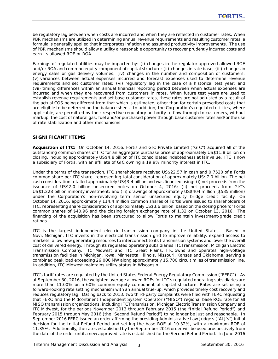be regulatory lag between when costs are incurred and when they are reflected in customer rates. When PBR mechanisms are utilized in determining annual revenue requirements and resulting customer rates, a formula is generally applied that incorporates inflation and assumed productivity improvements. The use of PBR mechanisms should allow a utility a reasonable opportunity to recover prudently incurred costs and earn its allowed ROE or ROA.

Earnings of regulated utilities may be impacted by: (i) changes in the regulator-approved allowed ROE and/or ROA and common equity component of capital structure; (ii) changes in rate base; (iii) changes in energy sales or gas delivery volumes; (iv) changes in the number and composition of customers; (v) variances between actual expenses incurred and forecast expenses used to determine revenue requirements and set customer rates; (vi) regulatory lag in the case of a historical test year; and (vii) timing differences within an annual financial reporting period between when actual expenses are incurred and when they are recovered from customers in rates. When future test years are used to establish revenue requirements and set base customer rates, these rates are not adjusted as a result of the actual COS being different from that which is estimated, other than for certain prescribed costs that are eligible to be deferred on the balance sheet. In addition, the Corporation's regulated utilities, where applicable, are permitted by their respective regulatory authority to flow through to customers, without markup, the cost of natural gas, fuel and/or purchased power through base customer rates and/or the use of rate stabilization and other mechanisms.

# **SIGNIFICANT ITEMS**

*Acquisition of ITC:* On October 14, 2016, Fortis and GIC Private Limited ("GIC") acquired all of the outstanding common shares of ITC for an aggregate purchase price of approximately US\$11.8 billion on closing, including approximately US\$4.8 billion of ITC consolidated indebtedness at fair value. ITC is now a subsidiary of Fortis, with an affiliate of GIC owning a 19.9% minority interest in ITC.

Under the terms of the transaction, ITC shareholders received US\$22.57 in cash and 0.7520 of a Fortis common share per ITC share, representing total consideration of approximately US\$7.0 billion. The net cash consideration totalled approximately US\$3.4 billion and was financed using: (i) net proceeds from the issuance of US\$2.0 billion unsecured notes on October 4, 2016; (ii) net proceeds from GIC's US\$1.228 billion minority investment; and (iii) drawings of approximately US\$404 million (\$535 million) under the Corporation's non-revolving term senior unsecured equity bridge credit facility. On October 14, 2016, approximately 114.4 million common shares of Fortis were issued to shareholders of ITC, representing share consideration of approximately US\$3.6 billion, based on the closing price for Fortis common shares of \$40.96 and the closing foreign exchange rate of 1.32 on October 13, 2016. The financing of the acquisition has been structured to allow Fortis to maintain investment-grade credit ratings.

ITC is the largest independent electric transmission company in the United States. Based in Novi, Michigan, ITC invests in the electrical transmission grid to improve reliability, expand access to markets, allow new generating resources to interconnect to its transmission systems and lower the overall cost of delivered energy. Through its regulated operating subsidiaries ITC*Transmission*, Michigan Electric Transmission Company, ITC Midwest and ITC Great Plains, ITC owns and operates high-voltage transmission facilities in Michigan, Iowa, Minnesota, Illinois, Missouri, Kansas and Oklahoma, serving a combined peak load exceeding 26,000 MW along approximately 15,700 circuit miles of transmission line. In addition, ITC Midwest maintains utility status in Wisconsin.

ITC's tariff rates are regulated by the United States Federal Energy Regulatory Commission ("FERC"). As at September 30, 2016, the weighted average allowed ROEs for ITC's regulated operating subsidiaries are more than 11.00% on a 60% common equity component of capital structure. Rates are set using a forward-looking rate-setting mechanism with an annual true-up, which provides timely cost recovery and reduces regulatory lag. Dating back to 2013, two third-party complaints were filed with FERC requesting that FERC find the Midcontinent Independent System Operator ("MISO") regional base ROE rate for all MISO transmission organizations, including ITC*Transmission*, Michigan Electric Transmission Company and ITC Midwest, for the periods November 2013 through February 2015 (the "Initial Refund Period") and February 2015 through May 2016 (the "Second Refund Period") to no longer be just and reasonable. In September 2016 FERC issued an order affirming the presiding Administrative Law Judge's ("ALJ's") initial decision for the Initial Refund Period and setting the base ROE at 10.32%, with a maximum ROE of 11.35%. Additionally, the rates established by the September 2016 order will be used prospectively from the date of the order until a new approved rate is established for the Second Refund Period. In June 2016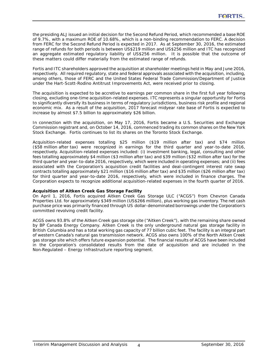the presiding ALJ issued an initial decision for the Second Refund Period, which recommended a base ROE of 9.7%, with a maximum ROE of 10.68%, which is a non-binding recommendation to FERC. A decision from FERC for the Second Refund Period is expected in 2017. As at September 30, 2016, the estimated range of refunds for both periods is between US\$219 million and US\$256 million and ITC has recognized an aggregate estimated regulatory liability of US\$256 million. It is possible that the outcome of these matters could differ materially from the estimated range of refunds.

Fortis and ITC shareholders approved the acquisition at shareholder meetings held in May and June 2016, respectively. All required regulatory, state and federal approvals associated with the acquisition, including, among others, those of FERC and the United States Federal Trade Commission/Department of Justice under the *Hart-Scott-Rodino Antitrust Improvements Act,* were received prior to closing.

The acquisition is expected to be accretive to earnings per common share in the first full year following closing, excluding one-time acquisition-related expenses. ITC represents a singular opportunity for Fortis to significantly diversify its business in terms of regulatory jurisdictions, business risk profile and regional economic mix. As a result of the acquisition, 2017 forecast midyear rate base of Fortis is expected to increase by almost \$7.5 billion to approximately \$26 billion.

In connection with the acquisition, on May 17, 2016, Fortis became a U.S. Securities and Exchange Commission registrant and, on October 14, 2016, commenced trading its common shares on the New York Stock Exchange. Fortis continues to list its shares on the Toronto Stock Exchange.

Acquisition-related expenses totalling \$25 million (\$19 million after tax) and \$74 million (\$58 million after tax) were recognized in earnings for the third quarter and year-to-date 2016, respectively. Acquisition-related expenses included: (i) investment banking, legal, consulting and other fees totalling approximately \$4 million (\$3 million after tax) and \$39 million (\$32 million after tax) for the third quarter and year-to-date 2016, respectively, which were included in operating expenses; and (ii) fees associated with the Corporation's acquisition credit facilities and deal-contingent interest rate swap contracts totalling approximately \$21 million (\$16 million after tax) and \$35 million (\$26 million after tax) for third quarter and year-to-date 2016, respectively, which were included in finance charges. The Corporation expects to recognize additional acquisition-related expenses in the fourth quarter of 2016.

## *Acquisition of Aitken Creek Gas Storage Facility*

On April 1, 2016, Fortis acquired Aitken Creek Gas Storage ULC ("ACGS") from Chevron Canada Properties Ltd. for approximately \$349 million (US\$266 million), plus working gas inventory. The net cash purchase price was primarily financed through US dollar-denominated borrowings under the Corporation's committed revolving credit facility.

ACGS owns 93.8% of the Aitken Creek gas storage site ("Aitken Creek"), with the remaining share owned by BP Canada Energy Company. Aitken Creek is the only underground natural gas storage facility in British Columbia and has a total working gas capacity of 77 billion cubic feet. The facility is an integral part of western Canada's natural gas transmission network. ACGS also owns 100% of the North Aitken Creek gas storage site which offers future expansion potential. The financial results of ACGS have been included in the Corporation's consolidated results from the date of acquisition and are included in the Non-Regulated – Energy Infrastructure reporting segment.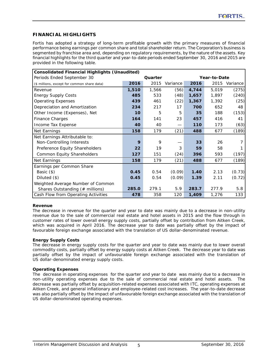# **FINANCIAL HIGHLIGHTS**

Fortis has adopted a strategy of long-term profitable growth with the primary measures of financial performance being earnings per common share and total shareholder return. The Corporation's business is segmented by franchise area and, depending on regulatory requirements, by the nature of the assets. Key financial highlights for the third quarter and year-to-date periods ended September 30, 2016 and 2015 are provided in the following table.

|                                             | <b>Consolidated Financial Highlights (Unaudited)</b> |         |                          |              |       |               |  |  |
|---------------------------------------------|------------------------------------------------------|---------|--------------------------|--------------|-------|---------------|--|--|
| Periods Ended September 30                  |                                                      | Quarter |                          | Year-to-Date |       |               |  |  |
| (\$ millions, except for common share data) | 2016                                                 | 2015    | Variance                 | 2016         |       | 2015 Variance |  |  |
| Revenue                                     | 1,510                                                | 1,566   | (56)                     | 4,744        | 5,019 | (275)         |  |  |
| <b>Energy Supply Costs</b>                  | 485                                                  | 533     | (48)                     | 1,657        | 1,897 | (240)         |  |  |
| <b>Operating Expenses</b>                   | 439                                                  | 461     | (22)                     | 1,367        | 1,392 | (25)          |  |  |
| Depreciation and Amortization               | 234                                                  | 217     | 17                       | 700          | 652   | 48            |  |  |
| Other Income (Expenses), Net                | 10 <sup>1</sup>                                      | 5       | 5                        | 35           | 188   | (153)         |  |  |
| Finance Charges                             | 164                                                  | 141     | 23                       | 457          | 416   | 41            |  |  |
| Income Tax Expense                          | 40                                                   | 40      | $\overline{\phantom{0}}$ | 110          | 173   | (63)          |  |  |
| Net Earnings                                | 158                                                  | 179     | (21)                     | 488          | 677   | (189)         |  |  |
| Net Earnings Attributable to:               |                                                      |         |                          |              |       |               |  |  |
| Non-Controlling Interests                   | 9                                                    | 9       |                          | 33           | 26    |               |  |  |
| Preference Equity Shareholders              | 22                                                   | 19      | 3                        | 59           | 58    |               |  |  |
| Common Equity Shareholders                  | 127                                                  | 151     | (24)                     | 396          | 593   | (197)         |  |  |
| Net Earnings                                | 158                                                  | 179     | (21)                     | 488          | 677   | (189)         |  |  |
| Earnings per Common Share                   |                                                      |         |                          |              |       |               |  |  |
| Basic $($                                   | 0.45                                                 | 0.54    | (0.09)                   | 1.40         | 2.13  | (0.73)        |  |  |
| Diluted $(\$)$                              | 0.45                                                 | 0.54    | (0.09)                   | 1.39         | 2.11  | (0.72)        |  |  |
| Weighted Average Number of Common           |                                                      |         |                          |              |       |               |  |  |
| Shares Outstanding (# millions)             | 285.0                                                | 279.1   | 5.9                      | 283.7        | 277.9 | 5.8           |  |  |
| Cash Flow from Operating Activities         | 478                                                  | 358     | 120                      | 1,409        | 1,276 | 133           |  |  |

## **Revenue**

The decrease in revenue for the quarter and year to date was mainly due to a decrease in non-utility revenue due to the sale of commercial real estate and hotel assets in 2015 and the flow through in customer rates of lower overall energy supply costs, partially offset by contribution from Aitken Creek, which was acquired in April 2016. The decrease year to date was partially offset by the impact of favourable foreign exchange associated with the translation of US dollar-denominated revenue.

## **Energy Supply Costs**

The decrease in energy supply costs for the quarter and year to date was mainly due to lower overall commodity costs, partially offset by energy supply costs at Aitken Creek. The decrease year to date was partially offset by the impact of unfavourable foreign exchange associated with the translation of US dollar-denominated energy supply costs.

## **Operating Expenses**

The decrease in operating expenses for the quarter and year to date was mainly due to a decrease in non-utility operating expenses due to the sale of commercial real estate and hotel assets. The decrease was partially offset by acquisition-related expenses associated with ITC, operating expenses at Aitken Creek, and general inflationary and employee-related cost increases. The year-to-date decrease was also partially offset by the impact of unfavourable foreign exchange associated with the translation of US dollar-denominated operating expenses.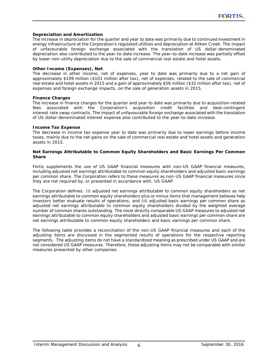#### **Depreciation and Amortization**

The increase in depreciation for the quarter and year to date was primarily due to continued investment in energy infrastructure at the Corporation's regulated utilities and depreciation at Aitken Creek. The impact of unfavourable foreign exchange associated with the translation of US dollar-denominated depreciation also contributed to the year-to-date increase. The year-to-date increase was partially offset by lower non-utility depreciation due to the sale of commercial real estate and hotel assets.

#### **Other Income (Expenses), Net**

The decrease in other income, net of expenses, year to date was primarily due to a net gain of approximately \$109 million (\$101 million after tax), net of expenses, related to the sale of commercial real estate and hotel assets in 2015 and a gain of approximately \$56 million (\$32 million after tax), net of expenses and foreign exchange impacts, on the sale of generation assets in 2015.

#### **Finance Charges**

The increase in finance charges for the quarter and year to date was primarily due to acquisition-related fees associated with the Corporation's acquisition credit facilities and deal-contingent interest rate swap contracts. The impact of unfavourable foreign exchange associated with the translation of US dollar-denominated interest expense also contributed to the year-to-date increase.

## **Income Tax Expense**

The decrease in income tax expense year to date was primarily due to lower earnings before income taxes, mainly due to the net gains on the sale of commercial real estate and hotel assets and generation assets in 2015.

## **Net Earnings Attributable to Common Equity Shareholders and Basic Earnings Per Common Share**

Fortis supplements the use of US GAAP financial measures with non-US GAAP financial measures, including adjusted net earnings attributable to common equity shareholders and adjusted basic earnings per common share. The Corporation refers to these measures as non-US GAAP financial measures since they are not required by, or presented in accordance with, US GAAP.

The Corporation defines: (i) adjusted net earnings attributable to common equity shareholders as net earnings attributable to common equity shareholders plus or minus items that management believes help investors better evaluate results of operations; and (ii) adjusted basic earnings per common share as adjusted net earnings attributable to common equity shareholders divided by the weighted average number of common shares outstanding. The most directly comparable US GAAP measures to adjusted net earnings attributable to common equity shareholders and adjusted basic earnings per common share are net earnings attributable to common equity shareholders and basic earnings per common share.

The following table provides a reconciliation of the non-US GAAP financial measures and each of the adjusting items are discussed in the segmented results of operations for the respective reporting segments. The adjusting items do not have a standardized meaning as prescribed under US GAAP and are not considered US GAAP measures. Therefore, these adjusting items may not be comparable with similar measures presented by other companies.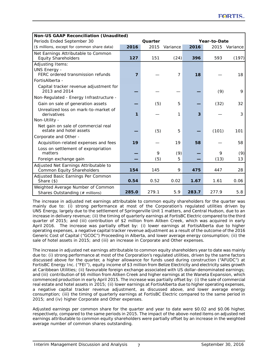|                                                                      | <b>Non-US GAAP Reconciliation (Unaudited)</b> |         |          |       |              |               |  |
|----------------------------------------------------------------------|-----------------------------------------------|---------|----------|-------|--------------|---------------|--|
| Periods Ended September 30                                           |                                               | Quarter |          |       | Year-to-Date |               |  |
| (\$ millions, except for common share data)                          | 2016                                          | 2015    | Variance | 2016  |              | 2015 Variance |  |
| Net Earnings Attributable to Common<br><b>Equity Shareholders</b>    | 127                                           | 151     | (24)     | 396   | 593          | (197)         |  |
| Adjusting Items:                                                     |                                               |         |          |       |              |               |  |
| <b>UNS Energy -</b><br>FERC ordered transmission refunds             | $\overline{7}$                                |         | 7        | 18    |              | 18            |  |
| FortisAlberta -                                                      |                                               |         |          |       |              |               |  |
| Capital tracker revenue adjustment for<br>2013 and 2014              |                                               |         |          |       | (9)          | 9             |  |
| Non-Regulated - Energy Infrastructure -                              |                                               |         |          |       |              |               |  |
| Gain on sale of generation assets                                    |                                               | (5)     | 5        |       | (32)         | 32            |  |
| Unrealized loss on mark-to-market of<br>derivatives                  | 1                                             |         | 1        | 3     |              | 3             |  |
| Non-Utility -                                                        |                                               |         |          |       |              |               |  |
| Net gain on sale of commercial real<br>estate and hotel assets       |                                               | (5)     | 5        |       | (101)        | 101           |  |
| Corporate and Other -                                                |                                               |         |          |       |              |               |  |
| Acquisition-related expenses and fees                                | 19                                            |         | 19       | 58    |              | 58            |  |
| Loss on settlement of expropriation<br>matters                       |                                               | 9       | (9)      |       | 9            | (9)           |  |
| Foreign exchange gain                                                |                                               | (5)     | 5        |       | (13)         | 13            |  |
| Adjusted Net Earnings Attributable to<br>Common Equity Shareholders  | 154                                           | 145     | 9        | 475   | 447          | 28            |  |
| Adjusted Basic Earnings Per Common<br>Share $(\$)$                   | 0.54                                          | 0.52    | 0.02     | 1.67  | 1.61         | 0.06          |  |
| Weighted Average Number of Common<br>Shares Outstanding (# millions) | 285.0                                         | 279.1   | 5.9      | 283.7 | 277.9        | 5.8           |  |

The increase in adjusted net earnings attributable to common equity shareholders for the quarter was mainly due to: (i) strong performance at most of the Corporation's regulated utilities driven by UNS Energy, largely due to the settlement of Springerville Unit 1 matters, and Central Hudson, due to an increase in delivery revenue; (ii) the timing of quarterly earnings at FortisBC Electric compared to the third quarter of 2015; and (iii) contribution of \$2 million from Aitken Creek, which was acquired in early April 2016. The increase was partially offset by: (i) lower earnings at FortisAlberta due to higher operating expenses, a negative capital tracker revenue adjustment as a result of the outcome of the 2016 Generic Cost of Capital ("GCOC") Proceeding in Alberta, and lower average energy consumption; (ii) the sale of hotel assets in 2015; and (iii) an increase in Corporate and Other expenses.

The increase in adjusted net earnings attributable to common equity shareholders year to date was mainly due to: (i) strong performance at most of the Corporation's regulated utilities, driven by the same factors discussed above for the quarter, a higher allowance for funds used during construction ("AFUDC") at FortisBC Energy Inc. ("FEI"), equity income of \$3 million from Belize Electricity and electricity sales growth at Caribbean Utilities; (ii) favourable foreign exchange associated with US dollar-denominated earnings; and (iii) contribution of \$6 million from Aitken Creek and higher earnings at the Waneta Expansion, which commenced production in early April 2015. The increase was partially offset by: (i) the sale of commercial real estate and hotel assets in 2015; (ii) lower earnings at FortisAlberta due to higher operating expenses, a negative capital tracker revenue adjustment, as discussed above, and lower average energy consumption; (iii) the timing of quarterly earnings at FortisBC Electric compared to the same period in 2015; and (iv) higher Corporate and Other expenses.

Adjusted earnings per common share for the quarter and year to date were \$0.02 and \$0.06 higher, respectively, compared to the same periods in 2015. The impact of the above-noted items on adjusted net earnings attributable to common equity shareholders were partially offset by an increase in the weighted average number of common shares outstanding.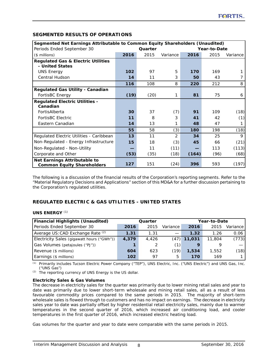# **SEGMENTED RESULTS OF OPERATIONS**

| Segmented Net Earnings Attributable to Common Equity Shareholders (Unaudited) |      |         |                |       |              |          |
|-------------------------------------------------------------------------------|------|---------|----------------|-------|--------------|----------|
| Periods Ended September 30                                                    |      | Quarter |                |       | Year-to-Date |          |
| $($$ millions)                                                                | 2016 | 2015    | Variance       | 2016  | 2015         | Variance |
| <b>Regulated Gas &amp; Electric Utilities</b>                                 |      |         |                |       |              |          |
| - United States                                                               |      |         |                |       |              |          |
| <b>UNS Energy</b>                                                             | 102  | 97      | 5              | 170   | 169          |          |
| <b>Central Hudson</b>                                                         | 14   | 11      | 3              | 50    | 43           |          |
|                                                                               | 116  | 108     | 8              | 220   | 212          | 8        |
| <b>Regulated Gas Utility - Canadian</b>                                       |      |         |                |       |              |          |
| FortisBC Energy                                                               | (19) | (20)    | 1              | 81    | 75           | 6        |
| <b>Regulated Electric Utilities -</b>                                         |      |         |                |       |              |          |
| Canadian                                                                      |      |         |                |       |              |          |
| FortisAlberta                                                                 | 30   | 37      | (7)            | 91    | 109          | (18)     |
| <b>FortisBC Electric</b>                                                      | 11   | 8       | 3              | 41    | 42           | (1)      |
| Eastern Canadian                                                              | 14   | 13      | 1              | 48    | 47           |          |
|                                                                               | 55   | 58      | (3)            | 180   | 198          | (18)     |
| Regulated Electric Utilities - Caribbean                                      | 13   | 11      | $\overline{2}$ | 34    | 25           | 9        |
| Non-Regulated - Energy Infrastructure                                         | 15   | 18      | (3)            | 45    | 66           | (21)     |
| Non-Regulated - Non-Utility                                                   |      | 11      | (11)           |       | 113          | (113)    |
| Corporate and Other                                                           | (53) | (35)    | (18)           | (164) | (96)         | (68)     |
| Net Earnings Attributable to                                                  |      |         |                |       |              |          |
| <b>Common Equity Shareholders</b>                                             | 127  | 151     | (24)           | 396   | 593          | (197)    |

The following is a discussion of the financial results of the Corporation's reporting segments. Refer to the "Material Regulatory Decisions and Applications" section of this MD&A for a further discussion pertaining to the Corporation's regulated utilities.

# **REGULATED ELECTRIC & GAS UTILITIES - UNITED STATES**

## **UNS ENERGY** *(1)*

| <b>Financial Highlights (Unaudited)</b>    | Quarter |       |          | Year-to-Date |        |          |  |
|--------------------------------------------|---------|-------|----------|--------------|--------|----------|--|
| Periods Ended September 30                 | 2016    | 2015  | Variance | 2016         | 2015   | Variance |  |
| Average US: CAD Exchange Rate (2)          | 1.31    | 1.31  |          | 1.32         | 1.26   | 0.06     |  |
| Electricity Sales (gigawatt hours ("GWh")) | 4,379   | 4.426 | (47)     | 11,031       | 11,804 | (773)    |  |
| Gas Volumes (petajoules ("PJ"))            |         |       | (1)      |              |        |          |  |
| Revenue (\$ millions)                      | 604     | 623   | (19)     | 1,534        | 1,552  | (18)     |  |
| Earnings (\$ millions)                     | 102     | 97    | 5        | 170          | 169    |          |  |

*(1)* Primarily includes Tucson Electric Power Company ("TEP"), UNS Electric, Inc. ("UNS Electric") and UNS Gas, Inc. ("UNS Gas")

*(2)* The reporting currency of UNS Energy is the US dollar.

# **Electricity Sales & Gas Volumes**

The decrease in electricity sales for the quarter was primarily due to lower mining retail sales and year to date was primarily due to lower short-term wholesale and mining retail sales, all as a result of less favourable commodity prices compared to the same periods in 2015. The majority of short-term wholesale sales is flowed through to customers and has no impact on earnings. The decrease in electricity sales year to date was partially offset by higher residential retail electricity sales, mainly due to warmer temperatures in the second quarter of 2016, which increased air conditioning load, and cooler temperatures in the first quarter of 2016, which increased electric heating load.

Gas volumes for the quarter and year to date were comparable with the same periods in 2015.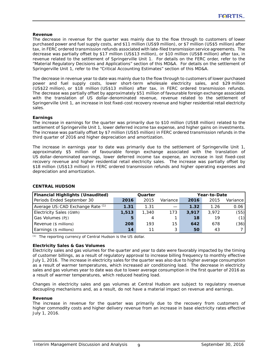## **Revenue**

The decrease in revenue for the quarter was mainly due to the flow through to customers of lower purchased power and fuel supply costs, and \$11 million (US\$9 million), or \$7 million (US\$5 million) after tax, in FERC ordered transmission refunds associated with late-filed transmission service agreements. The decrease was partially offset by \$17 million (US\$13 million), or \$10 million (US\$8 million) after tax, in revenue related to the settlement of Springerville Unit 1. For details on the FERC order, refer to the "Material Regulatory Decisions and Applications" section of this MD&A. For details on the settlement of Springerville Unit 1, refer to the "Critical Accounting Estimates" section of this MD&A.

The decrease in revenue year to date was mainly due to the flow through to customers of lower purchased power and fuel supply costs, lower short-term wholesale electricity sales, and \$29 million (US\$22 million), or \$18 million (US\$13 million) after tax, in FERC ordered transmission refunds. The decrease was partially offset by approximately \$51 million of favourable foreign exchange associated with the translation of US dollar-denominated revenue, revenue related to the settlement of Springerville Unit 1, an increase in lost fixed-cost recovery revenue and higher residential retail electricity sales.

## **Earnings**

The increase in earnings for the quarter was primarily due to \$10 million (US\$8 million) related to the settlement of Springerville Unit 1, lower deferred income tax expense, and higher gains on investments. The increase was partially offset by \$7 million (US\$5 million) in FERC ordered transmission refunds in the third quarter of 2016 and higher depreciation and amortization.

The increase in earnings year to date was primarily due to the settlement of Springerville Unit 1, approximately \$5 million of favourable foreign exchange associated with the translation of US dollar-denominated earnings, lower deferred income tax expense, an increase in lost fixed-cost recovery revenue and higher residential retail electricity sales. The increase was partially offset by \$18 million (US\$13 million) in FERC ordered transmission refunds and higher operating expenses and depreciation and amortization.

| <b>Financial Highlights (Unaudited)</b> | Quarter |       |          | Year-to-Date |       |          |  |
|-----------------------------------------|---------|-------|----------|--------------|-------|----------|--|
| Periods Ended September 30              | 2016    | 2015  | Variance | 2016         | 2015  | Variance |  |
| Average US: CAD Exchange Rate (1)       | 1.31    | 1.31  |          | 1.32         | 1.26  | 0.06     |  |
| Electricity Sales (GWh)                 | 1,513   | 1,340 | 173      | 3,917        | 3.972 | (55)     |  |
| Gas Volumes (PJ)                        | 15.     | 4     |          | 18           | 19    | (1)      |  |
| Revenue (\$ millions)                   | 208     | 193   | 15       | 642          | 678   | (36)     |  |
| Earnings (\$ millions)                  | 14      |       | 3        | 50           | 43    |          |  |

## **CENTRAL HUDSON**

*(1)* The reporting currency of Central Hudson is the US dollar.

## **Electricity Sales & Gas Volumes**

Electricity sales and gas volumes for the quarter and year to date were favorably impacted by the timing of customer billings, as a result of regulatory approval to increase billing frequency to monthly effective July 1, 2016. The increase in electricity sales for the quarter was also due to higher average consumption as a result of warmer temperatures, which increased air conditioning load. The decrease in electricity sales and gas volumes year to date was due to lower average consumption in the first quarter of 2016 as a result of warmer temperatures, which reduced heating load.

Changes in electricity sales and gas volumes at Central Hudson are subject to regulatory revenue decoupling mechanisms and, as a result, do not have a material impact on revenue and earnings.

#### **Revenue**

The increase in revenue for the quarter was primarily due to the recovery from customers of higher commodity costs and higher delivery revenue from an increase in base electricity rates effective July 1, 2016.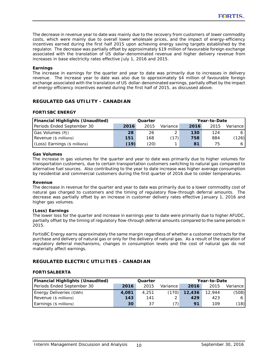The decrease in revenue year to date was mainly due to the recovery from customers of lower commodity costs, which were mainly due to overall lower wholesale prices, and the impact of energy-efficiency incentives earned during the first half 2015 upon achieving energy saving targets established by the regulator. The decrease was partially offset by approximately \$19 million of favourable foreign exchange associated with the translation of US dollar-denominated revenue and higher delivery revenue from increases in base electricity rates effective July 1, 2016 and 2015.

## **Earnings**

The increase in earnings for the quarter and year to date was primarily due to increases in delivery revenue. The increase year to date was also due to approximately \$4 million of favourable foreign exchange associated with the translation of US dollar-denominated earnings, partially offset by the impact of energy-efficiency incentives earned during the first half of 2015, as discussed above.

# **REGULATED GAS UTILITY - CANADIAN**

## **FORTISBC ENERGY**

| Financial Highlights (Unaudited) | Quarter |      |          |      | Year-to-Date |          |  |  |
|----------------------------------|---------|------|----------|------|--------------|----------|--|--|
| Periods Ended September 30       | 2016    | 2015 | Variance | 2016 | 2015         | Variance |  |  |
| Gas Volumes (PJ)                 | 28      | 26   |          | 130  | 124          |          |  |  |
| Revenue (\$ millions)            | 151     | 168  | (17)     | 758  | 884          | (126)    |  |  |
| (Loss) Earnings (\$ millions)    | (19)    | (20) |          | 81   |              |          |  |  |

## **Gas Volumes**

The increase in gas volumes for the quarter and year to date was primarily due to higher volumes for transportation customers, due to certain transportation customers switching to natural gas compared to alternative fuel sources. Also contributing to the year to date increase was higher average consumption by residential and commercial customers during the first quarter of 2016 due to colder temperatures.

#### **Revenue**

The decrease in revenue for the quarter and year to date was primarily due to a lower commodity cost of natural gas charged to customers and the timing of regulatory flow-through deferral amounts. The decrease was partially offset by an increase in customer delivery rates effective January 1, 2016 and higher gas volumes.

## **(Loss) Earnings**

The lower loss for the quarter and increase in earnings year to date were primarily due to higher AFUDC, partially offset by the timing of regulatory flow-through deferral amounts compared to the same periods in 2015.

FortisBC Energy earns approximately the same margin regardless of whether a customer contracts for the purchase and delivery of natural gas or only for the delivery of natural gas. As a result of the operation of regulatory deferral mechanisms, changes in consumption levels and the cost of natural gas do not materially affect earnings.

# **REGULATED ELECTRIC UTILITIES - CANADIAN**

## **FORTISALBERTA**

| <b>Financial Highlights (Unaudited)</b> | Quarter |       |          | Year-to-Date |        |          |
|-----------------------------------------|---------|-------|----------|--------------|--------|----------|
| Periods Ended September 30              | 2016    | 2015  | Variance | 2016         | 2015   | Variance |
| Energy Deliveries (GWh)                 | 4.081   | 4,251 | (170)    | 12,436       | 12.944 | (508)    |
| Revenue (\$ millions)                   | 143     | 141   |          | 429          | 423    |          |
| Earnings (\$ millions)                  | 30      | 37    | 7)       | 91           | 109    | (18)     |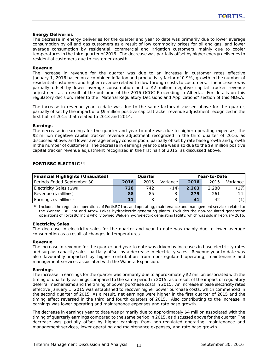## **Energy Deliveries**

The decrease in energy deliveries for the quarter and year to date was primarily due to lower average consumption by oil and gas customers as a result of low commodity prices for oil and gas, and lower average consumption by residential, commercial and irrigation customers, mainly due to cooler temperatures in the third quarter of 2016. The decrease was partially offset by higher energy deliveries to residential customers due to customer growth.

#### **Revenue**

The increase in revenue for the quarter was due to an increase in customer rates effective January 1, 2016 based on a combined inflation and productivity factor of 0.9%, growth in the number of residential customers and higher revenue related to flow-through costs to customers. The increase was partially offset by lower average consumption and a \$2 million negative capital tracker revenue adjustment as a result of the outcome of the 2016 GCOC Proceeding in Alberta. For details on this regulatory decision, refer to the "Material Regulatory Decisions and Applications" section of this MD&A.

The increase in revenue year to date was due to the same factors discussed above for the quarter, partially offset by the impact of a \$9 million positive capital tracker revenue adjustment recognized in the first half of 2015 that related to 2013 and 2014.

#### **Earnings**

The decrease in earnings for the quarter and year to date was due to higher operating expenses, the \$2 million negative capital tracker revenue adjustment recognized in the third quarter of 2016, as discussed above, and lower average energy consumption, partially offset by rate base growth and growth in the number of customers. The decrease in earnings year to date was also due to the \$9 million positive capital tracker revenue adjustment recognized in the first half of 2015, as discussed above.

| <b>Financial Highlights (Unaudited)</b> | Quarter |      |          | Year-to-Date |       |                |  |
|-----------------------------------------|---------|------|----------|--------------|-------|----------------|--|
| Periods Ended September 30              | 2016    | 2015 | Variance | 2016         | 2015  | Variance       |  |
| Electricity Sales (GWh)                 | 728     | 742  | (14)     | 2.263        | 2,280 | (17)           |  |
| Revenue (\$ millions)                   | 88      | 85   | 3        | 275          | 261   | 14             |  |
| Earnings (\$ millions)                  | 11      |      |          | 41'          | 42    | $^{\prime}$ 1) |  |

#### **FORTISBC ELECTRIC** *(1)*

*(1)* Includes the regulated operations of FortisBC Inc. and operating, maintenance and management services related to the Waneta, Brilliant and Arrow Lakes hydroelectric generating plants. Excludes the non-regulated generation operations of FortisBC Inc.'s wholly owned Walden hydroelectric generating facility, which was sold in February 2016.

#### **Electricity Sales**

The decrease in electricity sales for the quarter and year to date was mainly due to lower average consumption as a result of changes in temperatures.

#### **Revenue**

The increase in revenue for the quarter and year to date was driven by increases in base electricity rates and surplus capacity sales, partially offset by a decrease in electricity sales. Revenue year to date was also favourably impacted by higher contribution from non-regulated operating, maintenance and management services associated with the Waneta Expansion.

#### **Earnings**

The increase in earnings for the quarter was primarily due to approximately \$2 million associated with the timing of quarterly earnings compared to the same period in 2015, as a result of the impact of regulatory deferral mechanisms and the timing of power purchase costs in 2015. An increase in base electricity rates effective January 1, 2015 was established to recover higher power purchase costs, which commenced in the second quarter of 2015. As a result, net earnings were higher in the first quarter of 2015 and the timing effect reversed in the third and fourth quarters of 2015. Also contributing to the increase in earnings was lower operating and maintenance expenses and rate base growth.

The decrease in earnings year to date was primarily due to approximately \$4 million associated with the timing of quarterly earnings compared to the same period in 2015, as discussed above for the quarter. The decrease was partially offset by higher earnings from non-regulated operating, maintenance and management services, lower operating and maintenance expenses, and rate base growth.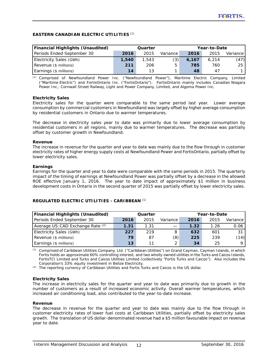## **EASTERN CANADIAN ELECTRIC UTILITIES** *(1)*

| <b>Financial Highlights (Unaudited)</b> | Quarter |       |          | Year-to-Date |       |            |
|-----------------------------------------|---------|-------|----------|--------------|-------|------------|
| Periods Ended September 30              | 2016    | 2015  | Variance | 2016         | 2015  | Variance I |
| Electricity Sales (GWh)                 | 1,540   | 1,543 | (3)      | 6.167        | 6.214 | (47)       |
| Revenue (\$ millions)                   | 211     | 206   | 5        | 785          | 760   | 25         |
| Earnings (\$ millions)                  | 14      | 13    |          | 48           | 47    |            |

*(1)* Comprised of Newfoundland Power Inc. ("Newfoundland Power"), Maritime Electric Company, Limited ("Maritime Electric") and FortisOntario Inc. ("FortisOntario"). FortisOntario mainly includes Canadian Niagara Power Inc., Cornwall Street Railway, Light and Power Company, Limited, and Algoma Power Inc.

## **Electricity Sales**

Electricity sales for the quarter were comparable to the same period last year. Lower average consumption by commercial customers in Newfoundland was largely offset by higher average consumption by residential customers in Ontario due to warmer temperatures.

The decrease in electricity sales year to date was primarily due to lower average consumption by residential customers in all regions, mainly due to warmer temperatures. The decrease was partially offset by customer growth in Newfoundland.

## **Revenue**

The increase in revenue for the quarter and year to date was mainly due to the flow through in customer electricity rates of higher energy supply costs at Newfoundland Power and FortisOntario, partially offset by lower electricity sales.

## **Earnings**

Earnings for the quarter and year to date were comparable with the same periods in 2015. The quarterly impact of the timing of earnings at Newfoundland Power was partially offset by a decrease in the allowed ROE effective January 1, 2016. The year to date impact of approximately \$1 million in business development costs in Ontario in the second quarter of 2015 was partially offset by lower electricity sales.

# **REGULATED ELECTRIC UTILITIES - CARIBBEAN** *(1)*

| <b>Financial Highlights (Unaudited)</b> | Quarter |      |          | Year-to-Date |      |             |  |
|-----------------------------------------|---------|------|----------|--------------|------|-------------|--|
| Periods Ended September 30              | 2016    | 2015 | Variance | 2016         | 2015 | Variance    |  |
| Average US: CAD Exchange Rate (2)       | 1.31    | 1.31 |          | 1.32         | 1.26 | 0.06        |  |
| Electricity Sales (GWh)                 | 227     | 219  | 8        | 632          | 601  | 31          |  |
| Revenue (\$ millions)                   | 79      | 87   | (8)      | 225          | 239  | (14)        |  |
| Earnings (\$ millions)                  | 13      |      | 2        | 34           | 25   | $\mathbf Q$ |  |

*(1)* Comprised of Caribbean Utilities Company, Ltd. ("Caribbean Utilities") on Grand Cayman, Cayman Islands, in which Fortis holds an approximate 60% controlling interest, and two wholly owned utilities in the Turks and Caicos Islands, FortisTCI Limited and Turks and Caicos Utilities Limited (collectively "Fortis Turks and Caicos"). Also includes the Corporation's 33% equity investment in Belize Electricity.

*(2)* The reporting currency of Caribbean Utilities and Fortis Turks and Caicos is the US dollar.

## **Electricity Sales**

The increase in electricity sales for the quarter and year to date was primarily due to growth in the number of customers as a result of increased economic activity. Overall warmer temperatures, which increased air conditioning load, also contributed to the year-to-date increase.

#### **Revenue**

The decrease in revenue for the quarter and year to date was mainly due to the flow through in customer electricity rates of lower fuel costs at Caribbean Utilities, partially offset by electricity sales growth. The translation of US dollar-denominated revenue had a \$5 million favourable impact on revenue year to date.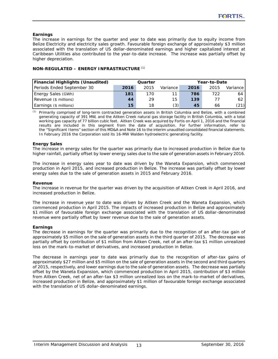## **Earnings**

The increase in earnings for the quarter and year to date was primarily due to equity income from Belize Electricity and electricity sales growth. Favourable foreign exchange of approximately \$3 million associated with the translation of US dollar-denominated earnings and higher capitalized interest at Caribbean Utilities also contributed to the year-to-date increase. The increase was partially offset by higher depreciation.

| NON-REGULATED - ENERGY INFRASTRUCTURE (1) |  |
|-------------------------------------------|--|
|-------------------------------------------|--|

| <b>Financial Highlights (Unaudited)</b> | Quarter |      |          |      | Year-to-Date |          |
|-----------------------------------------|---------|------|----------|------|--------------|----------|
| Periods Ended September 30              | 2016    | 2015 | Variance | 2016 | 2015         | Variance |
| Energy Sales (GWh)                      | 181     | 170  | 11       | 786  | 722          | 64       |
| Revenue (\$ millions)                   | 44      | 29   | 15       | 139  |              | 62       |
| Earnings (\$ millions)                  | 15      | 18   | (3)      | 45   | 66           | (21)     |

*(1)* Primarily comprised of long-term contracted generation assets in British Columbia and Belize, with a combined generating capacity of 391 MW, and the Aitken Creek natural gas storage facility in British Columbia, with a total working gas capacity of 77 billion cubic feet. Aitken Creek was acquired by Fortis on April 1, 2016 and the financial results are included in this segment from the date of acquisition. For further information, refer to the "Significant Items" section of this MD&A and Note 16 to the interim unaudited consolidated financial statements. In February 2016 the Corporation sold its 16-MW Walden hydroelectric generating facility.

## **Energy Sales**

The increase in energy sales for the quarter was primarily due to increased production in Belize due to higher rainfall, partially offset by lower energy sales due to the sale of generation assets in February 2016.

The increase in energy sales year to date was driven by the Waneta Expansion, which commenced production in April 2015, and increased production in Belize. The increase was partially offset by lower energy sales due to the sale of generation assets in 2015 and February 2016.

## **Revenue**

The increase in revenue for the quarter was driven by the acquisition of Aitken Creek in April 2016, and increased production in Belize.

The increase in revenue year to date was driven by Aitken Creek and the Waneta Expansion, which commenced production in April 2015. The impacts of increased production in Belize and approximately \$1 million of favourable foreign exchange associated with the translation of US dollar-denominated revenue were partially offset by lower revenue due to the sale of generation assets.

## **Earnings**

The decrease in earnings for the quarter was primarily due to the recognition of an after-tax gain of approximately \$5 million on the sale of generation assets in the third quarter of 2015. The decrease was partially offset by contribution of \$1 million from Aitken Creek, net of an after-tax \$1 million unrealized loss on the mark-to-market of derivatives, and increased production in Belize.

The decrease in earnings year to date was primarily due to the recognition of after-tax gains of approximately \$27 million and \$5 million on the sale of generation assets in the second and third quarters of 2015, respectively, and lower earnings due to the sale of generation assets. The decrease was partially offset by the Waneta Expansion, which commenced production in April 2015, contribution of \$3 million from Aitken Creek, net of an after-tax \$3 million unrealized loss on the mark-to-market of derivatives, increased production in Belize, and approximately \$1 million of favourable foreign exchange associated with the translation of US dollar-denominated earnings.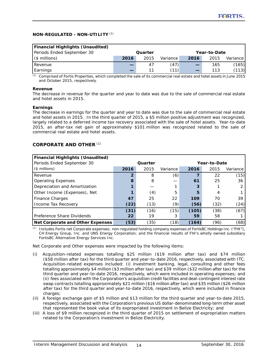## **NON-REGULATED - NON-UTILITY** *(1)*

| <b>Financial Highlights (Unaudited)</b> |      |         |          |      |              |          |
|-----------------------------------------|------|---------|----------|------|--------------|----------|
| Periods Ended September 30              |      | Quarter |          |      | Year-to-Date |          |
| $($$ millions)                          | 2016 | 2015    | Variance | 2016 | 2015         | Variance |
| Revenue                                 |      |         | (47)     |      | 165          | (165)    |
| Earnings                                |      | 11      | (11)     |      | 113          | (113)    |

*(1)* Comprised of Fortis Properties, which completed the sale of its commercial real estate and hotel assets in June 2015 and October 2015, respectively.

## **Revenue**

The decrease in revenue for the quarter and year to date was due to the sale of commercial real estate and hotel assets in 2015.

## **Earnings**

The decrease in earnings for the quarter and year to date was due to the sale of commercial real estate and hotel assets in 2015. In the third quarter of 2015, a \$5 million positive adjustment was recognized, largely related to a deferred income tax recovery associated with the sale of hotel assets. Year-to-date 2015, an after-tax net gain of approximately \$101 million was recognized related to the sale of commercial real estate and hotel assets.

## **CORPORATE AND OTHER** *(1)*

| <b>Financial Highlights (Unaudited)</b> |      |         |          |       |              |          |  |
|-----------------------------------------|------|---------|----------|-------|--------------|----------|--|
| Periods Ended September 30              |      | Quarter |          |       | Year-to-Date |          |  |
| $($$ millions)                          | 2016 | 2015    | Variance | 2016  | 2015         | Variance |  |
| Revenue                                 | 2    | 8       | (6)      |       | 22           | (15)     |  |
| <b>Operating Expenses</b>               | 8    | 8       |          | 61    | 25           | 36       |  |
| Depreciation and Amortization           |      |         |          | 3     |              |          |  |
| Other Income (Expenses), Net            |      | (4)     | 5        | 5     | 4            |          |  |
| <b>Finance Charges</b>                  | 47   | 25      | 22       | 109   | 70           | 39       |  |
| Income Tax Recovery                     | (22) | (13)    | (9)      | (56)  | (32)         | (24)     |  |
|                                         | (31) | (16)    | (15)     | (105) | (38)         | (67)     |  |
| Preference Share Dividends              | 22   | 19      | 3        | 59    | 58           |          |  |
| Net Corporate and Other Expenses        | (53) | (35)    | (18)     | (164) | (96)         | (68)     |  |

*(1)* Includes Fortis net Corporate expenses; non-regulated holding company expenses of FortisBC Holdings Inc. ("FHI"), CH Energy Group, Inc. and UNS Energy Corporation; and the financial results of FHI's wholly owned subsidiary FortisBC Alternative Energy Services Inc.

Net Corporate and Other expenses were impacted by the following items:

- (i) Acquisition-related expenses totalling \$25 million (\$19 million after tax) and \$74 million (\$58 million after tax) for the third quarter and year-to-date 2016, respectively, associated with ITC. Acquisition-related expenses included: (i) investment banking, legal, consulting and other fees totalling approximately \$4 million (\$3 million after tax) and \$39 million (\$32 million after tax) for the third quarter and year-to-date 2016, respectively, which were included in operating expenses; and (ii) fees associated with the Corporation's acquisition credit facilities and deal-contingent interest rate swap contracts totalling approximately \$21 million (\$16 million after tax) and \$35 million (\$26 million after tax) for the third quarter and year-to-date 2016, respectively, which were included in finance charges;
- (ii) A foreign exchange gain of \$5 million and \$13 million for the third quarter and year-to-date 2015, respectively, associated with the Corporation's previous US dollar-denominated long-term other asset that represented the book value of its expropriated investment in Belize Electricity; and
- (iii) A loss of \$9 million recognized in the third quarter of 2015 on settlement of expropriation matters related to the Corporation's investment in Belize Electricity.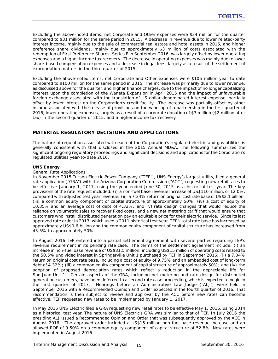Excluding the above-noted items, net Corporate and Other expenses were \$34 million for the quarter compared to \$31 million for the same period in 2015. A decrease in revenue due to lower related-party interest income, mainly due to the sale of commercial real estate and hotel assets in 2015, and higher preference share dividends, mainly due to approximately \$3 million of costs associated with the redemption of First Preference Shares, Series E in September 2016, was largely offset by lower operating expenses and a higher income tax recovery. The decrease in operating expenses was mainly due to lower share-based compensation expenses and a decrease in legal fees, largely as a result of the settlement of expropriation matters in the third quarter of 2015.

Excluding the above-noted items, net Corporate and Other expenses were \$106 million year to date compared to \$100 million for the same period in 2015. The increase was primarily due to lower revenue, as discussed above for the quarter, and higher finance charges, due to the impact of no longer capitalizing interest upon the completion of the Waneta Expansion in April 2015 and the impact of unfavourable foreign exchange associated with the translation of US dollar-denominated interest expense, partially offset by lower interest on the Corporation's credit facility. The increase was partially offset by other income associated with the release of provisions on the wind-up of a partnership in the first quarter of 2016, lower operating expenses, largely as a result of a corporate donation of \$3 million (\$2 million after tax) in the second quarter of 2015, and a higher income tax recovery.

# **MATERIAL REGULATORY DECISIONS AND APPLICATIONS**

The nature of regulation associated with each of the Corporation's regulated electric and gas utilities is generally consistent with that disclosed in the 2015 Annual MD&A. The following summarizes the significant ongoing regulatory proceedings and significant decisions and applications for the Corporation's regulated utilities year-to-date 2016.

## **UNS Energy**

## *General Rate Applications*

In November 2015 Tucson Electric Power Company ("TEP"), UNS Energy's largest utility, filed a general rate application ("GRA") with the Arizona Corporation Commission ("ACC") requesting new retail rates to be effective January 1, 2017, using the year ended June 30, 2015 as a historical test year. The key provisions of the rate request included: (i) a non-fuel base revenue increase of US\$110 million, or 12.0%, compared with adjusted test year revenue; (ii) a 7.34% return on original cost rate base of US\$2.1 billion; (iii) a common equity component of capital structure of approximately 50%; (iv) a cost of equity of 10.35% and an average cost of debt of 4.32%; and (v) rate design changes that would reduce the reliance on volumetric sales to recover fixed costs, and a new net metering tariff that would ensure that customers who install distributed generation pay an equitable price for their electric service. Since its last approved rate order in 2013, which used a 2011 historical test year, TEP's total rate base has increased by approximately US\$0.6 billion and the common equity component of capital structure has increased from 43.5% to approximately 50%.

In August 2016 TEP entered into a partial settlement agreement with several parties regarding TEP's revenue requirement in its pending rate case. The terms of the settlement agreement include: (i) an increase in non-fuel base revenue of US\$81.5 million, including US\$15 million of operating costs related to the 50.5% undivided interest in Springerville Unit 1 purchased by TEP in September 2016; (ii) a 7.04% return on original cost rate base, including a cost of equity of 9.75% and an embedded cost of long-term debt of 4.32%; (iii) a common equity component of capital structure of approximately 50%; and (iv) the adoption of proposed depreciation rates which reflect a reduction in the depreciable life for San Juan Unit 1. Certain aspects of the GRA, including net metering and rate design for distributed generation customers, have been deferred to a second rate case proceeding, which is expected to begin in the first quarter of 2017. Hearings before an Administrative Law Judge ("ALJ") were held in September 2016 with a Recommended Opinion and Order expected in the fourth quarter of 2016. That recommendation is then subject to review and approval by the ACC before new rates can become effective. TEP requested new rates to be implemented by January 1, 2017.

In May 2015 UNS Electric filed a GRA requesting new retail rates to be effective May 1, 2016, using 2014 as a historical test year. The nature of UNS Electric's GRA was similar to that of TEP. In July 2016 the presiding ALJ issued a Recommended Opinion and Order that was subsequently approved by the ACC in August 2016. The approved order included a US\$15 million non-fuel base revenue increase and an allowed ROE of 9.50% on a common equity component of capital structure of 52.8%. New rates were implemented in August 2016.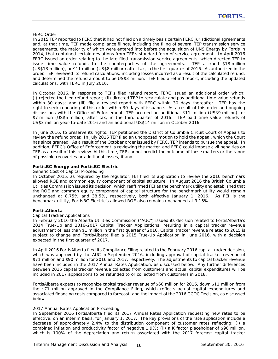#### *FERC Order*

In 2015 TEP reported to FERC that it had not filed on a timely basis certain FERC jurisdictional agreements and, at that time, TEP made compliance filings, including the filing of several TEP transmission service agreements, the majority of which were entered into before the acquisition of UNS Energy by Fortis in 2014, that contained certain deviations from TEP's standard form of service agreement. In April 2016 FERC issued an order relating to the late-filed transmission service agreements, which directed TEP to issue time value refunds to the counterparties of the agreements. TEP accrued \$18 million (US\$13 million), or \$11 million (US\$8 million) after tax, in the first quarter of 2016. As authorized in the order, TEP reviewed its refund calculations, including losses incurred as a result of the calculated refund, and determined the refund amount to be US\$3 million. TEP filed a refund report, including the updated calculations, with FERC in July 2016.

In October 2016, in response to TEP's filed refund report, FERC issued an additional order which: (i) rejected the filed refund report; (ii) directed TEP to recalculate and pay additional time value refunds within 30 days; and (iii) file a revised report with FERC within 30 days thereafter. TEP has the right to seek rehearing of this order within 30 days of issuance. As a result of this order and ongoing discussions with the Office of Enforcement, TEP accrued an additional \$11 million (US\$9 million), or \$7 million (US\$5 million) after tax, in the third quarter of 2016. TEP paid time value refunds of US\$3 million year-to-date 2016 and an additional US\$14 million in October 2016.

In June 2016, to preserve its rights, TEP petitioned the District of Columbia Circuit Court of Appeals to review the refund order. In July 2016 TEP filed an unopposed motion to hold the appeal, which the Court has since granted. As a result of the October order issued by FERC, TEP intends to pursue the appeal. In addition, FERC's Office of Enforcement is reviewing the matter, and FERC could impose civil penalties on TEP as a result of this review. At this time, TEP cannot predict the outcome of these matters or the range of possible recoveries or additional losses, if any.

## **FortisBC Energy and FortisBC Electric**

#### *Generic Cost of Capital Proceeding*

In October 2015, as required by the regulator, FEI filed its application to review the 2016 benchmark allowed ROE and common equity component of capital structure. In August 2016 the British Columbia Utilities Commission issued its decision, which reaffirmed FEI as the benchmark utility and established that the ROE and common equity component of capital structure for the benchmark utility would remain unchanged at 8.75% and 38.5%, respectively, both effective January 1, 2016. As FEI is the benchmark utility, FortisBC Electric's allowed ROE also remains unchanged at 9.15%.

#### **FortisAlberta**

## *Capital Tracker Applications*

In February 2016 the Alberta Utilities Commission ("AUC") issued its decision related to FortisAlberta's 2014 True-Up and 2016-2017 Capital Tracker Applications, resulting in a capital tracker revenue adjustment of less than \$1 million in the first quarter of 2016. Capital tracker revenue related to 2015 is subject to change and FortisAlberta filed a 2015 True-Up Application in June 2016, with a decision expected in the first quarter of 2017.

In April 2016 FortisAlberta filed its Compliance Filing related to the February 2016 capital tracker decision, which was approved by the AUC in September 2016, including approval of capital tracker revenue of \$71 million and \$90 million for 2016 and 2017, respectively. The adjustments to capital tracker revenue have been included in the 2017 Annual Rates Application, as discussed below. Any further differences between 2016 capital tracker revenue collected from customers and actual capital expenditures will be included in 2017 applications to be refunded to or collected from customers in 2018.

FortisAlberta expects to recognize capital tracker revenue of \$60 million for 2016, down \$11 million from the \$71 million approved in the Compliance Filing, which reflects actual capital expenditures and associated financing costs compared to forecast, and the impact of the 2016 GCOC Decision, as discussed below.

#### *2017 Annual Rates Application Proceeding*

In September 2016 FortisAlberta filed its 2017 Annual Rates Application requesting new rates to be effective, on an interim basis, for January 1, 2017. The key provisions of the rate application include a decrease of approximately 2.4% to the distribution component of customer rates reflecting: (i) a combined inflation and productivity factor of negative 1.9%; (ii) a K factor placeholder of \$90 million, which is 100% of the depreciation and return associated with the 2017 forecast capital tracker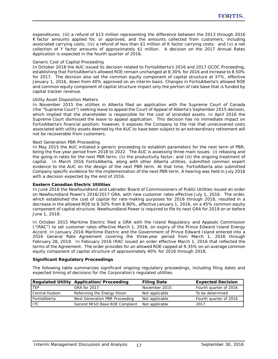expenditures; (iii) a refund of \$13 million representing the difference between the 2013 through 2016 K factor amounts applied for, or approved, and the amounts collected from customers, including associated carrying costs; (iv) a refund of less than \$1 million of K factor carrying costs; and (v) a net collection of Y factor amounts of approximately \$1 million. A decision on the 2017 Annual Rates Application is expected in the fourth quarter of 2016.

## *Generic Cost of Capital Proceeding*

In October 2016 the AUC issued its decision related to FortisAlberta's 2016 and 2017 GCOC Proceeding, establishing that FortisAlberta's allowed ROE remain unchanged at 8.30% for 2016 and increase to 8.50% for 2017. The decision also set the common equity component of capital structure at 37%, effective January 1, 2016, down from 40% approved on an interim basis. Changes in FortisAlberta's allowed ROE and common equity component of capital structure impact only the portion of rate base that is funded by capital tracker revenue.

## *Utility Asset Disposition Matters*

In November 2015 the utilities in Alberta filed an application with the Supreme Court of Canada (the "Supreme Court") seeking leave to appeal the Court of Appeal of Alberta's September 2015 decision, which implied that the shareholder is responsible for the cost of stranded assets. In April 2016 the Supreme Court dismissed the leave to appeal application. This decision has no immediate impact on FortisAlberta's financial position; however, it exposes the Company to the risk that unrecovered costs associated with utility assets deemed by the AUC to have been subject to an extraordinary retirement will not be recoverable from customers.

## *Next Generation PBR Proceeding*

In May 2015 the AUC initiated a generic proceeding to establish parameters for the next term of PBR, being the five-year period from 2018 to 2022. The AUC is assessing three main issues: (i) rebasing and the going-in rates for the next PBR term; (ii) the productivity factor; and (iii) the ongoing treatment of capital. In March 2016 FortisAlberta, along with other Alberta utilities, submitted common expert evidence to the AUC on the design of the next PBR term. At that time, FortisAlberta also submitted Company specific evidence for the implementation of the next PBR term. A hearing was held in July 2016 with a decision expected by the end of 2016.

## **Eastern Canadian Electric Utilities**

In June 2016 the Newfoundland and Labrador Board of Commissioners of Public Utilities issued an order on Newfoundland Power's 2016/2017 GRA, with new customer rates effective July 1, 2016. The order, which established the cost of capital for rate-making purposes for 2016 through 2018, resulted in a decrease in the allowed ROE to 8.50% from 8.80%, effective January 1, 2016, on a 45% common equity component of capital structure. Newfoundland Power is required to file its next GRA for 2019 on or before June 1, 2018.

In October 2015 Maritime Electric filed a GRA with the Island Regulatory and Appeals Commission ("IRAC") to set customer rates effective March 1, 2016, on expiry of the *Prince Edward Island Energy Accord*. In January 2016 Maritime Electric and the Government of Prince Edward Island entered into a 2016 General Rate Agreement covering the three-year period from March 1, 2016 through February 28, 2019. In February 2016 IRAC issued an order effective March 1, 2016 that reflected the terms of the Agreement. The order provides for an allowed ROE capped at 9.35% on an average common equity component of capital structure of approximately 40% for 2016 through 2018.

#### **Significant Regulatory Proceedings**

The following table summarizes significant ongoing regulatory proceedings, including filing dates and expected timing of decisions for the Corporation's regulated utilities.

|                | <b>Regulated Utility Application/Proceeding</b> | <b>Filing Date</b> | <b>Expected Decision</b> |
|----------------|-------------------------------------------------|--------------------|--------------------------|
| <b>TFP</b>     | GRA for 2017                                    | November 2015      | Fourth quarter of 2016   |
| Central Hudson | Reforming the Energy Vision                     | Not applicable     | To be determined         |
| FortisAlberta  | Next Generation PBR Proceeding                  | Not applicable     | Fourth quarter of 2016   |
| <b>ITC</b>     | Second MISO Base ROE Complaint                  | Not applicable     | 2017                     |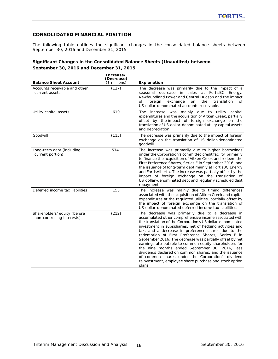# **CONSOLIDATED FINANCIAL POSITION**

The following table outlines the significant changes in the consolidated balance sheets between September 30, 2016 and December 31, 2015.

# **Significant Changes in the Consolidated Balance Sheets (Unaudited) between September 30, 2016 and December 31, 2015**

| <b>Balance Sheet Account</b>                               | Increase/<br>(Decrease)<br>$($$ millions) | Explanation                                                                                                                                                                                                                                                                                                                                                                                                                                                                                                                                                                                                                                                                                                  |
|------------------------------------------------------------|-------------------------------------------|--------------------------------------------------------------------------------------------------------------------------------------------------------------------------------------------------------------------------------------------------------------------------------------------------------------------------------------------------------------------------------------------------------------------------------------------------------------------------------------------------------------------------------------------------------------------------------------------------------------------------------------------------------------------------------------------------------------|
| Accounts receivable and other<br>current assets            | (127)                                     | The decrease was primarily due to the impact of a<br>seasonal decrease in sales at FortisBC Energy,<br>Newfoundland Power and Central Hudson and the impact<br>foreign<br>exchange<br>the<br>translation<br>οf<br>on<br>of<br>US dollar-denominated accounts receivable.                                                                                                                                                                                                                                                                                                                                                                                                                                     |
| Utility capital assets                                     | 610                                       | The increase was mainly due to utility capital<br>expenditures and the acquisition of Aitken Creek, partially<br>offset by the impact of foreign exchange on the<br>translation of US dollar-denominated utility capital assets<br>and depreciation.                                                                                                                                                                                                                                                                                                                                                                                                                                                         |
| Goodwill                                                   | (115)                                     | The decrease was primarily due to the impact of foreign<br>exchange on the translation of US dollar-denominated<br>goodwill.                                                                                                                                                                                                                                                                                                                                                                                                                                                                                                                                                                                 |
| Long-term debt (including<br>current portion)              | 574                                       | The increase was primarily due to higher borrowings<br>under the Corporation's committed credit facility, primarily<br>to finance the acquisition of Aitken Creek and redeem the<br>First Preference Shares, Series E in September 2016, and<br>the issuance of long-term debt mainly at FortisBC Energy<br>and FortisAlberta. The increase was partially offset by the<br>impact of foreign exchange on the translation of<br>US dollar-denominated debt and regularly scheduled debt<br>repayments.                                                                                                                                                                                                        |
| Deferred income tax liabilities                            | 153                                       | The increase was mainly due to timing differences<br>associated with the acquisition of Aitken Creek and capital<br>expenditures at the regulated utilities, partially offset by<br>the impact of foreign exchange on the translation of<br>US dollar-denominated deferred income tax liabilities.                                                                                                                                                                                                                                                                                                                                                                                                           |
| Shareholders' equity (before<br>non-controlling interests) | (212)                                     | The decrease was primarily due to a decrease in<br>accumulated other comprehensive income associated with<br>the translation of the Corporation's US dollar-denominated<br>investment in subsidiaries, net of hedging activities and<br>tax, and a decrease in preference shares due to the<br>redemption of First Preference Shares, Series E in<br>September 2016. The decrease was partially offset by net<br>earnings attributable to common equity shareholders for<br>the nine months ended September 30, 2016, less<br>dividends declared on common shares, and the issuance<br>of common shares under the Corporation's dividend<br>reinvestment, employee share purchase and stock option<br>plans. |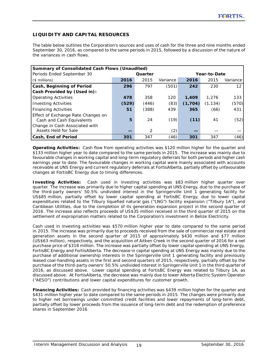# **LIQUIDITY AND CAPITAL RESOURCES**

The table below outlines the Corporation's sources and uses of cash for the three and nine months ended September 30, 2016, as compared to the same periods in 2015, followed by a discussion of the nature of the variances in cash flows.

| Summary of Consolidated Cash Flows (Unaudited)                  |       |                         |          |         |          |          |  |  |  |
|-----------------------------------------------------------------|-------|-------------------------|----------|---------|----------|----------|--|--|--|
| Periods Ended September 30                                      |       | Quarter<br>Year-to-Date |          |         |          |          |  |  |  |
| $($$ millions)                                                  | 2016  | 2015                    | Variance | 2016    | 2015     | Variance |  |  |  |
| Cash, Beginning of Period                                       | 296   | 797                     | (501)    | 242     | 230      | 12       |  |  |  |
| Cash Provided by (Used in):                                     |       |                         |          |         |          |          |  |  |  |
| <b>Operating Activities</b>                                     | 478   | 358                     | 120      | 1,409   | 1,276    | 133      |  |  |  |
| <b>Investing Activities</b>                                     | (529) | (446)                   | (83)     | (1,704) | (1, 134) | (570)    |  |  |  |
| <b>Financing Activities</b>                                     | 51    | (388)                   | 439      | 365     | (66)     | 431      |  |  |  |
| Effect of Exchange Rate Changes on<br>Cash and Cash Equivalents | 5     | 24                      | (19)     | (11)    | 41       | (52)     |  |  |  |
| Change in Cash Associated with<br>Assets Held for Sale          |       | 2                       | (2)      |         |          |          |  |  |  |
| <b>Cash, End of Period</b>                                      | 301   | 347                     | (46)     | 301     | 347      | (46)     |  |  |  |

**Operating Activities:** Cash flow from operating activities was \$120 million higher for the quarter and \$133 million higher year to date compared to the same periods in 2015. The increase was mainly due to favourable changes in working capital and long-term regulatory deferrals for both periods and higher cash earnings year to date. The favourable changes in working capital were mainly associated with accounts receivable at UNS Energy and current regulatory deferrals at FortisAlberta, partially offset by unfavourable changes at FortisBC Energy due to timing differences.

**Investing Activities:**Cash used in investing activities was \$83 million higher quarter over quarter. The increase was primarily due to higher capital spending at UNS Energy, due to the purchase of the third-party owners' 50.5% undivided interest in the Springerville Unit 1 generating facility for US\$85 million, partially offset by lower capital spending at FortisBC Energy, due to lower capital expenditures related to the Tilbury liquefied natural gas ("LNG") facility expansion ("Tilbury 1A"), and Caribbean Utilities, due to the completion of its generation expansion project in the second quarter of 2016. The increase also reflects proceeds of US\$35 million received in the third quarter of 2015 on the settlement of expropriation matters related to the Corporation's investment in Belize Electricity.

Cash used in investing activities was \$570 million higher year to date compared to the same period in 2015. The increase was primarily due to proceeds received from the sale of commercial real estate and generation assets in the second quarter of 2015 of approximately \$430 million and \$77 million (US\$63 million), respectively, and the acquisition of Aitken Creek in the second quarter of 2016 for a net purchase price of \$318 million. The increase was partially offset by lower capital spending at UNS Energy, FortisBC Energy and FortisAlberta. The decrease in capital spending at UNS Energy was mainly due to the purchase of additional ownership interests in the Springerville Unit 1 generating facility and previously leased coal-handling assets in the first and second quarters of 2015, respectively, partially offset by the purchase of the third-party owners' 50.5% undivided interest in Springerville Unit 1 in the third quarter of 2016, as discussed above. Lower capital spending at FortisBC Energy was related to Tilbury 1A, as discussed above. At FortisAlberta, the decrease was mainly due to lower Alberta Electric System Operator ("AESO") contributions and lower capital expenditures for customer growth.

**Financing Activities:** Cash provided by financing activities was \$439 million higher for the quarter and \$431 million higher year to date compared to the same periods in 2015. The changes were primarily due to higher net borrowings under committed credit facilities and lower repayments of long-term debt, partially offset by lower proceeds from the issuance of long-term debt and the redemption of preference shares in September 2016.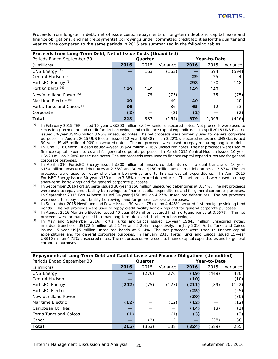Proceeds from long-term debt, net of issue costs, repayments of long-term debt and capital lease and finance obligations, and net (repayments) borrowings under committed credit facilities for the quarter and year to date compared to the same periods in 2015 are summarized in the following tables.

| Proceeds from Long-Term Debt, Net of Issue Costs (Unaudited) |      |         |          |      |              |          |  |  |  |
|--------------------------------------------------------------|------|---------|----------|------|--------------|----------|--|--|--|
| Periods Ended September 30                                   |      | Quarter |          |      | Year-to-Date |          |  |  |  |
| $($$ millions)                                               | 2016 | 2015    | Variance | 2016 | 2015         | Variance |  |  |  |
| UNS Energy $(1)$                                             |      | 163     | (163)    |      | 594          | (594)    |  |  |  |
| Central Hudson <sup>(2)</sup>                                |      |         |          | 29   | 25           |          |  |  |  |
| FortisBC Energy (3)                                          |      |         |          | 298  | 150          | 148      |  |  |  |
| FortisAlberta <sup>(4)</sup>                                 | 149  | 149     |          | 149  | 149          |          |  |  |  |
| Newfoundland Power $(5)$                                     |      | 75      | (75)     |      | 75           | (75)     |  |  |  |
| Maritime Electric (6)                                        | 40   |         | 40       | 40   |              | 40       |  |  |  |
| Fortis Turks and Caicos (7)                                  | 36   |         | 36       | 65   | 12           | 53       |  |  |  |
| Corporate                                                    | (2)  |         | (2)      | (2)  |              | (2)      |  |  |  |
| <b>Total</b>                                                 | 223  | 387     | (164)    | 579  | 1,005        | (426)    |  |  |  |

*(1)* In February 2015 TEP issued 10-year US\$300 million 3.05% senior unsecured notes. Net proceeds were used to repay long-term debt and credit facility borrowings and to finance capital expenditures. In April 2015 UNS Electric issued 30-year US\$50 million 3.95% unsecured notes. The net proceeds were primarily used for general corporate purposes. In August 2015 UNS Electric issued 12-year US\$80 million 3.22% unsecured notes and UNS Gas issued 30-year US\$45 million 4.00% unsecured notes. The net proceeds were used to repay maturing long-term debt.

*(2)* In June 2016 Central Hudson issued 4-year US\$24 million 2.16% unsecured notes. The net proceeds were used to finance capital expenditures and for general corporate purposes. In March 2015 Central Hudson issued 10-year US\$20 million 2.98% unsecured notes. The net proceeds were used to finance capital expenditures and for general corporate purposes.

- *(3)* In April 2016 FortisBC Energy issued \$300 million of unsecured debentures in a dual tranche of 10-year \$150 million unsecured debentures at 2.58% and 30-year \$150 million unsecured debentures at 3.67%. The net proceeds were used to repay short-term borrowings and to finance capital expenditures. In April 2015 FortisBC Energy issued 30-year \$150 million 3.38% unsecured debentures. The net proceeds were used to repay short-term borrowings and for general corporate purposes.
- *(4)* In September 2016 FortisAlberta issued 30-year \$150 million unsecured debentures at 3.34%. The net proceeds were used to repay credit facility borrowings, to finance capital expenditures and for general corporate purposes. In September 2015 FortisAlberta issued 30-year \$150 million 4.27% unsecured debentures. The net proceeds were used to repay credit facility borrowings and for general corporate purposes.
- *(5)* In September 2015 Newfoundland Power issued 30-year \$75 million 4.446% secured first mortgage sinking fund bonds. The net proceeds were used to repay credit facility borrowings and for general corporate purposes.
- *(6)* In August 2016 Maritime Electric issued 40-year \$40 million secured first mortgage bonds at 3.657%. The net proceeds were primarily used to repay long-term debt and short-term borrowings.
- *(7)* In May and September 2016, Fortis Turks and Caicos issued 15-year US\$45 million unsecured notes, in a dual tranche of US\$22.5 million at 5.14% and 5.29%, respectively. In July 2016 Fortis Turks and Caicos issued 15-year US\$5 million unsecured bonds at 5.14%. The net proceeds were used to finance capital expenditures and for general corporate purposes. In January 2015 Fortis Turks and Caicos issued 15-year US\$10 million 4.75% unsecured notes. The net proceeds were used to finance capital expenditures and for general corporate purposes.

| Repayments of Long-Term Debt and Capital Lease and Finance Obligations (Unaudited) |       |         |          |       |              |          |  |  |
|------------------------------------------------------------------------------------|-------|---------|----------|-------|--------------|----------|--|--|
| Periods Ended September 30                                                         |       | Quarter |          |       | Year-to-Date |          |  |  |
| $($$ millions)                                                                     | 2016  | 2015    | Variance | 2016  | 2015         | Variance |  |  |
| <b>UNS Energy</b>                                                                  |       | (276)   | 276      | (19)  | (449)        | 430      |  |  |
| Central Hudson                                                                     |       |         |          | (10)  |              | (10)     |  |  |
| FortisBC Energy                                                                    | (202) | (75)    | (127)    | (211) | (89)         | (122)    |  |  |
| <b>FortisBC Electric</b>                                                           |       |         |          | (25)  |              | (25)     |  |  |
| Newfoundland Power                                                                 |       |         |          | (30)  |              | (30)     |  |  |
| Maritime Electric                                                                  | (12)  |         | (12)     | (12)  |              | (12)     |  |  |
| Caribbean Utilities                                                                |       |         |          | (14)  | (13)         | (1)      |  |  |
| <b>Fortis Turks and Caicos</b>                                                     | (1)   |         | (1)      | (3)   |              | (3)      |  |  |
| Other                                                                              |       | (2)     | 2        |       | (38)         | 38       |  |  |
| <b>Total</b>                                                                       | (215) | (353)   | 138      | (324) | (589)        | 265      |  |  |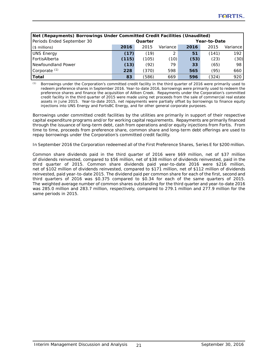| Net (Repayments) Borrowings Under Committed Credit Facilities (Unaudited) |         |       |          |              |       |          |  |  |  |
|---------------------------------------------------------------------------|---------|-------|----------|--------------|-------|----------|--|--|--|
| Periods Ended September 30                                                | Quarter |       |          | Year-to-Date |       |          |  |  |  |
| $($$ millions)                                                            | 2016    | 2015  | Variance | 2016         | 2015  | Variance |  |  |  |
| <b>UNS Energy</b>                                                         | (17)    | (19)  | 2        | 51           | (141) | 192      |  |  |  |
| FortisAlberta                                                             | (115)   | (105) | (10)     | (53)         | (23)  | (30)     |  |  |  |
| Newfoundland Power                                                        | (13)    | (92)  | 79       | 33           | (65)  | 98       |  |  |  |
| Corporate $(1)$                                                           | 228     | (370) | 598      | 565          | (95)  | 660      |  |  |  |
| Total                                                                     | 83      | (586) | 669      | 596          | (324) | 920      |  |  |  |

*(1)* Borrowings under the Corporation's committed credit facility in the third quarter of 2016 were primarily used to redeem preference shares in September 2016. Year-to-date 2016, borrowings were primarily used to redeem the preference shares and finance the acquisition of Aitken Creek. Repayments under the Corporation's committed credit facility in the third quarter of 2015 were made using net proceeds from the sale of commercial real estate assets in June 2015. Year-to-date 2015, net repayments were partially offset by borrowings to finance equity injections into UNS Energy and FortisBC Energy, and for other general corporate purposes.

Borrowings under committed credit facilities by the utilities are primarily in support of their respective capital expenditure programs and/or for working capital requirements. Repayments are primarily financed through the issuance of long-term debt, cash from operations and/or equity injections from Fortis. From time to time, proceeds from preference share, common share and long-term debt offerings are used to repay borrowings under the Corporation's committed credit facility.

In September 2016 the Corporation redeemed all of the First Preference Shares, Series E for \$200 million.

Common share dividends paid in the third quarter of 2016 were \$69 million, net of \$37 million of dividends reinvested, compared to \$56 million, net of \$38 million of dividends reinvested, paid in the third quarter of 2015. Common share dividends paid year-to-date 2016 were \$216 million, net of \$102 million of dividends reinvested, compared to \$171 million, net of \$112 million of dividends reinvested, paid year-to-date 2015. The dividend paid per common share for each of the first, second and third quarters of 2016 was \$0.375 compared to \$0.34 for each of the same quarters of 2015. The weighted average number of common shares outstanding for the third quarter and year-to-date 2016 was 285.0 million and 283.7 million, respectively, compared to 279.1 million and 277.9 million for the same periods in 2015.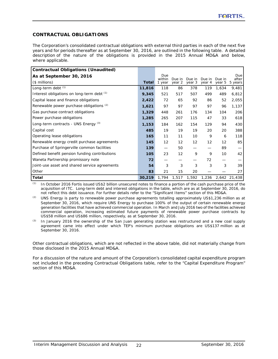# **CONTRACTUAL OBLIGATIONS**

The Corporation's consolidated contractual obligations with external third parties in each of the next five years and for periods thereafter as at September 30, 2016, are outlined in the following table. A detailed description of the nature of the obligations is provided in the 2015 Annual MD&A and below, where applicable.

| <b>Contractual Obligations (Unaudited)</b>      |              |                  |                  |                  |                  |                  |                  |
|-------------------------------------------------|--------------|------------------|------------------|------------------|------------------|------------------|------------------|
| As at September 30, 2016                        |              | Due              |                  |                  |                  |                  | Due              |
| $($$ millions)                                  | <b>Total</b> | within<br>l year | Due in<br>year 2 | Due in<br>year 3 | Due in<br>year 4 | Due in<br>year 5 | after<br>5 years |
| Long-term debt $(1)$                            | 11,816       | 118              | 86               | 378              | 119              | 1,634            | 9,481            |
| Interest obligations on long-term debt (1)      | 9,345        | 521              | 517              | 507              | 499              | 489              | 6,812            |
| Capital lease and finance obligations           | 2,422        | 72               | 65               | 92               | 86               | 52               | 2,055            |
| Renewable power purchase obligations (2)        | 1,621        | 97               | 97               | 97               | 97               | 96               | 1,137            |
| Gas purchase contract obligations               | 1,329        | 448              | 261              | 176              | 134              | 104              | 206              |
| Power purchase obligations                      | 1,285        | 265              | 207              | 115              | 47               | 33               | 618              |
| Long-term contracts - UNS Energy <sup>(3)</sup> | 1,153        | 184              | 162              | 154              | 129              | 94               | 430              |
| Capital cost                                    | 485          | 19               | 19               | 19               | 20               | 20               | 388              |
| Operating lease obligations                     | 165          | 11               | 11               | 10               | 9                | 6                | 118              |
| Renewable energy credit purchase agreements     | 145          | 12               | 12               | 12               | 12               | 12               | 85               |
| Purchase of Springerville common facilities     | 139          |                  | 50               |                  |                  | 89               |                  |
| Defined benefit pension funding contributions   | 105          | 23               | 12               | 9                | 9                | 10               | 42               |
| Waneta Partnership promissory note              | 72           |                  |                  |                  | 72               |                  |                  |
| Joint-use asset and shared service agreements   | 54           | 3                | 3                | 3                | 3                | 3                | 39               |
| Other                                           | 83           | 21               | 15               | 20               |                  |                  | 27               |
| <b>Total</b>                                    | 30,219       | 1,794            | 1,517            | 1,592            | 1,236            |                  | 2,642 21,438     |

*(1)* In October 2016 Fortis issued US\$2 billion unsecured notes to finance a portion of the cash purchase price of the acquisition of ITC. Long-term debt and interest obligations in the table, which are as at September 30, 2016, do not reflect this debt issuance. For further details refer to the "Significant Items" section of this MD&A.

*(2)* UNS Energy is party to renewable power purchase agreements totalling approximately US\$1,236 million as at September 30, 2016, which require UNS Energy to purchase 100% of the output of certain renewable energy generation facilities that have achieved commercial operation. In March and July 2016 two of the facilities achieved commercial operation, increasing estimated future payments of renewable power purchase contracts by US\$58 million and US\$86 million, respectively, as at September 30, 2016.

*(3)* In January 2016 the ownership of the San Juan generating station was restructured and a new coal supply agreement came into effect under which TEP's minimum purchase obligations are US\$137 million as at September 30, 2016.

Other contractual obligations, which are not reflected in the above table, did not materially change from those disclosed in the 2015 Annual MD&A.

For a discussion of the nature and amount of the Corporation's consolidated capital expenditure program not included in the preceding Contractual Obligations table, refer to the "Capital Expenditure Program" section of this MD&A.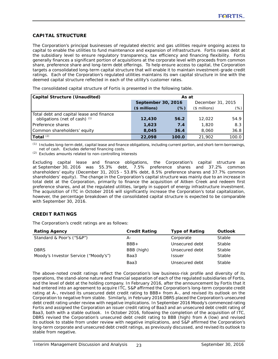# **CAPITAL STRUCTURE**

The Corporation's principal businesses of regulated electric and gas utilities require ongoing access to capital to enable the utilities to fund maintenance and expansion of infrastructure. Fortis raises debt at the subsidiary level to ensure regulatory transparency, tax efficiency and financing flexibility. Fortis generally finances a significant portion of acquisitions at the corporate level with proceeds from common share, preference share and long-term debt offerings. To help ensure access to capital, the Corporation targets a consolidated long-term capital structure that will enable it to maintain investment-grade credit ratings. Each of the Corporation's regulated utilities maintains its own capital structure in line with the deemed capital structure reflected in each of the utility's customer rates.

The consolidated capital structure of Fortis is presented in the following table.

| <b>Capital Structure (Unaudited)</b>                                      | As at              |       |                   |       |  |  |
|---------------------------------------------------------------------------|--------------------|-------|-------------------|-------|--|--|
|                                                                           | September 30, 2016 |       | December 31, 2015 |       |  |  |
|                                                                           | $($ millions)$     | (%)   | $($$ millions)    | (%)   |  |  |
| Total debt and capital lease and finance<br>obligations (net of cash) (1) | 12,430             | 56.2  | 12,022            | 54.9  |  |  |
| Preference shares                                                         | 1,623              | 7.4   | 1,820             | 8.3   |  |  |
| Common shareholders' equity                                               | 8,045              | 36.4  | 8,060             | 36.8  |  |  |
| Total $(2)$                                                               | 22,098             | 100.0 | 21,902            | 100.0 |  |  |

*(1)* Includes long-term debt, capital lease and finance obligations, including current portion, and short-term borrowings, net of cash. Excludes deferred financing costs.

*(2)* Excludes amounts related to non-controlling interests

Excluding capital lease and finance obligations, the Corporation's capital structure as at September 30, 2016 was 55.3% debt, 7.5% preference shares and 37.2% common shareholders' equity (December 31, 2015 - 53.8% debt, 8.5% preference shares and 37.7% common shareholders' equity). The change in the Corporation's capital structure was mainly due to an increase in total debt at the Corporation, primarily to finance the acquisition of Aitken Creek and redeem first preference shares, and at the regulated utilities, largely in support of energy infrastructure investment. The acquisition of ITC in October 2016 will significantly increase the Corporation's total capitalization, however, the percentage breakdown of the consolidated capital structure is expected to be comparable with September 30, 2016.

# **CREDIT RATINGS**

The Corporation's credit ratings are as follows:

| <b>Rating Agency</b>                 | <b>Credit Rating</b> | <b>Type of Rating</b> | Outlook |
|--------------------------------------|----------------------|-----------------------|---------|
| Standard & Poor's ("S&P")            | А-                   | Corporate             | Stable  |
|                                      | $BBB+$               | Unsecured debt        | Stable  |
| <b>DBRS</b>                          | BBB (high)           | Unsecured debt        | Stable  |
| Moody's Investor Service ("Moody's") | Baa3                 | <b>Issuer</b>         | Stable  |
|                                      | Baa3                 | Unsecured debt        | Stable  |

The above-noted credit ratings reflect the Corporation's low business-risk profile and diversity of its operations, the stand-alone nature and financial separation of each of the regulated subsidiaries of Fortis, and the level of debt at the holding company. In February 2016, after the announcement by Fortis that it had entered into an agreement to acquire ITC, S&P affirmed the Corporation's long-term corporate credit rating at A-, revised its unsecured debt credit rating to BBB+ from A-, and revised its outlook on the Corporation to negative from stable. Similarly, in February 2016 DBRS placed the Corporation's unsecured debt credit rating under review with negative implications. In September 2016 Moody's commenced rating Fortis and assigned the Corporation an issuer credit rating of Baa3 and an unsecured debt credit rating of Baa3, both with a stable outlook. In October 2016, following the completion of the acquisition of ITC, DBRS revised the Corporation's unsecured debt credit rating to BBB (high) from A (low) and revised its outlook to stable from under review with negative implications, and S&P affirmed the Corporation's long-term corporate and unsecured debt credit ratings, as previously discussed, and revised its outlook to stable from negative.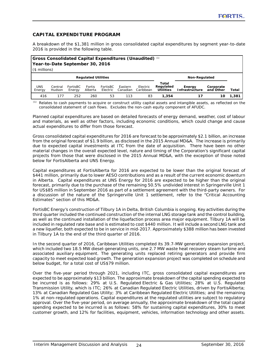# **CAPITAL EXPENDITURE PROGRAM**

A breakdown of the \$1,381 million in gross consolidated capital expenditures by segment year-to-date 2016 is provided in the following table.

| <b>Section</b> Consolidated Capital Expenditures (Unaudited) $\omega$<br>Year-to-Date September 30, 2016<br>$($$ millions) |                   |                    |                   |                      |                     |                       |                                        |                                 |                        |       |
|----------------------------------------------------------------------------------------------------------------------------|-------------------|--------------------|-------------------|----------------------|---------------------|-----------------------|----------------------------------------|---------------------------------|------------------------|-------|
| <b>Regulated Utilities</b>                                                                                                 |                   |                    |                   |                      |                     |                       |                                        | Non-Regulated                   |                        |       |
| <b>UNS</b><br>Energy                                                                                                       | Central<br>Hudson | FortisBC<br>Energy | Fortis<br>Alberta | FortisBC<br>Electric | Eastern<br>Canadian | Electric<br>Caribbean | Total<br>Regulated<br><b>Utilities</b> | Energy<br><b>Infrastructure</b> | Corporate<br>and Other | Total |
| 416                                                                                                                        | 177               | 252                | 260               | 53                   | 113                 | 83                    | 1,354                                  | 17                              | 10                     | 1,381 |

*(1)* Relates to cash payments to acquire or construct utility capital assets and intangible assets, as reflected on the consolidated statement of cash flows. Excludes the non-cash equity component of AFUDC.

Planned capital expenditures are based on detailed forecasts of energy demand, weather, cost of labour and materials, as well as other factors, including economic conditions, which could change and cause actual expenditures to differ from those forecast.

Gross consolidated capital expenditures for 2016 are forecast to be approximately \$2.1 billion, an increase from the original forecast of \$1.9 billion, as disclosed in the 2015 Annual MD&A. The increase is primarily due to expected capital investments at ITC from the date of acquisition. There have been no other material changes in the overall expected level, nature and timing of the Corporation's significant capital projects from those that were disclosed in the 2015 Annual MD&A, with the exception of those noted below for FortisAlberta and UNS Energy.

Capital expenditures at FortisAlberta for 2016 are expected to be lower than the original forecast of \$441 million, primarily due to lower AESO contributions and as a result of the current economic downturn in Alberta. Capital expenditures at UNS Energy for 2016 are expected to be higher than the original forecast, primarily due to the purchase of the remaining 50.5% undivided interest in Springerville Unit 1 for US\$85 million in September 2016 as part of a settlement agreement with the third-party owners. For a discussion of the nature of the Springerville Unit 1 settlement, refer to the "Critical Accounting Estimates" section of this MD&A.

FortisBC Energy's construction of Tilbury 1A in Delta, British Columbia is ongoing. Key activities during the third quarter included the continued construction of the internal LNG storage tank and the control building, as well as the continued installation of the liquefaction process area major equipment. Tilbury 1A will be included in regulated rate base and is estimated to cost \$440 million. It will include a second LNG tank and a new liquefier, both expected to be in service in mid-2017. Approximately \$388 million has been invested in Tilbury 1A to the end of the third quarter of 2016.

In the second quarter of 2016, Caribbean Utilities completed its 39.7-MW generation expansion project, which included two 18.5 MW diesel-generating units, one 2.7 MW waste heat recovery steam turbine and associated auxiliary equipment. The generating units replaced retiring generators and provide firm capacity to meet expected load growth. The generation expansion project was completed on schedule and below budget, for a total cost of US\$79 million.

Over the five-year period through 2021, including ITC, gross consolidated capital expenditures are expected to be approximately \$13 billion. The approximate breakdown of the capital spending expected to be incurred is as follows: 29% at U.S. Regulated Electric & Gas Utilities; 28% at U.S. Regulated Transmission Utility, which is ITC; 26% at Canadian Regulated Electric Utilities, driven by FortisAlberta; 13% at Canadian Regulated Gas Utility; 3% at Caribbean Regulated Electric Utilities; and the remaining 1% at non-regulated operations. Capital expenditures at the regulated utilities are subject to regulatory approval. Over the five-year period, on average annually, the approximate breakdown of the total capital spending expected to be incurred is as follows: 58% for sustaining capital expenditures, 30% to meet customer growth, and 12% for facilities, equipment, vehicles, information technology and other assets.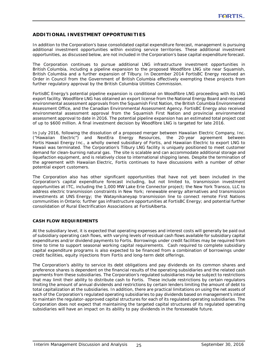# **ADDITIONAL INVESTMENT OPPORTUNITIES**

In addition to the Corporation's base consolidated capital expenditure forecast, management is pursuing additional investment opportunities within existing service territories. These additional investment opportunities, as discussed below, are not included in the Corporation's base capital expenditure forecast.

The Corporation continues to pursue additional LNG infrastructure investment opportunities in British Columbia, including a pipeline expansion to the proposed Woodfibre LNG site near Squamish, British Columbia and a further expansion of Tilbury. In December 2014 FortisBC Energy received an Order in Council from the Government of British Columbia effectively exempting these projects from further regulatory approval by the British Columbia Utilities Commission.

FortisBC Energy's potential pipeline expansion is conditional on Woodfibre LNG proceeding with its LNG export facility. Woodfibre LNG has obtained an export license from the National Energy Board and received environmental assessment approvals from the Squamish First Nation, the British Columbia Environmental Assessment Office, and the Canadian Environmental Assessment Agency. FortisBC Energy also received environmental assessment approval from the Squamish First Nation and provincial environmental assessment approval to date in 2016. The potential pipeline expansion has an estimated total project cost of up to \$600 million. A final investment decision by Woodfibre LNG is targeted for late 2016.

In July 2016, following the dissolution of a proposed merger between Hawaiian Electric Company, Inc. ("Hawaiian Electric") and NextEra Energy Resources, the 20-year agreement between Fortis Hawaii Energy Inc., a wholly owned subsidiary of Fortis, and Hawaiian Electric to export LNG to Hawaii was terminated. The Corporation's Tilbury LNG facility is uniquely positioned to meet customer demand for clean-burning natural gas. The site is scalable and can accommodate additional storage and liquefaction equipment, and is relatively close to international shipping lanes. Despite the termination of the agreement with Hawaiian Electric, Fortis continues to have discussions with a number of other potential export customers.

The Corporation also has other significant opportunities that have not yet been included in the Corporation's capital expenditure forecast including, but not limited to, transmission investment opportunities at ITC, including the 1,000 MW Lake Erie Connector project; the New York Transco, LLC to address electric transmission constraints in New York; renewable energy alternatives and transmission investments at UNS Energy; the Wataynikaneyap transmission line to connect remote First Nations communities in Ontario; further gas infrastructure opportunities at FortisBC Energy; and potential further consolidation of Rural Electrification Associations at FortisAlberta.

## **CASH FLOW REQUIREMENTS**

At the subsidiary level, it is expected that operating expenses and interest costs will generally be paid out of subsidiary operating cash flows, with varying levels of residual cash flows available for subsidiary capital expenditures and/or dividend payments to Fortis. Borrowings under credit facilities may be required from time to time to support seasonal working capital requirements. Cash required to complete subsidiary capital expenditure programs is also expected to be financed from a combination of borrowings under credit facilities, equity injections from Fortis and long-term debt offerings.

The Corporation's ability to service its debt obligations and pay dividends on its common shares and preference shares is dependent on the financial results of the operating subsidiaries and the related cash payments from these subsidiaries. The Corporation's regulated subsidiaries may be subject to restrictions that may limit their ability to distribute cash to Fortis. These include restrictions by certain regulators limiting the amount of annual dividends and restrictions by certain lenders limiting the amount of debt to total capitalization at the subsidiaries. In addition, there are practical limitations on using the net assets of each of the Corporation's regulated operating subsidiaries to pay dividends based on management's intent to maintain the regulator-approved capital structures for each of its regulated operating subsidiaries. The Corporation does not expect that maintaining the targeted capital structures of its regulated operating subsidiaries will have an impact on its ability to pay dividends in the foreseeable future.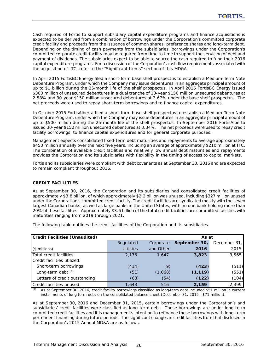Cash required of Fortis to support subsidiary capital expenditure programs and finance acquisitions is expected to be derived from a combination of borrowings under the Corporation's committed corporate credit facility and proceeds from the issuance of common shares, preference shares and long-term debt. Depending on the timing of cash payments from the subsidiaries, borrowings under the Corporation's committed corporate credit facility may be required from time to time to support the servicing of debt and payment of dividends. The subsidiaries expect to be able to source the cash required to fund their 2016 capital expenditure programs. For a discussion of the Corporation's cash flow requirements associated with the acquisition of ITC, refer to the "Significant Items" section of this MD&A.

In April 2015 FortisBC Energy filed a short-form base shelf prospectus to establish a Medium-Term Note Debenture Program, under which the Company may issue debentures in an aggregate principal amount of up to \$1 billion during the 25-month life of the shelf prospectus. In April 2016 FortisBC Energy issued \$300 million of unsecured debentures in a dual tranche of 10-year \$150 million unsecured debentures at 2.58% and 30-year \$150 million unsecured debentures at 3.67% under the base shelf prospectus. The net proceeds were used to repay short-term borrowings and to finance capital expenditures.

In October 2015 FortisAlberta filed a short-form base shelf prospectus to establish a Medium-Term Note Debenture Program, under which the Company may issue debentures in an aggregate principal amount of up to \$500 million during the 25-month life of the shelf prospectus. In September 2016 FortisAlberta issued 30-year \$150 million unsecured debentures at 3.34%. The net proceeds were used to repay credit facility borrowings, to finance capital expenditures and for general corporate purposes.

Management expects consolidated fixed-term debt maturities and repayments to average approximately \$450 million annually over the next five years, including an average of approximately \$210 million at ITC. The combination of available credit facilities and relatively low annual debt maturities and repayments provides the Corporation and its subsidiaries with flexibility in the timing of access to capital markets.

Fortis and its subsidiaries were compliant with debt covenants as at September 30, 2016 and are expected to remain compliant throughout 2016.

# **CREDIT FACILITIES**

As at September 30, 2016, the Corporation and its subsidiaries had consolidated credit facilities of approximately \$3.8 billion, of which approximately \$2.2 billion was unused, including \$327 million unused under the Corporation's committed credit facility. The credit facilities are syndicated mostly with the seven largest Canadian banks, as well as large banks in the United States, with no one bank holding more than 20% of these facilities. Approximately \$3.6 billion of the total credit facilities are committed facilities with maturities ranging from 2019 through 2021.

The following table outlines the credit facilities of the Corporation and its subsidiaries.

| <b>Credit Facilities (Unaudited)</b> |                  |           | As at         |              |  |
|--------------------------------------|------------------|-----------|---------------|--------------|--|
|                                      | Regulated        | Corporate | September 30, | December 31, |  |
| $($$ millions)                       | <b>Utilities</b> | and Other | 2016          | 2015         |  |
| Total credit facilities              | 2,176            | 1.647     | 3,823         | 3,565        |  |
| Credit facilities utilized:          |                  |           |               |              |  |
| Short-term borrowings                | (414)            | (9)       | (423)         | (511)        |  |
| Long-term debt $(1)$                 | (51)             | (1,068)   | (1, 119)      | (551)        |  |
| Letters of credit outstanding        | (68)             | (54)      | (122)         | (104)        |  |
| Credit facilities unused             | 1,643            | 516       | 2,159         | 2,399        |  |

*(1)* As at September 30, 2016, credit facility borrowings classified as long-term debt included \$51 million in current installments of long-term debt on the consolidated balance sheet (December 31, 2015 - \$71 million).

As at September 30, 2016 and December 31, 2015, certain borrowings under the Corporation's and subsidiaries' credit facilities were classified as long-term debt. These borrowings are under long-term committed credit facilities and it is management's intention to refinance these borrowings with long-term permanent financing during future periods. The significant changes in credit facilities from that disclosed in the Corporation's 2015 Annual MD&A are as follows.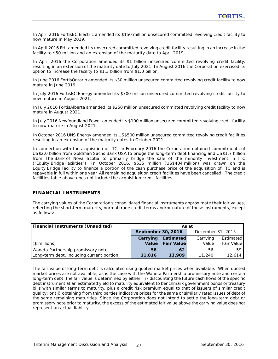In April 2016 FortisBC Electric amended its \$150 million unsecured committed revolving credit facility to now mature in May 2019.

In April 2016 FHI amended its unsecured committed revolving credit facility resulting in an increase in the facility to \$50 million and an extension of the maturity date to April 2019.

In April 2016 the Corporation amended its \$1 billion unsecured committed revolving credit facility, resulting in an extension of the maturity date to July 2021. In August 2016 the Corporation exercised its option to increase the facility to \$1.3 billion from \$1.0 billion.

In June 2016 FortisOntario amended its \$30 million unsecured committed revolving credit facility to now mature in June 2019.

In July 2016 FortisBC Energy amended its \$700 million unsecured committed revolving credit facility to now mature in August 2021.

In July 2016 FortisAlberta amended its \$250 million unsecured committed revolving credit facility to now mature in August 2021.

In July 2016 Newfoundland Power amended its \$100 million unsecured committed revolving credit facility to now mature in August 2021.

In October 2016 UNS Energy amended its US\$500 million unsecured committed revolving credit facilities resulting in an extension of the maturity dates to October 2021.

In connection with the acquisition of ITC, in February 2016 the Corporation obtained commitments of US\$2.0 billion from Goldman Sachs Bank USA to bridge the long-term debt financing and US\$1.7 billion from The Bank of Nova Scotia to primarily bridge the sale of the minority investment in ITC ("Equity Bridge Facilities"). In October 2016, \$535 million (US\$404 million) was drawn on the Equity Bridge Facility to finance a portion of the cash purchase price of the acquisition of ITC and is repayable in full within one year. All remaining acquisition credit facilities have been cancelled. The credit facilities table above does not include the acquisition credit facilities.

## **FINANCIAL INSTRUMENTS**

The carrying values of the Corporation's consolidated financial instruments approximate their fair values, reflecting the short-term maturity, normal trade credit terms and/or nature of these instruments, except as follows:

| <b>Financial Instruments (Unaudited)</b>  | As at              |                   |                   |                  |  |
|-------------------------------------------|--------------------|-------------------|-------------------|------------------|--|
|                                           | September 30, 2016 |                   | December 31, 2015 |                  |  |
|                                           | Carrying           | <b>Estimated</b>  | Carrying          | <b>Estimated</b> |  |
| $($$ millions)                            | Value              | <b>Fair Value</b> | Value             | Fair Value       |  |
| Waneta Partnership promissory note        | 58                 | 62                | 56                | 59               |  |
| Long-term debt, including current portion | 11,816             | 13,909            | 11,240            | 12,614           |  |

The fair value of long-term debt is calculated using quoted market prices when available. When quoted market prices are not available, as is the case with the Waneta Partnership promissory note and certain long-term debt, the fair value is determined by either: (i) discounting the future cash flows of the specific debt instrument at an estimated yield to maturity equivalent to benchmark government bonds or treasury bills with similar terms to maturity, plus a credit risk premium equal to that of issuers of similar credit quality; or (ii) obtaining from third parties indicative prices for the same or similarly rated issues of debt of the same remaining maturities. Since the Corporation does not intend to settle the long-term debt or promissory note prior to maturity, the excess of the estimated fair value above the carrying value does not represent an actual liability.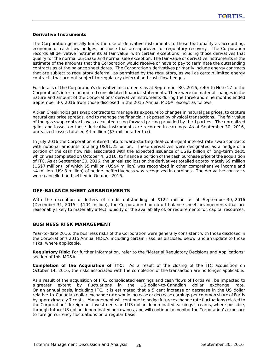## **Derivative Instruments**

The Corporation generally limits the use of derivative instruments to those that qualify as accounting, economic or cash flow hedges, or those that are approved for regulatory recovery. The Corporation records all derivative instruments at fair value, with certain exceptions including those derivatives that qualify for the normal purchase and normal sale exception. The fair value of derivative instruments is the estimate of the amounts that the Corporation would receive or have to pay to terminate the outstanding contracts as at the balance sheet dates. The Corporation's derivatives primarily include energy contracts that are subject to regulatory deferral, as permitted by the regulators, as well as certain limited energy contracts that are not subject to regulatory deferral and cash flow hedges.

For details of the Corporation's derivative instruments as at September 30, 2016, refer to Note 17 to the Corporation's interim unaudited consolidated financial statements. There were no material changes in the nature and amount of the Corporations' derivative instruments during the three and nine months ended September 30, 2016 from those disclosed in the 2015 Annual MD&A, except as follows.

Aitken Creek holds gas swap contracts to manage its exposure to changes in natural gas prices, to capture natural gas price spreads, and to manage the financial risk posed by physical transactions. The fair value of the gas swap contracts was calculated using forward pricing provided by third parties. The unrealized gains and losses on these derivative instruments are recorded in earnings. As at September 30, 2016, unrealized losses totalled \$4 million (\$3 million after tax).

In July 2016 the Corporation entered into forward-starting deal-contingent interest rate swap contracts with notional amounts totalling US\$1.25 billion. These derivatives were designated as a hedge of a portion of the cash flow risk associated with the expected issuance of US\$2 billion of long-term debt, which was completed on October 4, 2016, to finance a portion of the cash purchase price of the acquisition of ITC. As at September 30, 2016, the unrealized loss on the derivatives totalled approximately \$9 million (US\$7 million), of which \$5 million (US\$4 million) was recognized in other comprehensive income and \$4 million (US\$3 million) of hedge ineffectiveness was recognized in earnings. The derivative contracts were cancelled and settled in October 2016.

## **OFF-BALANCE SHEET ARRANGEMENTS**

With the exception of letters of credit outstanding of \$122 million as at September 30, 2016 (December 31, 2015 - \$104 million), the Corporation had no off-balance sheet arrangements that are reasonably likely to materially affect liquidity or the availability of, or requirements for, capital resources.

## **BUSINESS RISK MANAGEMENT**

Year-to-date 2016, the business risks of the Corporation were generally consistent with those disclosed in the Corporation's 2015 Annual MD&A, including certain risks, as disclosed below, and an update to those risks, where applicable.

**Regulatory Risk:** For further information, refer to the "Material Regulatory Decisions and Applications" section of this MD&A.

**Completion of the Acquisition of ITC:** As a result of the closing of the ITC acquisition on October 14, 2016, the risks associated with the completion of the transaction are no longer applicable.

As a result of the acquisition of ITC, consolidated earnings and cash flows of Fortis will be impacted to a greater extent by fluctuations in the US dollar-to-Canadian dollar exchange rate. On an annual basis, including ITC, it is estimated that a 5 cent increase or decrease in the US dollar relative-to-Canadian dollar exchange rate would increase or decrease earnings per common share of Fortis by approximately 7 cents. Management will continue to hedge future exchange rate fluctuations related to the Corporation's foreign net investments and US dollar-denominated earnings streams, where possible, through future US dollar-denominated borrowings, and will continue to monitor the Corporation's exposure to foreign currency fluctuations on a regular basis.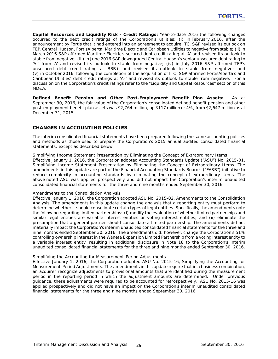**Capital Resources and Liquidity Risk - Credit Ratings:** Year-to-date 2016 the following changes occurred to the debt credit ratings of the Corporation's utilities: (i) in February 2016, after the announcement by Fortis that it had entered into an agreement to acquire ITC, S&P revised its outlook on TEP, Central Hudson, FortisAlberta, Maritime Electric and Caribbean Utilities to negative from stable; (ii) in March 2016 S&P affirmed Maritime Electric's secured debt credit rating at 'A' and revised its outlook to stable from negative; (iii) in June 2016 S&P downgraded Central Hudson's senior unsecured debt rating to 'A-' from 'A' and revised its outlook to stable from negative; (iv) in July 2016 S&P affirmed TEP's unsecured debt credit rating at BBB+ and revised its outlook to stable from negative; and (v) in October 2016, following the completion of the acquisition of ITC, S&P affirmed FortisAlberta's and Caribbean Utilities' debt credit ratings at 'A-' and revised its outlook to stable from negative. For a discussion on the Corporation's credit ratings refer to the "Liquidity and Capital Resources" section of this MD&A.

**Defined Benefit Pension and Other Post-Employment Benefit Plan Assets:** As at September 30, 2016, the fair value of the Corporation's consolidated defined benefit pension and other post-employment benefit plan assets was \$2,764 million, up \$117 million or 4%, from \$2,647 million as at December 31, 2015.

# **CHANGES IN ACCOUNTING POLICIES**

The interim consolidated financial statements have been prepared following the same accounting policies and methods as those used to prepare the Corporation's 2015 annual audited consolidated financial statements, except as described below.

*Simplifying Income Statement Presentation by Eliminating the Concept of Extraordinary Items* Effective January 1, 2016, the Corporation adopted Accounting Standards Update ("ASU") No. 2015-01, *Simplifying Income Statement Presentation by Eliminating the Concept of Extraordinary Items*. The amendments in this update are part of the Financial Accounting Standards Board's ("FASB") initiative to reduce complexity in accounting standards by eliminating the concept of extraordinary items. The above-noted ASU was applied prospectively and did not impact the Corporation's interim unaudited consolidated financial statements for the three and nine months ended September 30, 2016.

## *Amendments to the Consolidation Analysis*

Effective January 1, 2016, the Corporation adopted ASU No. 2015-02, *Amendments to the Consolidation Analysis*. The amendments in this update change the analysis that a reporting entity must perform to determine whether it should consolidate certain types of legal entities. Specifically, the amendments note the following regarding limited partnerships: (i) modify the evaluation of whether limited partnerships and similar legal entities are variable interest entities or voting interest entities; and (ii) eliminate the presumption that a general partner should consolidate a limited partnership. The amendments did not materially impact the Corporation's interim unaudited consolidated financial statements for the three and nine months ended September 30, 2016. The amendments did, however, change the Corporation's 51% controlling ownership interest in the Waneta Expansion Limited Partnership from a voting interest entity to a variable interest entity, resulting in additional disclosure in Note 18 to the Corporation's interim unaudited consolidated financial statements for the three and nine months ended September 30, 2016.

## *Simplifying the Accounting for Measurement-Period Adjustments*

Effective January 1, 2016, the Corporation adopted ASU No. 2015-16, *Simplifying the Accounting for Measurement-Period Adjustments*. The amendments in this update require that in a business combination, an acquirer recognize adjustments to provisional amounts that are identified during the measurement period in the reporting period in which the adjustment amounts are determined. Under previous guidance, these adjustments were required to be accounted for retrospectively. ASU No. 2015-16 was applied prospectively and did not have an impact on the Corporation's interim unaudited consolidated financial statements for the three and nine months ended September 30, 2016.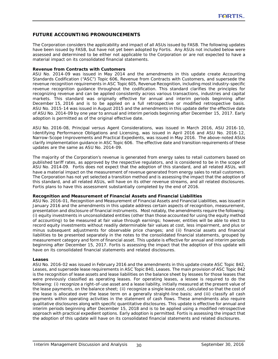# **FUTURE ACCOUNTING PRONOUNCEMENTS**

The Corporation considers the applicability and impact of all ASUs issued by FASB. The following updates have been issued by FASB, but have not yet been adopted by Fortis. Any ASUs not included below were assessed and determined to be either not applicable to the Corporation or are not expected to have a material impact on its consolidated financial statements.

## **Revenue from Contracts with Customers**

ASU No. 2014-09 was issued in May 2014 and the amendments in this update create Accounting Standards Codification ("ASC") Topic 606, *Revenue from Contracts with Customers*, and supersede the revenue recognition requirements in ASC Topic 605, *Revenue Recognition*, including most industry-specific revenue recognition guidance throughout the codification. This standard clarifies the principles for recognizing revenue and can be applied consistently across various transactions, industries and capital markets. This standard was originally effective for annual and interim periods beginning after December 15, 2016 and is to be applied on a full retrospective or modified retrospective basis. ASU No. 2015-14 was issued in August 2015 and the amendments in this update defer the effective date of ASU No. 2014-09 by one year to annual and interim periods beginning after December 15, 2017. Early adoption is permitted as of the original effective date.

ASU No. 2016-08, *Principal versus Agent Considerations*, was issued in March 2016, ASU 2016-10, *Identifying Performance Obligations and Licensing*, was issued in April 2016 and ASU No. 2016-12, *Narrow-Scope Improvements and Practical Expedients*, was issued in May 2016. The above-noted ASUs clarify implementation guidance in ASC Topic 606. The effective date and transition requirements of these updates are the same as ASU No. 2014-09.

The majority of the Corporation's revenue is generated from energy sales to retail customers based on published tariff rates, as approved by the respective regulators, and is considered to be in the scope of ASU No. 2014-09. Fortis does not expect that the adoption of this standard, and all related ASUs, will have a material impact on the measurement of revenue generated from energy sales to retail customers. The Corporation has not yet selected a transition method and is assessing the impact that the adoption of this standard, and all related ASUs, will have on its other revenue streams, and all related disclosures. Fortis plans to have this assessment substantially completed by the end of 2016.

## **Recognition and Measurement of Financial Assets and Financial Liabilities**

ASU No. 2016-01, *Recognition and Measurement of Financial Assets and Financial Liabilities*, was issued in January 2016 and the amendments in this update address certain aspects of recognition, measurement, presentation and disclosure of financial instruments. Most notably, the amendments require the following: (i) equity investments in unconsolidated entities (other than those accounted for using the equity method of accounting) to be measured at fair value through earnings; however, entities will be able to elect to record equity investments without readily determinable fair values at cost, less impairment, and plus or minus subsequent adjustments for observable price changes; and (ii) financial assets and financial liabilities to be presented separately in the notes to the consolidated financial statements, grouped by measurement category and form of financial asset. This update is effective for annual and interim periods beginning after December 15, 2017. Fortis is assessing the impact that the adoption of this update will have on its consolidated financial statements and related disclosures.

#### **Leases**

ASU No. 2016-02 was issued in February 2016 and the amendments in this update create ASC Topic 842, *Leases*, and supersede lease requirements in ASC Topic 840, *Leases*. The main provision of ASC Topic 842 is the recognition of lease assets and lease liabilities on the balance sheet by lessees for those leases that were previously classified as operating leases. For operating leases, a lessee is required to do the following: (i) recognize a right-of-use asset and a lease liability, initially measured at the present value of the lease payments, on the balance sheet; (ii) recognize a single lease cost, calculated so that the cost of the lease is allocated over the lease term on a generally straight-line basis; and (iii) classify all cash payments within operating activities in the statement of cash flows. These amendments also require qualitative disclosures along with specific quantitative disclosures. This update is effective for annual and interim periods beginning after December 15, 2018 and is to be applied using a modified retrospective approach with practical expedient options. Early adoption is permitted. Fortis is assessing the impact that the adoption of this update will have on its consolidated financial statements and related disclosures.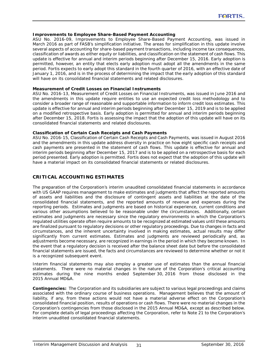## **Improvements to Employee Share-Based Payment Accounting**

ASU No. 2016-09, *Improvements to Employee Share-Based Payment Accounting,* was issued in March 2016 as part of FASB's simplification initiative. The areas for simplification in this update involve several aspects of accounting for share-based payment transactions, including income tax consequences, classification of awards as either equity or liabilities, and classification on the statement of cash flows. This update is effective for annual and interim periods beginning after December 15, 2016. Early adoption is permitted, however, an entity that elects early adoption must adopt all the amendments in the same period. Fortis expects to early adopt this standard in the fourth quarter of 2016, with an effective date of January 1, 2016, and is in the process of determining the impact that the early adoption of this standard will have on its consolidated financial statements and related disclosures.

#### **Measurement of Credit Losses on Financial Instruments**

ASU No. 2016-13, *Measurement of Credit Losses on Financial Instruments*, was issued in June 2016 and the amendments in this update require entities to use an expected credit loss methodology and to consider a broader range of reasonable and supportable information to inform credit loss estimates. This update is effective for annual and interim periods beginning after December 15, 2019 and is to be applied on a modified retrospective basis. Early adoption is permitted for annual and interim periods beginning after December 15, 2018. Fortis is assessing the impact that the adoption of this update will have on its consolidated financial statements and related disclosures.

## **Classification of Certain Cash Receipts and Cash Payments**

ASU No. 2016-15, *Classification of Certain Cash Receipts and Cash Payments*, was issued in August 2016 and the amendments in this update address diversity in practice on how eight specific cash receipts and cash payments are presented in the statement of cash flows. This update is effective for annual and interim periods beginning after December 15, 2017 and is to be applied on a retrospective basis for each period presented. Early adoption is permitted. Fortis does not expect that the adoption of this update will have a material impact on its consolidated financial statements or related disclosures.

## **CRITICAL ACCOUNTING ESTIMATES**

The preparation of the Corporation's interim unaudited consolidated financial statements in accordance with US GAAP requires management to make estimates and judgments that affect the reported amounts of assets and liabilities and the disclosure of contingent assets and liabilities at the date of the consolidated financial statements, and the reported amounts of revenue and expenses during the reporting periods. Estimates and judgments are based on historical experience, current conditions and various other assumptions believed to be reasonable under the circumstances. Additionally, certain estimates and judgments are necessary since the regulatory environments in which the Corporation's regulated utilities operate often require amounts to be recognized at estimated values until these amounts are finalized pursuant to regulatory decisions or other regulatory proceedings. Due to changes in facts and circumstances, and the inherent uncertainty involved in making estimates, actual results may differ significantly from current estimates. Estimates and judgments are reviewed periodically and, as adjustments become necessary, are recognized in earnings in the period in which they become known. In the event that a regulatory decision is received after the balance sheet date but before the consolidated financial statements are issued, the facts and circumstances are reviewed to determine whether or not it is a recognized subsequent event.

Interim financial statements may also employ a greater use of estimates than the annual financial statements. There were no material changes in the nature of the Corporation's critical accounting estimates during the nine months ended September 30, 2016 from those disclosed in the 2015 Annual MD&A.

**Contingencies:** The Corporation and its subsidiaries are subject to various legal proceedings and claims associated with the ordinary course of business operations. Management believes that the amount of liability, if any, from these actions would not have a material adverse effect on the Corporation's consolidated financial position, results of operations or cash flows. There were no material changes in the Corporation's contingencies from those disclosed in the 2015 Annual MD&A, except as described below. For complete details of legal proceedings affecting the Corporation, refer to Note 21 to the Corporation's interim unaudited consolidated financial statements.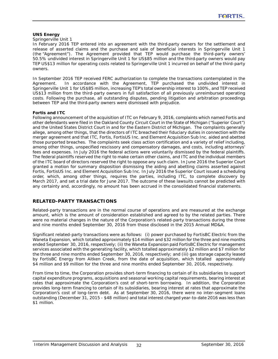## **UNS Energy**

#### *Springerville Unit 1*

In February 2016 TEP entered into an agreement with the third-party owners for the settlement and release of asserted claims and the purchase and sale of beneficial interests in Springerville Unit 1 (the "Agreement"). The Agreement provided that TEP would purchase the third-party owners' 50.5% undivided interest in Springerville Unit 1 for US\$85 million and the third-party owners would pay TEP US\$13 million for operating costs related to Springerville Unit 1 incurred on behalf of the third-party owners.

In September 2016 TEP received FERC authorization to complete the transactions contemplated in the Agreement. In accordance with the Agreement, TEP purchased the undivided interest in Springerville Unit 1 for US\$85 million, increasing TEP's total ownership interest to 100%, and TEP received US\$13 million from the third-party owners in full satisfaction of all previously unreimbursed operating costs. Following the purchase, all outstanding disputes, pending litigation and arbitration proceedings between TEP and the third-party owners were dismissed with prejudice.

## **Fortis and ITC**

Following announcement of the acquisition of ITC on February 9, 2016, complaints which named Fortis and other defendants were filed in the Oakland County Circuit Court in the State of Michigan ("Superior Court") and the United States District Court in and for the Eastern District of Michigan. The complaints generally allege, among other things, that the directors of ITC breached their fiduciary duties in connection with the merger agreement and that ITC, Fortis, FortisUS Inc. and Element Acquisition Sub Inc. aided and abetted those purported breaches. The complaints seek class action certification and a variety of relief including, among other things, unspecified rescissory and compensatory damages, and costs, including attorneys' fees and expenses. In July 2016 the federal actions were voluntarily dismissed by the federal plaintiffs. The federal plaintiffs reserved the right to make certain other claims, and ITC and the individual members of the ITC board of directors reserved the right to oppose any such claim. In June 2016 the Superior Court granted a motion for summary disposition dismissing the aiding and abetting claims asserted against Fortis, FortisUS Inc. and Element Acquisition Sub Inc. In July 2016 the Superior Court issued a scheduling order, which, among other things, requires the parties, including ITC, to complete discovery by March 2017, and set a trial date for June 2017. The outcome of these lawsuits cannot be predicted with any certainty and, accordingly, no amount has been accrued in the consolidated financial statements.

# **RELATED-PARTY TRANSACTIONS**

Related-party transactions are in the normal course of operations and are measured at the exchange amount, which is the amount of consideration established and agreed to by the related parties. There were no material changes in the nature of the Corporation's related-party transactions during the three and nine months ended September 30, 2016 from those disclosed in the 2015 Annual MD&A.

Significant related-party transactions were as follows: (i) power purchased by FortisBC Electric from the Waneta Expansion, which totalled approximately \$14 million and \$32 million for the three and nine months ended September 30, 2016, respectively; (ii) the Waneta Expansion paid FortisBC Electric for management services associated with the generating facility, which totalled approximately \$2 million and \$7 million for the three and nine months ended September 30, 2016, respectively; and (iii) gas storage capacity leased by FortisBC Energy from Aitken Creek, from the date of acquisition, which totalled approximately \$4 million and \$9 million for the three and nine months ended September 30, 2016, respectively.

From time to time, the Corporation provides short-term financing to certain of its subsidiaries to support capital expenditure programs, acquisitions and seasonal working capital requirements, bearing interest at rates that approximate the Corporation's cost of short-term borrowing. In addition, the Corporation provides long-term financing to certain of its subsidiaries, bearing interest at rates that approximate the Corporation's cost of long-term debt. As at September 30, 2016, there were no inter-segment loans outstanding (December 31, 2015 - \$48 million) and total interest charged year-to-date 2016 was less than \$1 million.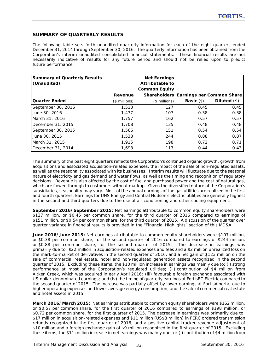# **SUMMARY OF QUARTERLY RESULTS**

The following table sets forth unaudited quarterly information for each of the eight quarters ended December 31, 2014 through September 30, 2016. The quarterly information has been obtained from the Corporation's interim unaudited consolidated financial statements. These financial results are not necessarily indicative of results for any future period and should not be relied upon to predict future performance.

| <b>Summary of Quarterly Results</b><br>(Unaudited) |                | <b>Net Earnings</b><br>Attributable to |                    |                                        |
|----------------------------------------------------|----------------|----------------------------------------|--------------------|----------------------------------------|
|                                                    |                | <b>Common Equity</b>                   |                    |                                        |
|                                                    | Revenue        |                                        |                    | Shareholders Earnings per Common Share |
| <b>Quarter Ended</b>                               | $($$ millions) | $($$ millions)                         | <b>Basic</b> $(s)$ | Diluted $(\$)$                         |
| September 30, 2016                                 | 1,510          | 127                                    | 0.45               | 0.45                                   |
| June 30, 2016                                      | 1.477          | 107                                    | 0.38               | 0.38                                   |
| March 31, 2016                                     | 1.757          | 162                                    | 0.57               | 0.57                                   |
| December 31, 2015                                  | 1,708          | 135                                    | 0.48               | 0.48                                   |
| September 30, 2015                                 | 1,566          | 151                                    | 0.54               | 0.54                                   |
| June 30, 2015                                      | 1,538          | 244                                    | 0.88               | 0.87                                   |
| March 31, 2015                                     | 1,915          | 198                                    | 0.72               | 0.71                                   |
| December 31, 2014                                  | 1,693          | 113                                    | 0.44               | 0.43                                   |

The summary of the past eight quarters reflects the Corporation's continued organic growth, growth from acquisitions and associated acquisition-related expenses, the impact of the sale of non-regulated assets, as well as the seasonality associated with its businesses. Interim results will fluctuate due to the seasonal nature of electricity and gas demand and water flows, as well as the timing and recognition of regulatory decisions. Revenue is also affected by the cost of fuel and purchased power and the cost of natural gas, which are flowed through to customers without markup. Given the diversified nature of the Corporation's subsidiaries, seasonality may vary. Most of the annual earnings of the gas utilities are realized in the first and fourth quarters. Earnings for UNS Energy and Central Hudson's electric utilities are generally highest in the second and third quarters due to the use of air conditioning and other cooling equipment.

**September 2016/September 2015:** Net earnings attributable to common equity shareholders were \$127 million, or \$0.45 per common share, for the third quarter of 2016 compared to earnings of \$151 million, or \$0.54 per common share, for the third quarter of 2015. A discussion of the quarter over quarter variance in financial results is provided in the "Financial Highlights" section of this MD&A.

**June 2016/June 2015:** Net earnings attributable to common equity shareholders were \$107 million, or \$0.38 per common share, for the second quarter of 2016 compared to earnings of \$244 million, or \$0.88 per common share, for the second quarter of 2015. The decrease in earnings was primarily due to: \$22 million in acquisition-related expenses and fees and a \$2 million unrealized loss on the mark-to-market of derivatives in the second quarter of 2016, and a net gain of \$123 million on the sale of commercial real estate, hotel and non-regulated generation assets recognized in the second quarter of 2015. Excluding these items, the \$10 million increase in earnings was mainly due to: (i) strong performance at most of the Corporation's regulated utilities; (ii) contribution of \$4 million from Aitken Creek, which was acquired in early April 2016; (iii) favourable foreign exchange associated with US dollar-denominated earnings; and (iv) the timing of quarterly earnings at FortisBC Electric compared to the second quarter of 2015. The increase was partially offset by lower earnings at FortisAlberta, due to higher operating expenses and lower average energy consumption, and the sale of commercial real estate and hotel assets in 2015.

**March 2016/March 2015:** Net earnings attributable to common equity shareholders were \$162 million, or \$0.57 per common share, for the first quarter of 2016 compared to earnings of \$198 million, or \$0.72 per common share, for the first quarter of 2015. The decrease in earnings was primarily due to: \$17 million in acquisition-related expenses and \$11 million (US\$8 million) in FERC ordered transmission refunds recognized in the first quarter of 2016, and a positive capital tracker revenue adjustment of \$10 million and a foreign exchange gain of \$9 million recognized in the first quarter of 2015. Excluding these items, the \$11 million increase in net earnings was mainly due to: (i) contribution of \$4 million from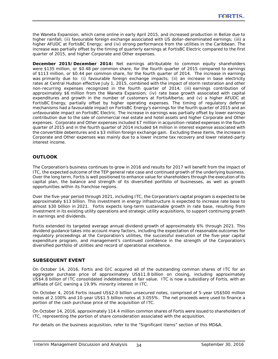the Waneta Expansion, which came online in early April 2015, and increased production in Belize due to higher rainfall; (ii) favourable foreign exchange associated with US dollar-denominated earnings; (iii) a higher AFUDC at FortisBC Energy; and (iv) strong performance from the utilities in the Caribbean. The increase was partially offset by the timing of quarterly earnings at FortisBC Electric compared to the first quarter of 2015, and higher Corporate and Other expenses.

**December 2015/December 2014:** Net earnings attributable to common equity shareholders were \$135 million, or \$0.48 per common share, for the fourth quarter of 2015 compared to earnings of \$113 million, or \$0.44 per common share, for the fourth quarter of 2014. The increase in earnings was primarily due to: (i) favourable foreign exchange impacts; (ii) an increase in base electricity rates at Central Hudson effective July 1, 2015, combined with the impact of storm restoration and other non-recurring expenses recognized in the fourth quarter of 2014; (iii) earnings contribution of approximately \$6 million from the Waneta Expansion; (iv) rate base growth associated with capital expenditures and growth in the number of customers at FortisAlberta; and (v) a higher AFUDC at FortisBC Energy, partially offset by higher operating expenses. The timing of regulatory deferral mechanisms had a favourable impact on FortisBC Energy's earnings for the fourth quarter of 2015 and an unfavourable impact on FortisBC Electric. The increase in earnings was partially offset by lower earnings contribution due to the sale of commercial real estate and hotel assets and higher Corporate and Other expenses. Corporate and Other expenses included \$7 million in acquisition-related expenses in the fourth quarter of 2015 and in the fourth quarter of 2014 included \$4 million in interest expense associated with the convertible debentures and a \$3 million foreign exchange gain. Excluding these items, the increase in Corporate and Other expenses was mainly due to a lower income tax recovery and lower related-party interest income.

# **OUTLOOK**

The Corporation's business continues to grow in 2016 and results for 2017 will benefit from the impact of ITC, the expected outcome of the TEP general rate case and continued growth of the underlying business. Over the long term, Fortis is well positioned to enhance value for shareholders through the execution of its capital plan, the balance and strength of its diversified portfolio of businesses, as well as growth opportunities within its franchise regions.

Over the five-year period through 2021, including ITC, the Corporation's capital program is expected to be approximately \$13 billion. This investment in energy infrastructure is expected to increase rate base to almost \$30 billion in 2021. Fortis expects long-term sustainable growth in rate base, resulting from investment in its existing utility operations and strategic utility acquisitions, to support continuing growth in earnings and dividends.

Fortis extended its targeted average annual dividend growth of approximately 6% through 2021. This dividend guidance takes into account many factors, including the expectation of reasonable outcomes for regulatory proceedings at the Corporation's utilities, the successful execution of the five-year capital expenditure program, and management's continued confidence in the strength of the Corporation's diversified portfolio of utilities and record of operational excellence.

# **SUBSEQUENT EVENT**

On October 14, 2016, Fortis and GIC acquired all of the outstanding common shares of ITC for an aggregate purchase price of approximately US\$11.8 billion on closing, including approximately US\$4.8 billion of ITC consolidated indebtedness at fair value. ITC is now a subsidiary of Fortis, with an affiliate of GIC owning a 19.9% minority interest in ITC.

On October 4, 2016 Fortis issued US\$2.0 billion unsecured notes, comprised of 5-year US\$500 million notes at 2.100% and 10-year US\$1.5 billion notes at 3.055%. The net proceeds were used to finance a portion of the cash purchase price of the acquisition of ITC.

On October 14, 2016, approximately 114.4 million common shares of Fortis were issued to shareholders of ITC, representing the portion of share consideration associated with the acquisition.

For details on the business acquisition, refer to the "Significant Items" section of this MD&A.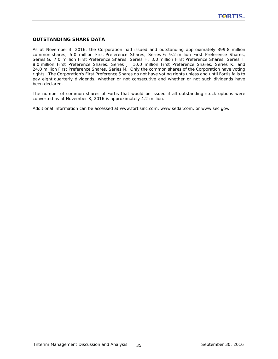# **OUTSTANDING SHARE DATA**

As at November 3, 2016, the Corporation had issued and outstanding approximately 399.8 million common shares; 5.0 million First Preference Shares, Series F; 9.2 million First Preference Shares, Series G; 7.0 million First Preference Shares, Series H; 3.0 million First Preference Shares, Series I; 8.0 million First Preference Shares, Series J; 10.0 million First Preference Shares, Series K; and 24.0 million First Preference Shares, Series M. Only the common shares of the Corporation have voting rights. The Corporation's First Preference Shares do not have voting rights unless and until Fortis fails to pay eight quarterly dividends, whether or not consecutive and whether or not such dividends have been declared.

The number of common shares of Fortis that would be issued if all outstanding stock options were converted as at November 3, 2016 is approximately 4.2 million.

Additional information can be accessed at [www.fortisinc.com,](http://www.fortisinc.com) [www.sedar.com, or](http://www.sedar.com) [www.sec.gov.](http://www.sec.gov)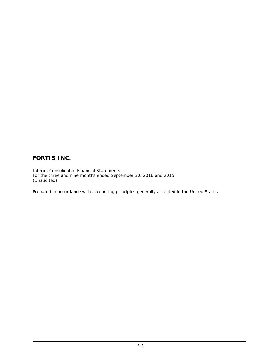# **FORTIS INC.**

Interim Consolidated Financial Statements For the three and nine months ended September 30, 2016 and 2015 (Unaudited)

Prepared in accordance with accounting principles generally accepted in the United States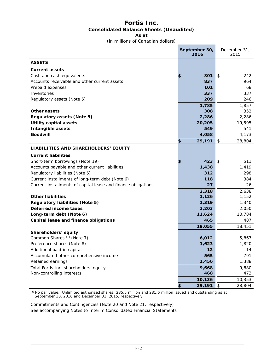# **Fortis Inc. Consolidated Balance Sheets (Unaudited) As at**

(in millions of Canadian dollars)

 $\sim$   $\sim$ 

|                                                               | September 30,<br>2016 | December 31,<br>2015 |
|---------------------------------------------------------------|-----------------------|----------------------|
| <b>ASSETS</b>                                                 |                       |                      |
| <b>Current assets</b>                                         |                       |                      |
| Cash and cash equivalents                                     | 301                   | 242<br>\$            |
| Accounts receivable and other current assets                  | 837                   | 964                  |
| Prepaid expenses                                              | 101                   | 68                   |
| Inventories                                                   | 337                   | 337                  |
| Regulatory assets (Note 5)                                    | 209                   | 246                  |
|                                                               | 1,785                 | 1,857                |
| Other assets                                                  | 308                   | 352                  |
| <b>Regulatory assets (Note 5)</b>                             | 2,286                 | 2,286                |
| <b>Utility capital assets</b>                                 | 20,205                | 19,595               |
| <b>Intangible assets</b>                                      | 549                   | 541                  |
| Goodwill                                                      | 4,058                 | 4,173                |
|                                                               | \$<br>29,191          | \$<br>28,804         |
| LIABILITIES AND SHAREHOLDERS' EQUITY                          |                       |                      |
| <b>Current liabilities</b>                                    |                       |                      |
| Short-term borrowings (Note 19)                               | 423                   | 511<br>\$            |
| Accounts payable and other current liabilities                | 1,438                 | 1,419                |
| Regulatory liabilities (Note 5)                               | 312                   | 298                  |
| Current installments of long-term debt (Note 6)               | 118                   | 384                  |
| Current installments of capital lease and finance obligations | 27                    | 26                   |
|                                                               | 2,318                 | 2,638                |
| <b>Other liabilities</b>                                      | 1,126                 | 1,152                |
| <b>Regulatory liabilities (Note 5)</b>                        | 1,319                 | 1,340                |
| Deferred income taxes                                         | 2,203                 | 2,050                |
| Long-term debt (Note 6)                                       | 11,624                | 10,784               |
| Capital lease and finance obligations                         | 465                   | 487                  |
|                                                               | 19,055                | 18,451               |
| Shareholders' equity                                          |                       |                      |
| Common Shares (1) (Note 7)                                    | 6,012                 | 5,867                |
| Preference shares (Note 8)                                    | 1,623                 | 1,820                |
| Additional paid-in capital                                    | 12                    | 14                   |
| Accumulated other comprehensive income                        | 565                   | 791                  |
| Retained earnings                                             | 1,456                 | 1,388                |
| Total Fortis Inc. shareholders' equity                        | 9,668                 | 9,880                |
| Non-controlling interests                                     | 468                   | 473                  |
|                                                               | 10,136<br>\$          | 10,353               |
|                                                               | 29,191                | \$<br>28,804         |

*(1) No par value. Unlimited authorized shares; 285.5 million and 281.6 million issued and outstanding as at September 30, 2016 and December 31, 2015, respectively*

Commitments and Contingencies (Note 20 and Note 21, respectively) See accompanying Notes to Interim Consolidated Financial Statements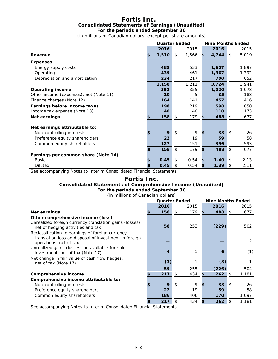# **Fortis Inc. Consolidated Statements of Earnings (Unaudited) For the periods ended September 30**

(in millions of Canadian dollars, except per share amounts)

|                                        | <b>Quarter Ended</b> |             | <b>Nine Months Ended</b> |             |
|----------------------------------------|----------------------|-------------|--------------------------|-------------|
|                                        | 2016                 | 2015        | 2016                     | 2015        |
| Revenue                                | \$<br>1,510          | \$<br>1,566 | \$<br>4,744              | \$<br>5,019 |
| <b>Expenses</b>                        |                      |             |                          |             |
| Energy supply costs                    | 485                  | 533         | 1,657                    | 1,897       |
| Operating                              | 439                  | 461         | 1,367                    | 1,392       |
| Depreciation and amortization          | 234                  | 217         | 700                      | 652         |
|                                        | 1,158                | 1,211       | 3,724                    | 3,941       |
| <b>Operating income</b>                | 352                  | 355         | 1,020                    | 1,078       |
| Other income (expenses), net (Note 11) | 10                   | 5           | 35                       | 188         |
| Finance charges (Note 12)              | 164                  | 141         | 457                      | 416         |
| Earnings before income taxes           | 198                  | 219         | 598                      | 850         |
| Income tax expense (Note 13)           | 40                   | 40          | 110                      | 173         |
| <b>Net earnings</b>                    | 158                  | \$<br>179   | \$<br>488                | \$<br>677   |
| Net earnings attributable to:          |                      |             |                          |             |
| Non-controlling interests              | 9                    | \$<br>9     | \$<br>33                 | \$<br>26    |
| Preference equity shareholders         | 22                   | 19          | 59                       | 58          |
| Common equity shareholders             | 127                  | 151         | 396                      | 593         |
|                                        | 158                  | \$<br>179   | \$<br>488                | \$<br>677   |
| Earnings per common share (Note 14)    |                      |             |                          |             |
| Basic                                  | 0.45                 | \$<br>0.54  | \$<br>1.40               | \$<br>2.13  |
| <b>Diluted</b>                         | 0.45                 | \$<br>0.54  | \$<br>1.39               | \$<br>2.11  |

See accompanying Notes to Interim Consolidated Financial Statements

# **Fortis Inc. Consolidated Statements of Comprehensive Income (Unaudited) For the periods ended September 30**

(in millions of Canadian dollars)

|                                                                                                                                     |      | <b>Quarter Ended</b> | <b>Nine Months Ended</b> |     |       |
|-------------------------------------------------------------------------------------------------------------------------------------|------|----------------------|--------------------------|-----|-------|
|                                                                                                                                     | 2016 | 2015                 | 2016                     |     | 2015  |
| Net earnings                                                                                                                        | 158  | 179<br>\$            | \$<br>488                | \$  | 677   |
| Other comprehensive income (loss)                                                                                                   |      |                      |                          |     |       |
| Unrealized foreign currency translation gains (losses),<br>net of hedging activities and tax                                        | 58   | 253                  | (229)                    |     | 502   |
| Reclassification to earnings of foreign currency<br>translation loss on disposal of investment in foreign<br>operations, net of tax |      |                      |                          |     | 2     |
| Unrealized gains (losses) on available-for-sale<br>investment, net of tax (Note 17)                                                 | 4    |                      | 6                        |     | (1)   |
| Net change in fair value of cash flow hedges,<br>net of tax (Note 17)                                                               | (3)  |                      | (3)                      |     |       |
|                                                                                                                                     | 59   | 255                  | (226)                    |     | 504   |
| Comprehensive income                                                                                                                | 217  | 434<br>\$.           | \$<br>262                | \$. | 1,181 |
| Comprehensive income attributable to:                                                                                               |      |                      |                          |     |       |
| Non-controlling interests                                                                                                           | 9    | 9<br>\$              | 33                       | \$  | 26    |
| Preference equity shareholders                                                                                                      | 22   | 19                   | 59                       |     | 58    |
| Common equity shareholders                                                                                                          | 186  | 406                  | 170                      |     | 1,097 |
|                                                                                                                                     | 217  | 434                  | \$<br>262                | \$  | 1,181 |

See accompanying Notes to Interim Consolidated Financial Statements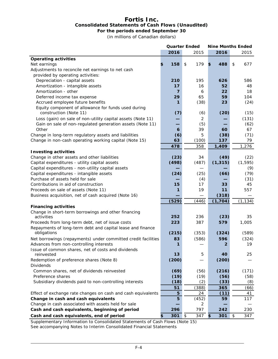# **Fortis Inc. Consolidated Statements of Cash Flows (Unaudited) For the periods ended September 30**

(in millions of Canadian dollars)

|                                                                               |           | <b>Quarter Ended</b>       |                |                | <b>Nine Months Ended</b> |
|-------------------------------------------------------------------------------|-----------|----------------------------|----------------|----------------|--------------------------|
|                                                                               | 2016      |                            | 2015           | 2016           | 2015                     |
| <b>Operating activities</b>                                                   |           |                            |                |                |                          |
| Net earnings                                                                  | \$<br>158 | \$                         | 179            | \$<br>488      | \$<br>677                |
| Adjustments to reconcile net earnings to net cash                             |           |                            |                |                |                          |
| provided by operating activities:                                             |           |                            |                |                |                          |
| Depreciation - capital assets                                                 | 210       |                            | 195            | 626            | 586                      |
| Amortization - intangible assets                                              | 17        |                            | 16             | 52             | 48                       |
| Amortization - other                                                          | 7         |                            | 6              | 22             | 18                       |
| Deferred income tax expense                                                   | 29        |                            | 65             | 59             | 104                      |
| Accrued employee future benefits                                              | 1         |                            | (38)           | 23             | (24)                     |
| Equity component of allowance for funds used during<br>construction (Note 11) | (7)       |                            | (6)            | (20)           | (15)                     |
| Loss (gain) on sale of non-utility capital assets (Note 11)                   |           |                            | $\overline{c}$ |                | (131)                    |
| Gain on sale of non-regulated generation assets (Note 11)                     |           |                            | (5)            |                | (62)                     |
| Other                                                                         | 6         |                            | 39             | 60             | 67                       |
| Change in long-term regulatory assets and liabilities                         | (6)       |                            | 5              | (38)           | (71)                     |
| Change in non-cash operating working capital (Note 15)                        | 63        |                            | (100)          | 137            | 79                       |
|                                                                               | 478       |                            | 358            | 1,409          | 1,276                    |
| <b>Investing activities</b>                                                   |           |                            |                |                |                          |
| Change in other assets and other liabilities                                  | (23)      |                            | 34             | (49)           | (22)                     |
| Capital expenditures - utility capital assets                                 | (498)     |                            | (487)          | (1, 315)       | (1, 595)                 |
| Capital expenditures - non-utility capital assets                             |           |                            |                |                | (9)                      |
| Capital expenditures - intangible assets                                      | (24)      |                            | (25)           | (66)           | (79)                     |
| Purchase of assets held for sale                                              |           |                            | (4)            |                | (31)                     |
| Contributions in aid of construction                                          | 15        |                            | 17             | 33             | 45                       |
| Proceeds on sale of assets (Note 11)                                          | 1         |                            | 19             | 11             | 557                      |
| Business acquisition, net of cash acquired (Note 16)                          |           |                            |                | (318)          |                          |
|                                                                               | (529)     |                            | (446)          | (1, 704)       | (1, 134)                 |
| <b>Financing activities</b>                                                   |           |                            |                |                |                          |
| Change in short-term borrowings and other financing<br>activities             | 252       |                            | 236            | (23)           | 35                       |
| Proceeds from long-term debt, net of issue costs                              | 223       |                            | 387            | 579            | 1,005                    |
| Repayments of long-term debt and capital lease and finance                    |           |                            |                |                |                          |
| obligations                                                                   | (215)     |                            | (353)          | (324)          | (589)                    |
| Net borrowings (repayments) under committed credit facilities                 | 83        |                            | (586)          | 596            | (324)                    |
| Advances from non-controlling interests                                       | 1         |                            |                | $\overline{2}$ | 19                       |
| Issue of common shares, net of costs and dividends<br>reinvested              | 13        |                            | 5              | 40             | 25                       |
| Redemption of preference shares (Note 8)<br><b>Dividends</b>                  | (200)     |                            |                | (200)          |                          |
| Common shares, net of dividends reinvested                                    | (69)      |                            | (56)           | (216)          | (171)                    |
| Preference shares                                                             | (19)      |                            | (19)           | (56)           | (58)                     |
| Subsidiary dividends paid to non-controlling interests                        | (18)      |                            | (2)            | (33)           | (8)                      |
|                                                                               | 51        |                            | (388)          | 365            | (66)                     |
| Effect of exchange rate changes on cash and cash equivalents                  | 5         |                            | 24             | (11)           | 41                       |
| Change in cash and cash equivalents                                           | 5         |                            | (452)          | 59             | 117                      |
| Change in cash associated with assets held for sale                           |           |                            | 2              |                |                          |
| Cash and cash equivalents, beginning of period                                | 296       |                            | 797            | 242            | 230                      |
| Cash and cash equivalents, end of period                                      | \$<br>301 | $\boldsymbol{\mathsf{\$}}$ | 347            | \$<br>301      | \$<br>347                |

Supplementary Information to Consolidated Statements of Cash Flows (Note 15) See accompanying Notes to Interim Consolidated Financial Statements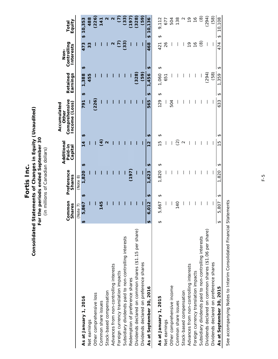Fortis Inc. **Fortis Inc.**

# Consolidated Statements of Changes in Equity (Unaudited)<br>For the periods ended September 30<br>(in millions of Canadian dollars) **Consolidated Statements of Changes in Equity (Unaudited) For the periods ended September 30** (in millions of Canadian dollars)

|                                                        |                         | Common<br><b>Shares</b> |                       | Preference<br><b>Shares</b> | Additiona<br>Paid-in<br>Capital |                                               | Comprehensive<br>Income (Loss)<br>Accumulated<br>Other | Retained<br>Earnings   |                                 | Controlling<br>Interests<br>Non- |          | Equity<br>Total   |
|--------------------------------------------------------|-------------------------|-------------------------|-----------------------|-----------------------------|---------------------------------|-----------------------------------------------|--------------------------------------------------------|------------------------|---------------------------------|----------------------------------|----------|-------------------|
|                                                        |                         | (Note 7)                |                       | (Note 8)                    |                                 |                                               |                                                        |                        |                                 |                                  |          |                   |
| As at January 1, 2016                                  | ₩                       | 5,867                   | ₩                     | 1,820                       | ₩                               | ₩<br>$\overline{4}$                           | 791                                                    | ₩                      | ₩<br>,388                       | 473                              | \$10,353 |                   |
| Net earnings                                           |                         |                         |                       |                             |                                 |                                               |                                                        |                        | 455                             | 33                               |          | 488               |
| Other comprehensive loss                               |                         |                         |                       |                             |                                 |                                               | (226)                                                  |                        |                                 |                                  |          | (226)             |
| Common share issues                                    |                         | 45                      |                       |                             |                                 | <u>न</u>                                      |                                                        |                        |                                 |                                  |          | 141               |
| Stock-based compensation                               |                         |                         |                       |                             |                                 | $\mathbf 2$                                   |                                                        |                        |                                 |                                  |          |                   |
| Advances from non-controlling interests                |                         |                         |                       |                             |                                 |                                               |                                                        |                        |                                 | $\mathbf{\Omega}$                |          | $\mathbf{\Omega}$ |
| Foreign currency translation impacts                   |                         |                         |                       |                             |                                 |                                               |                                                        |                        |                                 | C)                               |          | C)                |
| Subsidiary dividends paid to non-controlling interests |                         |                         |                       |                             |                                 |                                               |                                                        |                        |                                 | (33)                             |          | (33)              |
| Redemption of preference shares                        |                         |                         |                       | (197)                       |                                 |                                               |                                                        |                        |                                 |                                  |          | (197)             |
| Dividends declared on common shares (\$1.15 per share) |                         |                         |                       |                             |                                 |                                               |                                                        |                        | (328)                           |                                  |          | (328)             |
| Dividends declared on preference shares                |                         |                         |                       |                             |                                 |                                               |                                                        |                        | (59)                            |                                  |          | (59)              |
| As at September 30, 2016                               | $\overline{\mathbf{r}}$ | 6,012                   | $\boldsymbol{\theta}$ | .623                        | $\boldsymbol{\theta}$           | $\boldsymbol{\vartheta}$<br>$\mathbf{\Omega}$ | 565                                                    | $\boldsymbol{\theta}$  | $\boldsymbol{\theta}$<br>,456   | 468                              | $\theta$ | 10,136            |
| As at January 1, 2015                                  | ↮                       | 5,667                   | ↮                     | 1,820                       | ↮                               | ↮<br>ഥ                                        | 129                                                    | ↮                      | ↮<br>1,060                      | 421                              | ↮        | 9,112             |
| Net earnings                                           |                         |                         |                       |                             |                                 |                                               |                                                        |                        | 651                             | 26                               |          | 677               |
| Other comprehensive income                             |                         |                         |                       |                             |                                 |                                               | 504                                                    |                        |                                 |                                  |          | 504               |
| Common share issues                                    |                         | 140                     |                       |                             |                                 | $\widehat{\Omega}$                            |                                                        |                        |                                 |                                  |          | 138               |
| Stock-based compensation                               |                         |                         |                       |                             |                                 | $\mathbf 2$                                   |                                                        |                        |                                 |                                  |          |                   |
| Advances from non-controlling interests                |                         |                         |                       |                             |                                 |                                               |                                                        |                        |                                 | $\frac{6}{1}$                    |          | $\frac{1}{2}$     |
| Foreign currency translation impacts                   |                         |                         |                       |                             |                                 |                                               |                                                        |                        |                                 | $\frac{6}{1}$                    |          | $\frac{6}{2}$     |
| Subsidiary dividends paid to non-controlling interests |                         |                         |                       |                             |                                 |                                               |                                                        |                        |                                 | ම                                |          | ම                 |
| Dividends declared on common shares (\$1.06 per share) |                         |                         |                       |                             |                                 |                                               |                                                        |                        | (294)                           |                                  |          | (294)             |
| Dividends declared on preference shares                |                         |                         |                       |                             |                                 |                                               |                                                        |                        | (58)                            |                                  |          | (58)              |
| As at September 30, 2015                               | $\theta$                | 5,807                   | ↮                     | 1,820                       | $\boldsymbol{\varphi}$          | ↮<br>$\frac{5}{3}$                            | 633                                                    | $\boldsymbol{\varphi}$ | $\boldsymbol{\varphi}$<br>1,359 | 474                              | ↮        | 10,108            |

See accompanying Notes to Interim Consolidated Financial Statements See accompanying Notes to Interim Consolidated Financial Statements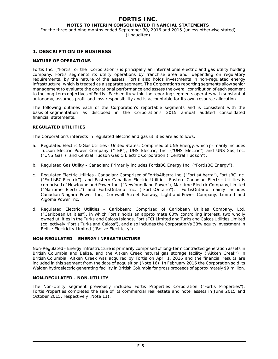For the three and nine months ended September 30, 2016 and 2015 (unless otherwise stated)

(Unaudited)

# **1. DESCRIPTION OF BUSINESS**

## **NATURE OF OPERATIONS**

Fortis Inc. ("Fortis" or the "Corporation") is principally an international electric and gas utility holding company. Fortis segments its utility operations by franchise area and, depending on regulatory requirements, by the nature of the assets. Fortis also holds investments in non-regulated energy infrastructure, which is treated as a separate segment. The Corporation's reporting segments allow senior management to evaluate the operational performance and assess the overall contribution of each segment to the long-term objectives of Fortis. Each entity within the reporting segments operates with substantial autonomy, assumes profit and loss responsibility and is accountable for its own resource allocation.

The following outlines each of the Corporation's reportable segments and is consistent with the basis of segmentation as disclosed in the Corporation's 2015 annual audited consolidated financial statements.

## **REGULATED UTILITIES**

The Corporation's interests in regulated electric and gas utilities are as follows:

- a. *Regulated Electric & Gas Utilities United States:* Comprised of UNS Energy, which primarily includes Tucson Electric Power Company ("TEP"), UNS Electric, Inc. ("UNS Electric") and UNS Gas, Inc. ("UNS Gas"), and Central Hudson Gas & Electric Corporation ("Central Hudson").
- b. *Regulated Gas Utility Canadian:* Primarily includes FortisBC Energy Inc. ("FortisBC Energy").
- c. *Regulated Electric Utilities Canadian:* Comprised of FortisAlberta Inc. ("FortisAlberta"), FortisBC Inc. ("FortisBC Electric"), and Eastern Canadian Electric Utilities. Eastern Canadian Electric Utilities is comprised of Newfoundland Power Inc. ("Newfoundland Power"), Maritime Electric Company, Limited<br>("Maritime Electric") and FortisOntario Inc. ("FortisOntario"). FortisOntario mainly includes ("Maritime Electric") and FortisOntario Inc. ("FortisOntario"). Canadian Niagara Power Inc., Cornwall Street Railway, Light and Power Company, Limited and Algoma Power Inc.
- d. *Regulated Electric Utilities Caribbean:* Comprised of Caribbean Utilities Company, Ltd. ("Caribbean Utilities"), in which Fortis holds an approximate 60% controlling interest, two wholly owned utilities in the Turks and Caicos Islands, FortisTCI Limited and Turks and Caicos Utilities Limited (collectively "Fortis Turks and Caicos"), and also includes the Corporation's 33% equity investment in Belize Electricity Limited ("Belize Electricity").

## **NON-REGULATED – ENERGY INFRASTRUCTURE**

Non-Regulated - Energy Infrastructure is primarily comprised of long-term contracted generation assets in British Columbia and Belize, and the Aitken Creek natural gas storage facility ("Aitken Creek") in British Columbia. Aitken Creek was acquired by Fortis on April 1, 2016 and the financial results are included in this segment from the date of acquisition (Note 16). In February 2016 the Corporation sold its Walden hydroelectric generating facility in British Columbia for gross proceeds of approximately \$9 million.

## **NON-REGULATED - NON-UTILITY**

The Non-Utility segment previously included Fortis Properties Corporation ("Fortis Properties"). Fortis Properties completed the sale of its commercial real estate and hotel assets in June 2015 and October 2015, respectively (Note 11).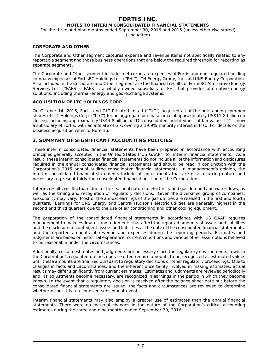# **FORTIS INC.**

## **NOTES TO INTERIM CONSOLIDATED FINANCIAL STATEMENTS**

For the three and nine months ended September 30, 2016 and 2015 (unless otherwise stated)

(Unaudited)

## **CORPORATE AND OTHER**

The Corporate and Other segment captures expense and revenue items not specifically related to any reportable segment and those business operations that are below the required threshold for reporting as separate segments.

The Corporate and Other segment includes net corporate expenses of Fortis and non-regulated holding company expenses of FortisBC Holdings Inc. ("FHI"), CH Energy Group, Inc. and UNS Energy Corporation. Also included in the Corporate and Other segment are the financial results of FortisBC Alternative Energy Services Inc. ("FAES"). FAES is a wholly owned subsidiary of FHI that provides alternative energy solutions, including thermal-energy and geo-exchange systems.

# **ACQUISITION OF ITC HOLDINGS CORP.**

On October 14, 2016, Fortis and GIC Private Limited ("GIC") acquired all of the outstanding common shares of ITC Holdings Corp. ("ITC") for an aggregate purchase price of approximately US\$11.8 billion on closing, including approximately US\$4.8 billion of ITC consolidated indebtedness at fair value. ITC is now a subsidiary of Fortis, with an affiliate of GIC owning a 19.9% minority interest in ITC. For details on the business acquisition refer to Note 16.

# **2. SUMMARY OF SIGNIFICANT ACCOUNTING POLICIES**

These interim consolidated financial statements have been prepared in accordance with accounting principles generally accepted in the United States ("US GAAP") for interim financial statements. As a result, these interim consolidated financial statements do not include all of the information and disclosures required in the annual consolidated financial statements and should be read in conjunction with the Corporation's 2015 annual audited consolidated financial statements. In management's opinion, the interim consolidated financial statements include all adjustments that are of a recurring nature and necessary to present fairly the consolidated financial position of the Corporation.

Interim results will fluctuate due to the seasonal nature of electricity and gas demand and water flows, as well as the timing and recognition of regulatory decisions. Given the diversified group of companies, seasonality may vary. Most of the annual earnings of the gas utilities are realized in the first and fourth quarters. Earnings for UNS Energy and Central Hudson's electric utilities are generally highest in the second and third quarters due to the use of air conditioning and other cooling equipment.

The preparation of the consolidated financial statements in accordance with US GAAP requires management to make estimates and judgments that affect the reported amounts of assets and liabilities and the disclosure of contingent assets and liabilities at the date of the consolidated financial statements, and the reported amounts of revenue and expenses during the reporting periods. Estimates and judgments are based on historical experience, current conditions and various other assumptions believed to be reasonable under the circumstances.

Additionally, certain estimates and judgments are necessary since the regulatory environments in which the Corporation's regulated utilities operate often require amounts to be recognized at estimated values until these amounts are finalized pursuant to regulatory decisions or other regulatory proceedings. Due to changes in facts and circumstances, and the inherent uncertainty involved in making estimates, actual results may differ significantly from current estimates. Estimates and judgments are reviewed periodically and, as adjustments become necessary, are recognized in earnings in the period in which they become known. In the event that a regulatory decision is received after the balance sheet date but before the consolidated financial statements are issued, the facts and circumstances are reviewed to determine whether or not it is a recognized subsequent event.

Interim financial statements may also employ a greater use of estimates than the annual financial statements. There were no material changes in the nature of the Corporation's critical accounting estimates during the three and nine months ended September 30, 2016.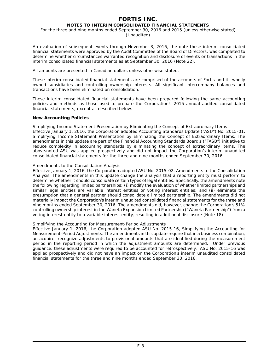For the three and nine months ended September 30, 2016 and 2015 (unless otherwise stated)

(Unaudited)

An evaluation of subsequent events through November 3, 2016, the date these interim consolidated financial statements were approved by the Audit Committee of the Board of Directors, was completed to determine whether circumstances warranted recognition and disclosure of events or transactions in the interim consolidated financial statements as at September 30, 2016 (Note 22).

All amounts are presented in Canadian dollars unless otherwise stated.

These interim consolidated financial statements are comprised of the accounts of Fortis and its wholly owned subsidiaries and controlling ownership interests. All significant intercompany balances and transactions have been eliminated on consolidation.

These interim consolidated financial statements have been prepared following the same accounting policies and methods as those used to prepare the Corporation's 2015 annual audited consolidated financial statements, except as described below.

## **New Accounting Policies**

*Simplifying Income Statement Presentation by Eliminating the Concept of Extraordinary Items*  Effective January 1, 2016, the Corporation adopted Accounting Standards Update ("ASU") No. 2015-01, *Simplifying Income Statement Presentation by Eliminating the Concept of Extraordinary Items*. The amendments in this update are part of the Financial Accounting Standards Board's ("FASB") initiative to reduce complexity in accounting standards by eliminating the concept of extraordinary items. The above-noted ASU was applied prospectively and did not impact the Corporation's interim unaudited consolidated financial statements for the three and nine months ended September 30, 2016.

## *Amendments to the Consolidation Analysis*

Effective January 1, 2016, the Corporation adopted ASU No. 2015-02, *Amendments to the Consolidation Analysis*. The amendments in this update change the analysis that a reporting entity must perform to determine whether it should consolidate certain types of legal entities. Specifically, the amendments note the following regarding limited partnerships: (i) modify the evaluation of whether limited partnerships and similar legal entities are variable interest entities or voting interest entities; and (ii) eliminate the presumption that a general partner should consolidate a limited partnership. The amendments did not materially impact the Corporation's interim unaudited consolidated financial statements for the three and nine months ended September 30, 2016. The amendments did, however, change the Corporation's 51% controlling ownership interest in the Waneta Expansion Limited Partnership ("Waneta Partnership") from a voting interest entity to a variable interest entity, resulting in additional disclosure (Note 18).

## *Simplifying the Accounting for Measurement-Period Adjustments*

Effective January 1, 2016, the Corporation adopted ASU No. 2015-16, *Simplifying the Accounting for Measurement-Period Adjustments*. The amendments in this update require that in a business combination, an acquirer recognize adjustments to provisional amounts that are identified during the measurement period in the reporting period in which the adjustment amounts are determined. Under previous guidance, these adjustments were required to be accounted for retrospectively. ASU No. 2015-16 was applied prospectively and did not have an impact on the Corporation's interim unaudited consolidated financial statements for the three and nine months ended September 30, 2016.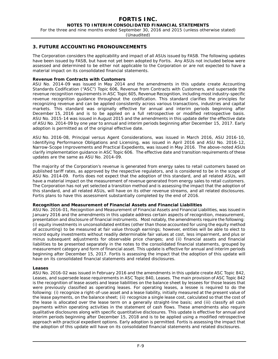For the three and nine months ended September 30, 2016 and 2015 (unless otherwise stated)

(Unaudited)

## **3. FUTURE ACCOUNTING PRONOUNCEMENTS**

The Corporation considers the applicability and impact of all ASUs issued by FASB. The following updates have been issued by FASB, but have not yet been adopted by Fortis. Any ASUs not included below were assessed and determined to be either not applicable to the Corporation or are not expected to have a material impact on its consolidated financial statements.

## **Revenue from Contracts with Customers**

ASU No. 2014-09 was issued in May 2014 and the amendments in this update create Accounting Standards Codification ("ASC") Topic 606, *Revenue from Contracts with Customers*, and supersede the revenue recognition requirements in ASC Topic 605, *Revenue Recognition*, including most industry-specific revenue recognition guidance throughout the codification. This standard clarifies the principles for recognizing revenue and can be applied consistently across various transactions, industries and capital markets. This standard was originally effective for annual and interim periods beginning after December 15, 2016 and is to be applied on a full retrospective or modified retrospective basis. ASU No. 2015-14 was issued in August 2015 and the amendments in this update defer the effective date of ASU No. 2014-09 by one year to annual and interim periods beginning after December 15, 2017. Early adoption is permitted as of the original effective date.

ASU No. 2016-08, *Principal versus Agent Considerations*, was issued in March 2016, ASU 2016-10, *Identifying Performance Obligations and Licensing*, was issued in April 2016 and ASU No. 2016-12, *Narrow-Scope Improvements and Practical Expedients*, was issued in May 2016. The above-noted ASUs clarify implementation guidance in ASC Topic 606. The effective date and transition requirements of these updates are the same as ASU No. 2014-09.

The majority of the Corporation's revenue is generated from energy sales to retail customers based on published tariff rates, as approved by the respective regulators, and is considered to be in the scope of ASU No. 2014-09. Fortis does not expect that the adoption of this standard, and all related ASUs, will have a material impact on the measurement of revenue generated from energy sales to retail customers. The Corporation has not yet selected a transition method and is assessing the impact that the adoption of this standard, and all related ASUs, will have on its other revenue streams, and all related disclosures. Fortis plans to have this assessment substantially completed by the end of 2016.

## **Recognition and Measurement of Financial Assets and Financial Liabilities**

ASU No. 2016-01, *Recognition and Measurement of Financial Assets and Financial Liabilities*, was issued in January 2016 and the amendments in this update address certain aspects of recognition, measurement, presentation and disclosure of financial instruments. Most notably, the amendments require the following: (i) equity investments in unconsolidated entities (other than those accounted for using the equity method of accounting) to be measured at fair value through earnings; however, entities will be able to elect to record equity investments without readily determinable fair values at cost, less impairment, and plus or minus subsequent adjustments for observable price changes; and (ii) financial assets and financial liabilities to be presented separately in the notes to the consolidated financial statements, grouped by measurement category and form of financial asset. This update is effective for annual and interim periods beginning after December 15, 2017. Fortis is assessing the impact that the adoption of this update will have on its consolidated financial statements and related disclosures.

## **Leases**

ASU No. 2016-02 was issued in February 2016 and the amendments in this update create ASC Topic 842, *Leases*, and supersede lease requirements in ASC Topic 840, *Leases*. The main provision of ASC Topic 842 is the recognition of lease assets and lease liabilities on the balance sheet by lessees for those leases that were previously classified as operating leases. For operating leases, a lessee is required to do the following: (i) recognize a right-of-use asset and a lease liability, initially measured at the present value of the lease payments, on the balance sheet; (ii) recognize a single lease cost, calculated so that the cost of the lease is allocated over the lease term on a generally straight-line basis; and (iii) classify all cash payments within operating activities in the statement of cash flows. These amendments also require qualitative disclosures along with specific quantitative disclosures. This update is effective for annual and interim periods beginning after December 15, 2018 and is to be applied using a modified retrospective approach with practical expedient options. Early adoption is permitted. Fortis is assessing the impact that the adoption of this update will have on its consolidated financial statements and related disclosures.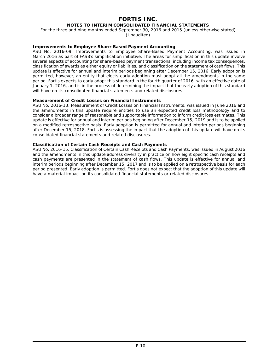# **FORTIS INC.**

**NOTES TO INTERIM CONSOLIDATED FINANCIAL STATEMENTS**

For the three and nine months ended September 30, 2016 and 2015 (unless otherwise stated)

(Unaudited)

## **Improvements to Employee Share-Based Payment Accounting**

ASU No. 2016-09, *Improvements to Employee Share-Based Payment Accounting,* was issued in March 2016 as part of FASB's simplification initiative. The areas for simplification in this update involve several aspects of accounting for share-based payment transactions, including income tax consequences, classification of awards as either equity or liabilities, and classification on the statement of cash flows. This update is effective for annual and interim periods beginning after December 15, 2016. Early adoption is permitted, however, an entity that elects early adoption must adopt all the amendments in the same period. Fortis expects to early adopt this standard in the fourth quarter of 2016, with an effective date of January 1, 2016, and is in the process of determining the impact that the early adoption of this standard will have on its consolidated financial statements and related disclosures.

## **Measurement of Credit Losses on Financial Instruments**

ASU No. 2016-13, *Measurement of Credit Losses on Financial Instruments*, was issued in June 2016 and the amendments in this update require entities to use an expected credit loss methodology and to consider a broader range of reasonable and supportable information to inform credit loss estimates. This update is effective for annual and interim periods beginning after December 15, 2019 and is to be applied on a modified retrospective basis. Early adoption is permitted for annual and interim periods beginning after December 15, 2018. Fortis is assessing the impact that the adoption of this update will have on its consolidated financial statements and related disclosures.

## **Classification of Certain Cash Receipts and Cash Payments**

ASU No. 2016-15, *Classification of Certain Cash Receipts and Cash Payments*, was issued in August 2016 and the amendments in this update address diversity in practice on how eight specific cash receipts and cash payments are presented in the statement of cash flows. This update is effective for annual and interim periods beginning after December 15, 2017 and is to be applied on a retrospective basis for each period presented. Early adoption is permitted. Fortis does not expect that the adoption of this update will have a material impact on its consolidated financial statements or related disclosures.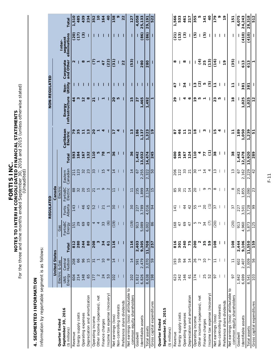FORTIS INC.<br>For the three and nine months ended September 30, 2016 and 2015 (unless otherwise stated)<br>(Unauditied) For the three and nine months ended September 30, 2016 and 2015 (unless otherwise stated) **NOTES TO INTERIM CONSOLIDATED FINANCIAL STATEMENTS FORTIS INC.**

(Unaudited)

# 4. SEGMENTED INFORMATION **4. SEGMENTED INFORMATION**

Information by reportable segment is as follows: Information by reportable segment is as follows:

|                                                                   |                      |                      |              |                    | EGULATED<br>$\alpha$ |                      |                                 |                 |                        | NON-REGULATED            |                    |                        |                         |                 |
|-------------------------------------------------------------------|----------------------|----------------------|--------------|--------------------|----------------------|----------------------|---------------------------------|-----------------|------------------------|--------------------------|--------------------|------------------------|-------------------------|-----------------|
|                                                                   |                      | <b>United States</b> |              |                    |                      | Canada               |                                 |                 |                        |                          |                    |                        |                         |                 |
| Quarter Ended                                                     |                      | Electric & Gas       |              | Gas                |                      | Electric             |                                 |                 |                        |                          |                    |                        | Inter-                  |                 |
| September 30, 2016<br>$($ \$ millions $)$                         | Energy<br><b>UNS</b> | Central<br>Hudson    | Total        | FortisBC<br>Energy | Alberta<br>Fortis    | FortisBC<br>Electric | Canadian<br>Eastern             | Total           | Caribbean<br>Electric  | Energy<br>Infrastructure | Non-<br>Utility    | Corporate<br>and Other | eliminations<br>segment | Total           |
| Revenue                                                           | 604                  | 208                  | 812          | 151                | 143                  | $_{88}$              | 211                             | 593             | 79                     | $\frac{4}{4}$            |                    | $\mathbf{\Omega}$      | (20)                    | 1,510           |
| Energy supply costs                                               | 214                  | 66                   | 280          | 29                 |                      | 32                   | 123                             | 184             | 35                     | w                        |                    |                        | (17)                    | 485             |
| Operating expenses                                                | 148                  | 96                   | 244          | 69                 | 46                   | 20                   | 32                              | 167             | $\overline{1}$         | 12                       |                    | $\infty$               | $\widehat{c}$           | 439             |
| Depreciation and amortization                                     | 65                   | 15                   | 80           | 49                 | 45                   | 15                   | 23                              | 132             | 13                     | $\infty$                 |                    | $\overline{ }$         |                         | 234             |
| Operating income                                                  | 177                  | $\overline{31}$      | 208          | 4                  | 52                   | $\overline{21}$      | 33                              | 110             | $\overline{20}$        | $\overline{2}$           | L                  | E                      |                         | 352             |
| Other income (expenses), net                                      | $\mathbf{\Omega}$    |                      | S            | 4                  |                      |                      |                                 | ю               |                        |                          |                    | $\blacktriangledown$   |                         | $\overline{10}$ |
| Finance charges                                                   | 24                   | $\overline{10}$      | 34           | 33                 | $\overline{21}$      | $\sigma$             | $\frac{5}{1}$                   | 78              | 4                      | ٣                        |                    | 47                     |                         | 164             |
| Income tax expense (recovery)                                     | 53                   | $\infty$             | $\mathbf{5}$ | $\odot$            | $\overline{ }$       | $\sim$               | 4                               | $\mathbf{\tau}$ |                        |                          |                    | (22)                   |                         | 40              |
| Net earnings (loss)                                               | 102                  | 14                   | 116          | (19)               | 30                   | $\Xi$                | $\overline{1}$                  | 36              | $\overline{1}$         | 20                       | L                  | (31)                   |                         | 158             |
| Non-controlling interests                                         |                      |                      |              |                    |                      |                      |                                 |                 | 4                      | rU                       |                    |                        |                         | o               |
| Preference share dividends                                        |                      |                      |              |                    |                      |                      |                                 |                 |                        |                          |                    | 22                     |                         | 22              |
| Net earnings (loss) attributable to<br>common equity shareholders | 102                  | $\overline{1}$       | 116          | (19)               | $\frac{8}{3}$        | $\Xi$                | 14                              | 36              | 13                     | 15                       |                    | (53)                   |                         | <b>127</b>      |
| Goodwill                                                          | 1,812                | 591                  | 2,403        | 913                | 227                  | 235                  | 57                              | 1,442           | 186                    | $\overline{27}$          | ı                  |                        |                         | 4,058           |
| Identifiable assets                                               | 6,826                | 2,479                | 9,305        | 5,089              | 3,789                | 1,899                | .255<br>$\overline{\mathsf{C}}$ | 13,032          | , 137                  | ,465<br>᠆                |                    | 280                    | (86)                    | 25,133          |
| Total assets                                                      | 8,638                | 3,070                | 11,708       | 6,002              | 4,016                | 2,134                | 2,322                           | 4,474           | , 323                  | 492                      | ı                  | 280                    | (86)                    | 29,191          |
| Gross capital expenditures                                        | 198                  | 59                   | 257          | 86                 | 94                   | 15                   | 50                              | 245             | $\frac{6}{1}$          | ٣                        | T                  | T                      |                         | 522             |
| Quarter Ended                                                     |                      |                      |              |                    |                      |                      |                                 |                 |                        |                          |                    |                        |                         |                 |
| September 30, 2015                                                |                      |                      |              |                    |                      |                      |                                 |                 |                        |                          |                    |                        |                         |                 |
| $($$ millions)                                                    |                      |                      |              |                    |                      |                      |                                 |                 |                        |                          |                    |                        |                         |                 |
| Revenue                                                           | 623                  | 193                  | 816          | 168                | $\frac{14}{1}$       | 85                   | 206                             | 800             | 55                     | 29                       | 47                 | ೲ                      | (21)                    | 1,566           |
| Energy supply costs                                               | 242                  | 59                   | 301          | 47                 |                      | 30                   | 122                             | 199             | 46                     |                          |                    |                        | (13)                    | 533             |
| Operating expenses                                                | 146                  | $\overline{94}$      | 240          | 69                 | 44                   | $\overline{21}$      | 33                              | 167             | $\mathbf{r}$           | 4                        | 34                 | œ                      | $\odot$                 | 461             |
| Depreciation and amortization                                     | $\overline{6}$       | $\frac{4}{3}$        | 75           | 47                 | 42                   | $\frac{4}{3}$        | $\overline{2}$                  | 124             | $\frac{2}{3}$          | ۰                        |                    |                        |                         | 217             |
| Operating income                                                  | 174                  | 26                   | <b>200</b>   | 5<br>2<br>2        | 55                   | 20                   | 30                              | $\frac{1}{2}$   | ٩                      | ٩P                       | 13                 |                        | ⊕                       | 355             |
| Other income (expenses), net                                      |                      | $\sim$               | N            |                    | $\overline{ }$       |                      | $\overline{ }$                  | 4               |                        | Ю                        | $\widehat{\Omega}$ | £                      |                         | ю               |
| Finance charges                                                   | 25                   | $\overline{C}$       | 35           | 34                 | 20                   | ᡡ                    | $\frac{4}{4}$                   | 77              | ω                      | ٣                        | ۱Ω                 | 25                     | ල                       | 141             |
| Income tax expense (recovery)                                     | 52                   | $\overline{ }$       | 59           | $\widehat{C}$      | $\widehat{\tau}$     | S                    | 4                               | Ξ               |                        |                          | ම                  | (13)                   |                         | $\overline{a}$  |
| Net earnings (loss)                                               | 56                   |                      | 108          | (20)               | 57                   | ∞                    | 13                              | 38              | r                      | 23                       | $\mathbf{r}$       | <u>(१</u>              |                         | 179             |
| Non-controlling interests                                         |                      |                      |              |                    |                      |                      |                                 |                 | 4                      | ю                        |                    |                        |                         | ۰               |
| Preference share dividends                                        |                      |                      |              |                    |                      |                      |                                 |                 |                        |                          |                    | $\frac{6}{1}$          |                         | $\overline{1}$  |
| Net earnings (loss) attributable to<br>common equity shareholders | 5                    | $\overline{1}$       | 108          | (20)               | 57                   | ∞                    | S<br>$\overline{ }$             | 38              | $\mathbf{r}$           | $\frac{8}{1}$            | $\mathbf{r}$       | (35)                   |                         | 151             |
| Goodwill                                                          | 1,842                | 602                  | 2,444        | 913                | 227                  | 235                  | 57                              | 1,442           | 189                    |                          |                    |                        |                         | 4,075           |
| Identifiable assets                                               | 6,699                | 2,407                | 9,106        | 4,960              | 3,501                | 1,855                | 2,162                           | 12,478          | 1,050                  | 1,025                    | 381                | 613                    | (410)                   | 24,243          |
| Total assets                                                      | 8,541                | 3,009                | 11,550       | 5,873<br>125       | 3,728                | 2,090                | 2,229                           | 13,920          | ,239<br>$\overline{ }$ | 1,025                    | 381                | 613                    | (410)                   | 28,318          |
| Gross capital expenditures                                        | $\frac{1}{103}$      | 56                   | 159          |                    | 99                   | 23                   | $^{42}$                         | 289             | 57                     | $\frac{2}{3}$            |                    | ٣                      |                         | 512             |

F-11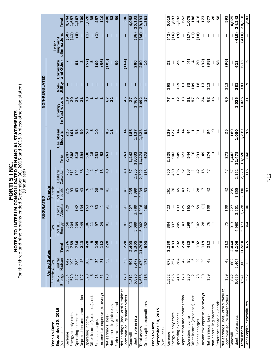FORTIS INC.<br>For the three and nine months ended September 30, 2016 and 2015 (unless otherwise stated) For the three and nine months ended September 30, 2016 and 2015 (unless otherwise stated) **NOTES TO INTERIM CONSOLIDATED FINANCIAL STATEMENTS FORTIS INC.**

| Ĩ,<br>י<br>י<br>ì<br>$\tilde{\zeta}$<br>٦<br>į<br>י<br>ג |               |  |
|----------------------------------------------------------|---------------|--|
|                                                          | ว<br>ง        |  |
|                                                          |               |  |
|                                                          | $\frac{2}{2}$ |  |
|                                                          | ζ             |  |
|                                                          |               |  |

|                                                                   |                |                      |          |                    | REGULATED         |                      |                     |               |                       |                          | NON-REGULATED   |                        |                         |        |
|-------------------------------------------------------------------|----------------|----------------------|----------|--------------------|-------------------|----------------------|---------------------|---------------|-----------------------|--------------------------|-----------------|------------------------|-------------------------|--------|
|                                                                   |                | <b>United States</b> |          |                    |                   | Canada               |                     |               |                       |                          |                 |                        |                         |        |
| Year-to-Date                                                      |                | Electric & Gas       |          | Gas                |                   | Electric             |                     |               |                       |                          |                 |                        | Inter-                  |        |
| September 30, 2016<br>$($ \$ millions $)$                         | Energy<br>UNS  | Central<br>Hudson    | Total    | FortisBC<br>Energy | Alberta<br>Fortis | FortisBC<br>Electric | Eastern<br>Canadian | Total         | Caribbean<br>Electric | Energy<br>Infrastructure | Non-<br>Utility | Corporate<br>and Other | segment<br>eliminations | Tota   |
| Revenue                                                           | 1,534          | 642                  | 2,176    | 758                | 429               | 275                  | 785                 | 2,247         | 225                   | 139                      |                 | r                      | (50)                    | 4,744  |
| Energy supply costs                                               | 570            | 199                  | 769      | 204                |                   | 93                   | 511                 | 808           | $\overline{10}$       | 20                       |                 |                        | (41)                    | 1,657  |
| Operating expenses                                                | 447            | 289                  | 736      | 209                | 142               | 63                   | 101                 | 515           | 35                    | 28                       |                 | $\overline{6}$         | $\circledg$             | 1,367  |
| Depreciation and amortization                                     | 197            | 46                   | 243      | 149                | 134               | 43                   | 68                  | 394           | 39                    | $\overline{2}$           |                 | w                      |                         | 700    |
| Operating income                                                  | 320            | 108                  | 428      | 196                | 153               | 76                   | 105                 | 530           | 50                    | ನ                        |                 | (57)                   | Ξ                       | 020    |
| Other income (expenses), net                                      | $\mathsf{o}$   | $\mathfrak{S}$       | o        | $\overline{1}$     | $\mathbf{\Omega}$ | $\overline{ }$       |                     | 15            | w                     | $\overline{ }$           |                 | ю                      | П                       | 35     |
| Finance charges                                                   | 75             | 30                   | 105      | 56                 | 63                | 28                   | 43                  | 231           | $\overline{c}$        | <u>ო —</u>               |                 | 109                    | $\widehat{c}$           | 457    |
| Income tax expense (recovery)                                     | $\overline{8}$ | $\overline{3}$       | 112      | 29                 | $\overline{ }$    | $\infty$             | 15                  | 53            |                       |                          |                 | (56)                   |                         | 110    |
| Net earnings (loss)                                               | 170            | 50                   | 220      | $\overline{8}$     | 5                 | $\frac{1}{4}$        | 48                  | 261           | 45                    | 67                       | ı               | (105)                  | ı                       | 488    |
| Non-controlling interests                                         |                |                      |          |                    |                   |                      |                     |               | $\overline{1}$        | 22                       |                 |                        |                         | 33     |
| Preference share dividends                                        |                |                      | ı        |                    |                   |                      |                     |               |                       |                          |                 | 59                     |                         | 59     |
| Net earnings (loss) attributable to<br>common equity shareholders | 170            | 50                   | 220      | $\overline{8}$     | ᡖ                 | $\overline{4}$       | 48                  | 261           | 34                    | 45                       | I               | (164)                  | I                       | 396    |
| Goodwill                                                          | 1,812          | 591                  | 2,403    | 913                | 227               | 235                  | 67                  | 1,442         | 186                   | $\overline{27}$          | I               |                        |                         | 4,058  |
| Identifiable assets                                               | 6,826          | 2,479                | 9,305    | 5,089              | 3,789             | 899                  | 255<br>$\sim$       | 3,032         | 737                   | ,465                     |                 | 280                    | (86)                    | 25,133 |
| Total assets                                                      | 8,638          | 3,070                | 11,708   | 6,002              | 4,016             | 2,134                | 2,322               | 4,474         | , 323                 | 492                      | L               | 280                    | (86)                    | 29,191 |
| Gross capital expenditures                                        | 416            | 177                  | 593      | 252                | 260               | 53                   | 113                 | 678           | 83                    | $\overline{1}$           |                 | $\frac{1}{2}$          |                         | 1,381  |
| Year-to-Date                                                      |                |                      |          |                    |                   |                      |                     |               |                       |                          |                 |                        |                         |        |
| September 30, 2015                                                |                |                      |          |                    |                   |                      |                     |               |                       |                          |                 |                        |                         |        |
| $($ \$ millions $)$                                               |                |                      |          |                    |                   |                      |                     |               |                       |                          |                 |                        |                         |        |
| Revenue                                                           | 1,552          | 678                  | 2,230    | 884                | 423               | 261                  | 760                 | 2,328         | 239                   | 77                       | 165             | 22                     | $\widetilde{a}$         | 5,019  |
| Energy supply costs                                               | 626            | 257                  | 883      | 337                |                   | 76                   | 489                 | 902           | 127                   |                          |                 |                        | (16)                    | 1,897  |
| Operating expenses                                                | 418            | 284                  | 702      | 205                | 133               | 65                   | 106                 | 509           | 34                    | $\frac{2}{3}$            | $\frac{1}{2}$   | 25                     | $\widehat{\mathcal{E}}$ | 1,392  |
| Depreciation and amortization                                     | 178            | 42                   | 220      | 143                | 125               | 43                   | 62                  | 373           | 34                    | $\frac{3}{2}$            | $\mathbf{r}$    | ٣                      |                         | 652    |
| Operating income                                                  | 330            | 95                   | 425      | 199                | 165               | 77                   | 103                 | 544           | 44                    | 51                       | 35              | E                      | (17)                    | 1,078  |
| Other income (expenses), net                                      | $\sim$         | $\circ$              | $\infty$ |                    | $\sim$            |                      |                     | $\frac{1}{2}$ |                       | 57                       | 109             | 4                      | $\widehat{\epsilon}$    | 188    |
| Finance charges                                                   | 73             | 29                   | 102      | 102                | 59                | 28                   | 42                  | 231           | $\ddot{ }$            | N                        | $\frac{8}{1}$   | 70                     | (18)                    | 416    |
| Income tax expense (recovery)                                     | $\overline{6}$ | 29                   | 119      | 28                 | Э                 | $\overline{ }$       | $\frac{1}{2}$       | $\frac{6}{4}$ |                       | $\overline{2}$           | $\frac{3}{2}$   | (32)                   |                         | 173    |
| Net earnings (loss)                                               | 169            | 43                   | 212      | 76                 | 109               | 42                   | 47                  | 274           | 34                    | 82                       | 113             | (38)                   | ı                       | 677    |
| Non-controlling interests                                         |                |                      |          | $\overline{ }$     |                   |                      |                     |               | ۰                     | $\frac{6}{2}$            |                 |                        |                         | 26     |
| Preference share dividends                                        |                |                      |          |                    |                   |                      |                     |               |                       |                          |                 | 58                     |                         | 58     |
| Net earnings (loss) attributable to<br>common equity shareholders | 169            | 43                   | 212      | 75                 | 109               | 42                   | 47                  | 273           | 25                    | 99                       | 113             | (96)                   | I                       | 593    |
| Goodwill                                                          | 1,842          | 602                  | 2,444    | 913                | 227               | 235                  | 57                  | 1,442         | 189                   |                          |                 |                        |                         | 4,075  |
| Identifiable assets                                               | 6,699          | 2,407                | 9,106    | 4,960              | 501<br>ω          | 855                  | 2,162               | 2,478         | ,050<br>٣             | ,025                     | 381             | 613                    | (410)                   | 24,243 |
| Total assets                                                      | 8,541          | 3,009                | 11,550   | 5,873              | 3,728             | 2,090                | .229<br>$\sim$      | 13,920        | 1,239                 | 1,025                    | 381             | 613                    | (410)                   | 28,318 |
| Gross capital expenditures                                        | 552            | 123                  | 675      | 364                | 306               | 83                   | 115                 | 868           | 95                    | $\overline{3}$           |                 | Ю                      |                         | 1,683  |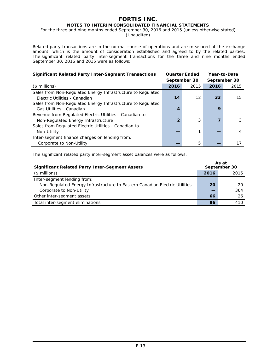For the three and nine months ended September 30, 2016 and 2015 (unless otherwise stated)

(Unaudited)

Related party transactions are in the normal course of operations and are measured at the exchange amount, which is the amount of consideration established and agreed to by the related parties. The significant related party inter-segment transactions for the three and nine months ended September 30, 2016 and 2015 were as follows:

| <b>Significant Related Party Inter-Segment Transactions</b> | <b>Quarter Ended</b> |      | Year-to-Date |      |
|-------------------------------------------------------------|----------------------|------|--------------|------|
|                                                             | September 30         |      | September 30 |      |
| $($$ millions)                                              | 2016                 | 2015 | 2016         | 2015 |
| Sales from Non-Regulated Energy Infrastructure to Regulated |                      |      |              |      |
| Electric Utilities - Canadian                               | 14                   | 12   | 33           | 15   |
| Sales from Non-Regulated Energy Infrastructure to Regulated |                      |      |              |      |
| Gas Utilities - Canadian                                    | 4                    |      | 9            |      |
| Revenue from Regulated Electric Utilities - Canadian to     |                      |      |              |      |
| Non-Regulated Energy Infrastructure                         | $\mathbf{2}$         | 3    |              | 3    |
| Sales from Regulated Electric Utilities - Canadian to       |                      |      |              |      |
| Non-Utility                                                 |                      |      |              | 4    |
| Inter-segment finance charges on lending from:              |                      |      |              |      |
| Corporate to Non-Utility                                    |                      | 5    |              | 17   |

The significant related party inter-segment asset balances were as follows:

| <b>Significant Related Party Inter-Segment Assets</b>                      |      | As at<br>September 30 |
|----------------------------------------------------------------------------|------|-----------------------|
| $($$ millions)                                                             | 2016 | 2015                  |
| Inter-segment lending from:                                                |      |                       |
| Non-Regulated Energy Infrastructure to Eastern Canadian Electric Utilities | 20   | 20                    |
| Corporate to Non-Utility                                                   |      | 364                   |
| Other inter-segment assets                                                 | 66   | 26                    |
| Total inter-segment eliminations                                           | 86   | 410                   |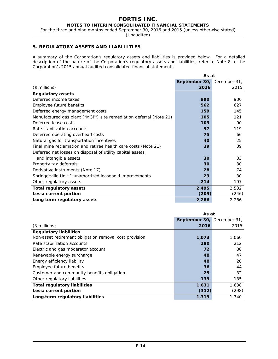For the three and nine months ended September 30, 2016 and 2015 (unless otherwise stated)

(Unaudited)

# **5. REGULATORY ASSETS AND LIABILITIES**

A summary of the Corporation's regulatory assets and liabilities is provided below. For a detailed description of the nature of the Corporation's regulatory assets and liabilities, refer to Note 8 to the Corporation's 2015 annual audited consolidated financial statements.

|                                                                    | As at                      |       |
|--------------------------------------------------------------------|----------------------------|-------|
|                                                                    | September 30, December 31, |       |
| $($$ millions)                                                     | 2016                       | 2015  |
| <b>Regulatory assets</b>                                           |                            |       |
| Deferred income taxes                                              | 990                        | 936   |
| Employee future benefits                                           | 562                        | 627   |
| Deferred energy management costs                                   | 159                        | 145   |
| Manufactured gas plant ("MGP") site remediation deferral (Note 21) | 105                        | 121   |
| Deferred lease costs                                               | 103                        | 90    |
| Rate stabilization accounts                                        | 97                         | 119   |
| Deferred operating overhead costs                                  | 75                         | 66    |
| Natural gas for transportation incentives                          | <b>40</b>                  | 25    |
| Final mine reclamation and retiree health care costs (Note 21)     | 39                         | 39    |
| Deferred net losses on disposal of utility capital assets          |                            |       |
| and intangible assets                                              | 30                         | 33    |
| Property tax deferrals                                             | 30                         | 30    |
| Derivative instruments (Note 17)                                   | 28                         | 74    |
| Springerville Unit 1 unamortized leasehold improvements            | 23                         | 30    |
| Other regulatory assets                                            | 214                        | 197   |
| <b>Total regulatory assets</b>                                     | 2,495                      | 2,532 |
| Less: current portion                                              | (209)                      | (246) |
| Long-term regulatory assets                                        | 2,286                      | 2,286 |

|                                                        | As at                      |       |  |  |
|--------------------------------------------------------|----------------------------|-------|--|--|
|                                                        | September 30, December 31, |       |  |  |
| $($$ millions)                                         | 2016                       | 2015  |  |  |
| <b>Regulatory liabilities</b>                          |                            |       |  |  |
| Non-asset retirement obligation removal cost provision | 1,073                      | 1,060 |  |  |
| Rate stabilization accounts                            | 190                        | 212   |  |  |
| Electric and gas moderator account                     | 72                         | 88    |  |  |
| Renewable energy surcharge                             | 48                         | 47    |  |  |
| Energy efficiency liability                            | 48                         | 20    |  |  |
| Employee future benefits                               | 36                         | 44    |  |  |
| Customer and community benefits obligation             | 25                         | 32    |  |  |
| Other regulatory liabilities                           | 139                        | 135   |  |  |
| <b>Total regulatory liabilities</b>                    | 1,631                      | 1,638 |  |  |
| Less: current portion                                  | (312)                      | (298) |  |  |
| Long-term regulatory liabilities                       | 1,319                      | 1,340 |  |  |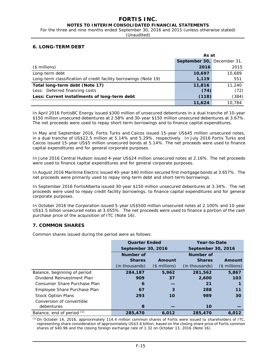For the three and nine months ended September 30, 2016 and 2015 (unless otherwise stated)

(Unaudited)

# **6. LONG-TERM DEBT**

|                                                                  | As at                      |        |  |
|------------------------------------------------------------------|----------------------------|--------|--|
|                                                                  | September 30, December 31, |        |  |
| $($$ millions $)$                                                | 2016                       | 2015   |  |
| Long-term debt                                                   | 10,697                     | 10,689 |  |
| Long-term classification of credit facility borrowings (Note 19) | 1,119                      | 551    |  |
| Total long-term debt (Note 17)                                   | 11,816                     | 11,240 |  |
| Less: Deferred financing costs                                   | (74)                       | (72)   |  |
| Less: Current installments of long-term debt                     | (118)                      | (384)  |  |
|                                                                  | 11,624                     | 10.784 |  |

In April 2016 FortisBC Energy issued \$300 million of unsecured debentures in a dual tranche of 10-year \$150 million unsecured debentures at 2.58% and 30-year \$150 million unsecured debentures at 3.67%. The net proceeds were used to repay short-term borrowings and to finance capital expenditures.

In May and September 2016, Fortis Turks and Caicos issued 15-year US\$45 million unsecured notes, in a dual tranche of US\$22.5 million at 5.14% and 5.29%, respectively. In July 2016 Fortis Turks and Caicos issued 15-year US\$5 million unsecured bonds at 5.14%. The net proceeds were used to finance capital expenditures and for general corporate purposes.

In June 2016 Central Hudson issued 4-year US\$24 million unsecured notes at 2.16%. The net proceeds were used to finance capital expenditures and for general corporate purposes.

In August 2016 Maritime Electric issued 40-year \$40 million secured first mortgage bonds at 3.657%. The net proceeds were primarily used to repay long-term debt and short-term borrowings.

In September 2016 FortisAlberta issued 30-year \$150 million unsecured debentures at 3.34%. The net proceeds were used to repay credit facility borrowings, to finance capital expenditures and for general corporate purposes.

In October 2016 the Corporation issued 5-year US\$500 million unsecured notes at 2.100% and 10-year US\$1.5 billion unsecured notes at 3.055%. The net proceeds were used to finance a portion of the cash purchase price of the acquisition of ITC (Note 16).

# **7. COMMON SHARES**

Common shares issued during the period were as follows:

|                              | <b>Quarter Ended</b> |                | Year-to-Date       |                |  |  |
|------------------------------|----------------------|----------------|--------------------|----------------|--|--|
|                              | September 30, 2016   |                | September 30, 2016 |                |  |  |
|                              | <b>Number of</b>     |                | <b>Number of</b>   |                |  |  |
|                              | <b>Shares</b>        | Amount         | <b>Shares</b>      | Amount         |  |  |
|                              | (in thousands)       | $($$ millions) | (in thousands)     | $($$ millions) |  |  |
| Balance, beginning of period | 284,187              | 5,962          | 281,562            | 5,867          |  |  |
| Dividend Reinvestment Plan   | 909                  | 37             | 2,600              | 103            |  |  |
| Consumer Share Purchase Plan | 6                    |                | 21                 |                |  |  |
| Employee Share Purchase Plan | 67                   | 3              | 288                | 11             |  |  |
| <b>Stock Option Plans</b>    | 293                  | 10             | 989                | 30             |  |  |
| Conversion of convertible    |                      |                |                    |                |  |  |
| debentures                   | 8                    |                | 10                 |                |  |  |
| Balance, end of period (1)   | 285,470              | 6,012          | 285,470            | 6,012          |  |  |

*(1)*On October 14, 2016, approximately 114.4 million common shares of Fortis were issued to shareholders of ITC, representing share consideration of approximately US\$3.6 billion, based on the closing share price of Fortis common shares of \$40.96 and the closing foreign exchange rate of 1.32 on October 13, 2016 (Note 16).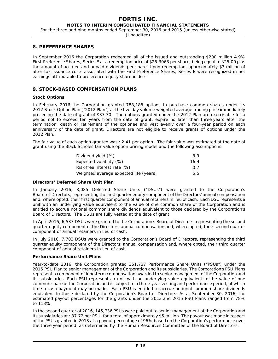For the three and nine months ended September 30, 2016 and 2015 (unless otherwise stated)

(Unaudited)

## **8. PREFERENCE SHARES**

In September 2016 the Corporation redeemed all of the issued and outstanding \$200 million 4.9% First Preference Shares, Series E at a redemption price of \$25.3063 per share, being equal to \$25.00 plus the amount of accrued and unpaid dividends per share. Upon redemption, approximately \$3 million of after-tax issuance costs associated with the First Preference Shares, Series E were recognized in net earnings attributable to preference equity shareholders.

# **9. STOCK-BASED COMPENSATION PLANS**

## **Stock Options**

In February 2016 the Corporation granted 788,188 options to purchase common shares under its 2012 Stock Option Plan ("2012 Plan") at the five-day volume weighted average trading price immediately preceding the date of grant of \$37.30. The options granted under the 2012 Plan are exercisable for a period not to exceed ten years from the date of grant, expire no later than three years after the termination, death or retirement of the optionee and vest evenly over a four-year period on each anniversary of the date of grant. Directors are not eligible to receive grants of options under the 2012 Plan.

The fair value of each option granted was \$2.41 per option. The fair value was estimated at the date of grant using the Black-Scholes fair value option-pricing model and the following assumptions:

| Dividend yield (%)                     | 3.9  |
|----------------------------------------|------|
| Expected volatility (%)                | 16.4 |
| Risk-free interest rate (%)            | 0 7  |
| Weighted average expected life (years) | 5.5  |

## **Directors' Deferred Share Unit Plan**

In January 2016, 8,085 Deferred Share Units ("DSUs") were granted to the Corporation's Board of Directors, representing the first quarter equity component of the Directors' annual compensation and, where opted, their first quarter component of annual retainers in lieu of cash. Each DSU represents a unit with an underlying value equivalent to the value of one common share of the Corporation and is entitled to accrue notional common share dividends equivalent to those declared by the Corporation's Board of Directors. The DSUs are fully vested at the date of grant.

In April 2016, 6,537 DSUs were granted to the Corporation's Board of Directors, representing the second quarter equity component of the Directors' annual compensation and, where opted, their second quarter component of annual retainers in lieu of cash.

In July 2016, 7,703 DSUs were granted to the Corporation's Board of Directors, representing the third quarter equity component of the Directors' annual compensation and, where opted, their third quarter component of annual retainers in lieu of cash.

## **Performance Share Unit Plans**

Year-to-date 2016, the Corporation granted 351,737 Performance Share Units ("PSUs") under the 2015 PSU Plan to senior management of the Corporation and its subsidiaries. The Corporation's PSU Plans represent a component of long-term compensation awarded to senior management of the Corporation and its subsidiaries. Each PSU represents a unit with an underlying value equivalent to the value of one common share of the Corporation and is subject to a three-year vesting and performance period, at which time a cash payment may be made. Each PSU is entitled to accrue notional common share dividends equivalent to those declared by the Corporation's Board of Directors. As at September 30, 2016, the estimated payout percentages for the grants under the 2013 and 2015 PSU Plans ranged from 78% to 113%.

In the second quarter of 2016, 145,736 PSUs were paid out to senior management of the Corporation and its subsidiaries at \$37.72 per PSU, for a total of approximately \$5 million. The payout was made in respect of the PSUs granted in 2013 at a payout percentage of 96% based on the Corporation's performance over the three-year period, as determined by the Human Resources Committee of the Board of Directors.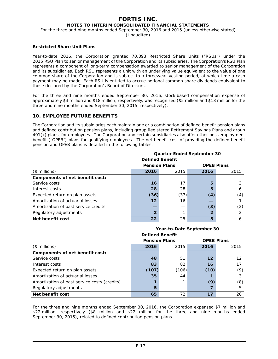For the three and nine months ended September 30, 2016 and 2015 (unless otherwise stated)

(Unaudited)

## **Restricted Share Unit Plans**

Year-to-date 2016, the Corporation granted 70,393 Restricted Share Units ("RSUs") under the 2015 RSU Plan to senior management of the Corporation and its subsidiaries. The Corporation's RSU Plan represents a component of long-term compensation awarded to senior management of the Corporation and its subsidiaries. Each RSU represents a unit with an underlying value equivalent to the value of one common share of the Corporation and is subject to a three-year vesting period, at which time a cash payment may be made. Each RSU is entitled to accrue notional common share dividends equivalent to those declared by the Corporation's Board of Directors.

For the three and nine months ended September 30, 2016, stock-based compensation expense of approximately \$3 million and \$18 million, respectively, was recognized (\$5 million and \$13 million for the three and nine months ended September 30, 2015, respectively).

# **10. EMPLOYEE FUTURE BENEFITS**

The Corporation and its subsidiaries each maintain one or a combination of defined benefit pension plans and defined contribution pension plans, including group Registered Retirement Savings Plans and group 401(k) plans, for employees. The Corporation and certain subsidiaries also offer other post-employment benefit ("OPEB") plans for qualifying employees. The net benefit cost of providing the defined benefit pension and OPEB plans is detailed in the following tables.

|                                      |                      | <b>Quarter Ended September 30</b><br><b>Defined Benefit</b> |      |                   |
|--------------------------------------|----------------------|-------------------------------------------------------------|------|-------------------|
|                                      | <b>Pension Plans</b> |                                                             |      | <b>OPEB Plans</b> |
| $($$ millions)                       | 2016                 | 2015                                                        | 2016 | 2015              |
| Components of net benefit cost:      |                      |                                                             |      |                   |
| Service costs                        | 16                   | 17                                                          | 5    |                   |
| Interest costs                       | 28                   | 28                                                          | 5    | 6                 |
| Expected return on plan assets       | (36)                 | (37)                                                        | (4)  | (4)               |
| Amortization of actuarial losses     | 12                   | 16                                                          |      |                   |
| Amortization of past service credits |                      |                                                             | (3)  | (2)               |
| Regulatory adjustments               |                      |                                                             | 2    |                   |
| Net benefit cost                     | 22                   | 25                                                          | 5    | 6                 |

|                                              | Year-to-Date September 30                 |       |      |      |  |  |
|----------------------------------------------|-------------------------------------------|-------|------|------|--|--|
|                                              | <b>Defined Benefit</b>                    |       |      |      |  |  |
|                                              | <b>Pension Plans</b><br><b>OPEB Plans</b> |       |      |      |  |  |
| $($$ millions)                               | 2016                                      | 2015  | 2016 | 2015 |  |  |
| Components of net benefit cost:              |                                           |       |      |      |  |  |
| Service costs                                | 48                                        | 51    | 12   | 12   |  |  |
| Interest costs                               | 83                                        | 82    | 16   | 17   |  |  |
| Expected return on plan assets               | (107)                                     | (106) | (10) | (9)  |  |  |
| Amortization of actuarial losses             | 35                                        | 44    |      | 3    |  |  |
| Amortization of past service costs (credits) |                                           |       | (9)  | (8)  |  |  |
| Regulatory adjustments                       | 5                                         |       |      | 5    |  |  |
| Net benefit cost                             | 65                                        | 72    | 17   | 20   |  |  |

For the three and nine months ended September 30, 2016, the Corporation expensed \$7 million and \$22 million, respectively (\$8 million and \$22 million for the three and nine months ended September 30, 2015), related to defined contribution pension plans.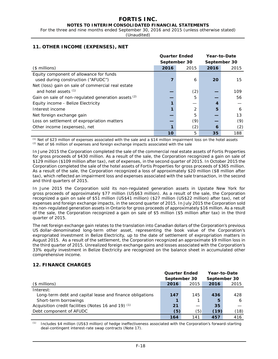For the three and nine months ended September 30, 2016 and 2015 (unless otherwise stated)

(Unaudited)

|                                                                               | <b>Quarter Ended</b> |              |              | Year-to-Date |
|-------------------------------------------------------------------------------|----------------------|--------------|--------------|--------------|
|                                                                               |                      | September 30 | September 30 |              |
| $($$ millions)                                                                | 2016                 | 2015         | 2016         | 2015         |
| Equity component of allowance for funds<br>used during construction ("AFUDC") |                      | 6            | 20           | 15           |
| Net (loss) gain on sale of commercial real estate<br>and hotel assets $(1)$   |                      | (2)          |              | 109          |
| Gain on sale of non-regulated generation assets (2)                           |                      | 5            |              | 56           |
| Equity income - Belize Electricity                                            |                      |              |              |              |
| Interest income                                                               |                      |              | 5            | 6            |
| Net foreign exchange gain                                                     |                      | 5            |              | 13           |
| Loss on settlement of expropriation matters                                   |                      | (9)          |              | (9)          |
| Other income (expenses), net                                                  |                      | (2)          | 6            | (2)          |
|                                                                               | 10                   | 5            | 35           | 188          |

# **11. OTHER INCOME (EXPENSES), NET**

*(1)* Net of \$23 million of expenses associated with the sale and a \$14 million impairment loss on the hotel assets *(2)* Net of \$6 million of expenses and foreign exchange impacts associated with the sale

In June 2015 the Corporation completed the sale of the commercial real estate assets of Fortis Properties for gross proceeds of \$430 million. As a result of the sale, the Corporation recognized a gain on sale of \$129 million (\$109 million after tax), net of expenses, in the second quarter of 2015. In October 2015 the Corporation completed the sale of the hotel assets of Fortis Properties for gross proceeds of \$365 million. As a result of the sale, the Corporation recognized a loss of approximately \$20 million (\$8 million after tax), which reflected an impairment loss and expenses associated with the sale transaction, in the second and third quarters of 2015.

In June 2015 the Corporation sold its non-regulated generation assets in Upstate New York for gross proceeds of approximately \$77 million (US\$63 million). As a result of the sale, the Corporation recognized a gain on sale of \$51 million (US\$41 million) (\$27 million (US\$22 million) after tax), net of expenses and foreign exchange impacts, in the second quarter of 2015. In July 2015 the Corporation sold its non-regulated generation assets in Ontario for gross proceeds of approximately \$16 million. As a result of the sale, the Corporation recognized a gain on sale of \$5 million (\$5 million after tax) in the third quarter of 2015.

The net foreign exchange gain relates to the translation into Canadian dollars of the Corporation's previous US dollar-denominated long-term other asset, representing the book value of the Corporation's expropriated investment in Belize Electricity, up to the date of settlement of expropriation matters in August 2015. As a result of the settlement, the Corporation recognized an approximate \$9 million loss in the third quarter of 2015. Unrealized foreign exchange gains and losses associated with the Corporation's 33% equity investment in Belize Electricity are recognized on the balance sheet in accumulated other comprehensive income.

# **12. FINANCE CHARGES**

|                                                          | <b>Quarter Ended</b><br>September 30 |      |      | Year-to-Date<br>September 30 |  |  |
|----------------------------------------------------------|--------------------------------------|------|------|------------------------------|--|--|
| $($$ millions)                                           | 2016                                 | 2015 | 2016 | 2015                         |  |  |
| Interest:                                                |                                      |      |      |                              |  |  |
| Long-term debt and capital lease and finance obligations | 147                                  | 145  | 436  | 428                          |  |  |
| Short-term borrowings                                    |                                      |      | 5    | 6                            |  |  |
| Acquisition credit facilities (Notes 16 and 19) (1)      | 21                                   |      | 35   |                              |  |  |
| Debt component of AFUDC                                  | (5)                                  | (5)  | (19) | (18)                         |  |  |
|                                                          | 164                                  | 141  | 457  | 416                          |  |  |

*(1)* Includes \$4 million (US\$3 million) of hedge ineffectiveness associated with the Corporation's forward-starting deal-contingent interest-rate swap contracts (Note 17).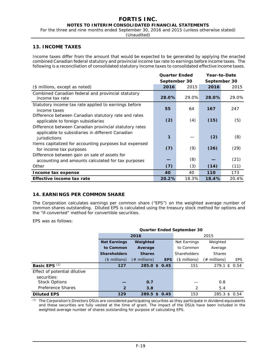For the three and nine months ended September 30, 2016 and 2015 (unless otherwise stated)

(Unaudited)

# **13. INCOME TAXES**

Income taxes differ from the amount that would be expected to be generated by applying the enacted combined Canadian federal statutory and provincial income tax rate to earnings before income taxes. The following is a reconciliation of consolidated statutory income taxes to consolidated effective income taxes.

|                                                                                                                             | <b>Quarter Ended</b> |       | Year-to-Date |       |
|-----------------------------------------------------------------------------------------------------------------------------|----------------------|-------|--------------|-------|
|                                                                                                                             | September 30         |       | September 30 |       |
| (\$ millions, except as noted)                                                                                              | 2016                 | 2015  | 2016         | 2015  |
| Combined Canadian federal and provincial statutory<br>income tax rate                                                       | 28.0%                | 29.0% | 28.0%        | 29.0% |
| Statutory income tax rate applied to earnings before<br>income taxes                                                        | 55                   | 64    | 167          | 247   |
| Difference between Canadian statutory rate and rates<br>applicable to foreign subsidiaries                                  | (2)                  | (4)   | (15)         | (5)   |
| Difference between Canadian provincial statutory rates<br>applicable to subsidiaries in different Canadian<br>jurisdictions | 1                    |       | (2)          | (8)   |
| Items capitalized for accounting purposes but expensed<br>for income tax purposes                                           | (7)                  | (9)   | (26)         | (29)  |
| Difference between gain on sale of assets for<br>accounting and amounts calculated for tax purposes                         |                      | (8)   |              | (21)  |
| Other                                                                                                                       | (7)                  | (3)   | (14)         | (11)  |
| Income tax expense                                                                                                          | 40                   | 40    | 110          | 173   |
| Effective income tax rate                                                                                                   | 20.2%                | 18.3% | 18.4%        | 20.4% |

# **14. EARNINGS PER COMMON SHARE**

The Corporation calculates earnings per common share ("EPS") on the weighted average number of common shares outstanding. Diluted EPS is calculated using the treasury stock method for options and the "if-converted" method for convertible securities.

EPS was as follows:

|                              | <b>Quarter Ended September 30</b> |                 |            |                      |                 |            |  |
|------------------------------|-----------------------------------|-----------------|------------|----------------------|-----------------|------------|--|
|                              |                                   | 2016            |            |                      | 2015            |            |  |
|                              | <b>Net Earnings</b>               | Weighted        |            | Net Earnings         | Weighted        |            |  |
|                              | to Common                         | Average         |            | to Common<br>Average |                 |            |  |
|                              | <b>Shareholders</b>               | <b>Shares</b>   |            | <b>Shareholders</b>  | <b>Shares</b>   |            |  |
|                              | $($$ millions)                    | $(\#$ millions) | <b>EPS</b> | $($$ millions)       | $(\#$ millions) | <b>EPS</b> |  |
| Basic EPS <sup>(1)</sup>     | 127                               | 285.0 \$ 0.45   |            | 151                  | $279.1$ \$      | 0.54       |  |
| Effect of potential dilutive |                                   |                 |            |                      |                 |            |  |
| securities:                  |                                   |                 |            |                      |                 |            |  |
| <b>Stock Options</b>         |                                   | 0.7             |            |                      | 0.8             |            |  |
| Preference Shares            | $\overline{2}$                    | 3.8             |            | 2                    | 5.4             |            |  |
| <b>Diluted EPS</b>           | 129                               | 289.5 \$ 0.45   |            | 153                  | $285.3$ \$      | 0.54       |  |

*(1)* The Corporation's Directors DSUs are considered participating securities as they participate in dividend equivalents and these securities are fully vested at the time of grant. The impact of the DSUs have been included in the weighted average number of shares outstanding for purpose of calculating EPS.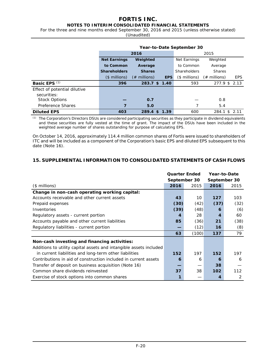# **FORTIS INC.**

# **NOTES TO INTERIM CONSOLIDATED FINANCIAL STATEMENTS**

For the three and nine months ended September 30, 2016 and 2015 (unless otherwise stated)

(Unaudited)

|                              | Year-to-Date September 30 |                 |            |               |                 |            |
|------------------------------|---------------------------|-----------------|------------|---------------|-----------------|------------|
|                              |                           | 2016            |            |               | 2015            |            |
|                              | <b>Net Earnings</b>       | Weighted        |            | Net Earnings  | Weighted        |            |
|                              | to Common                 | Average         |            | to Common     | Average         |            |
|                              | <b>Shareholders</b>       | <b>Shares</b>   |            | Shareholders  | <b>Shares</b>   |            |
|                              | $($$ millions)            | $(\#$ millions) | <b>EPS</b> | (\$ millions) | $(\#$ millions) | <b>EPS</b> |
| Basic EPS <sup>(1)</sup>     | 396                       | 283.7 \$ 1.40   |            | 593           | 277.9 \$ 2.13   |            |
| Effect of potential dilutive |                           |                 |            |               |                 |            |
| securities:                  |                           |                 |            |               |                 |            |
| Stock Options                |                           | 0.7             |            |               | 0.8             |            |
| Preference Shares            |                           | 5.0             |            | 7             | 5.4             |            |
| <b>Diluted EPS</b>           | 403                       | 289.4<br>S.     | 1.39       | 600           | 284.1<br>- \$   | 2.11       |

*(1)* The Corporation's Directors DSUs are considered participating securities as they participate in dividend equivalents and these securities are fully vested at the time of grant. The impact of the DSUs have been included in the weighted average number of shares outstanding for purpose of calculating EPS.

On October 14, 2016, approximately 114.4 million common shares of Fortis were issued to shareholders of ITC and will be included as a component of the Corporation's basic EPS and diluted EPS subsequent to this date (Note 16).

# **15. SUPPLEMENTAL INFORMATION TO CONSOLIDATED STATEMENTS OF CASH FLOWS**

|                                                                    | <b>Quarter Ended</b> |              | Year-to-Date |      |  |
|--------------------------------------------------------------------|----------------------|--------------|--------------|------|--|
|                                                                    |                      | September 30 | September 30 |      |  |
| $($$ millions)                                                     | 2016                 | 2015         | 2016         | 2015 |  |
| Change in non-cash operating working capital:                      |                      |              |              |      |  |
| Accounts receivable and other current assets                       | 43                   | 10           | 127          | 103  |  |
| Prepaid expenses                                                   | (30)                 | (42)         | (37)         | (32) |  |
| Inventories                                                        | (39)                 | (48)         | 6            | (6)  |  |
| Regulatory assets - current portion                                | 4                    | 28           | 4            | 60   |  |
| Accounts payable and other current liabilities                     | 85                   | (36)         | 21           | (38) |  |
| Regulatory liabilities - current portion                           |                      | (12)         | 16           | (8)  |  |
|                                                                    | 63                   | (100)        | 137          | 79   |  |
| Non-cash investing and financing activities:                       |                      |              |              |      |  |
| Additions to utility capital assets and intangible assets included |                      |              |              |      |  |
| in current liabilities and long-term other liabilities             | 152                  | 197          | 152          | 197  |  |
| Contributions in aid of construction included in current assets    | 6                    | 6            | 6            | 6    |  |
| Transfer of deposit on business acquisition (Note 16)              |                      |              | 38           |      |  |
| Common share dividends reinvested                                  | 37                   | 38           | 102          | 112  |  |
| Exercise of stock options into common shares                       |                      |              | 4            | 2    |  |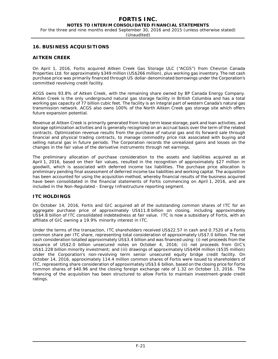For the three and nine months ended September 30, 2016 and 2015 (unless otherwise stated)

(Unaudited)

# **16. BUSINESS ACQUISITIONS**

# **AITKEN CREEK**

On April 1, 2016, Fortis acquired Aitken Creek Gas Storage ULC ("ACGS") from Chevron Canada Properties Ltd. for approximately \$349 million (US\$266 million), plus working gas inventory. The net cash purchase price was primarily financed through US dollar-denominated borrowings under the Corporation's committed revolving credit facility.

ACGS owns 93.8% of Aitken Creek, with the remaining share owned by BP Canada Energy Company. Aitken Creek is the only underground natural gas storage facility in British Columbia and has a total working gas capacity of 77 billion cubic feet. The facility is an integral part of western Canada's natural gas transmission network. ACGS also owns 100% of the North Aitken Creek gas storage site which offers future expansion potential.

Revenue at Aitken Creek is primarily generated from long-term lease storage, park and loan activities, and storage optimization activities and is generally recognized on an accrual basis over the term of the related contracts. Optimization revenue results from the purchase of natural gas and its forward sale through financial and physical trading contracts, to manage commodity price risk associated with buying and selling natural gas in future periods. The Corporation records the unrealized gains and losses on the changes in the fair value of the derivative instruments through net earnings.

The preliminary allocation of purchase consideration to the assets and liabilities acquired as at April 1, 2016, based on their fair values, resulted in the recognition of approximately \$27 million in goodwill, which is associated with deferred income tax liabilities. The purchase price allocation is preliminary pending final assessment of deferred income tax liabilities and working capital. The acquisition has been accounted for using the acquisition method, whereby financial results of the business acquired have been consolidated in the financial statements of Fortis commencing on April 1, 2016, and are included in the Non-Regulated - Energy Infrastructure reporting segment.

## **ITC HOLDINGS**

On October 14, 2016, Fortis and GIC acquired all of the outstanding common shares of ITC for an aggregate purchase price of approximately US\$11.8 billion on closing, including approximately US\$4.8 billion of ITC consolidated indebtedness at fair value. ITC is now a subsidiary of Fortis, with an affiliate of GIC owning a 19.9% minority interest in ITC.

Under the terms of the transaction, ITC shareholders received US\$22.57 in cash and 0.7520 of a Fortis common share per ITC share, representing total consideration of approximately US\$7.0 billion. The net cash consideration totalled approximately US\$3.4 billion and was financed using: (i) net proceeds from the issuance of US\$2.0 billion unsecured notes on October 4, 2016; (ii) net proceeds from GIC's US\$1.228 billion minority investment; and (iii) drawings of approximately US\$404 million (\$535 million) under the Corporation's non-revolving term senior unsecured equity bridge credit facility. On October 14, 2016, approximately 114.4 million common shares of Fortis were issued to shareholders of ITC, representing share consideration of approximately US\$3.6 billion, based on the closing price for Fortis common shares of \$40.96 and the closing foreign exchange rate of 1.32 on October 13, 2016. The financing of the acquisition has been structured to allow Fortis to maintain investment-grade credit ratings.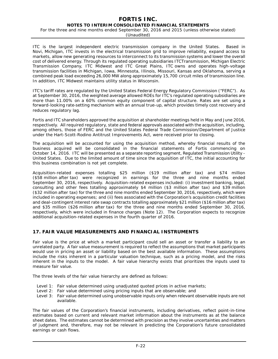For the three and nine months ended September 30, 2016 and 2015 (unless otherwise stated)

(Unaudited)

ITC is the largest independent electric transmission company in the United States. Based in Novi, Michigan, ITC invests in the electrical transmission grid to improve reliability, expand access to markets, allow new generating resources to interconnect to its transmission systems and lower the overall cost of delivered energy. Through its regulated operating subsidiaries ITC*Transmission*, Michigan Electric Transmission Company, ITC Midwest and ITC Great Plains, ITC owns and operates high-voltage transmission facilities in Michigan, Iowa, Minnesota, Illinois, Missouri, Kansas and Oklahoma, serving a combined peak load exceeding 26,000 MW along approximately 15,700 circuit miles of transmission line. In addition, ITC Midwest maintains utility status in Wisconsin.

ITC's tariff rates are regulated by the United States Federal Energy Regulatory Commission ("FERC"). As at September 30, 2016, the weighted average allowed ROEs for ITC's regulated operating subsidiaries are more than 11.00% on a 60% common equity component of capital structure. Rates are set using a forward-looking rate-setting mechanism with an annual true-up, which provides timely cost recovery and reduces regulatory lag.

Fortis and ITC shareholders approved the acquisition at shareholder meetings held in May and June 2016, respectively. All required regulatory, state and federal approvals associated with the acquisition, including, among others, those of FERC and the United States Federal Trade Commission/Department of Justice under the *Hart-Scott-Rodino Antitrust Improvements Act,* were received prior to closing.

The acquisition will be accounted for using the acquisition method, whereby financial results of the business acquired will be consolidated in the financial statements of Fortis commencing on October 14, 2016. ITC will be presented as a separate reporting segment, Regulated Transmission Utility - United States. Due to the limited amount of time since the acquisition of ITC, the initial accounting for this business combination is not yet complete.

Acquisition-related expenses totalling \$25 million (\$19 million after tax) and \$74 million (\$58 million after tax) were recognized in earnings for the three and nine months ended September 30, 2016, respectively. Acquisition-related expenses included: (i) investment banking, legal, consulting and other fees totalling approximately \$4 million (\$3 million after tax) and \$39 million (\$32 million after tax) for the three and nine months ended September 30, 2016, respectively, which were included in operating expenses; and (ii) fees associated with the Corporation's acquisition credit facilities and deal-contingent interest rate swap contracts totalling approximately \$21 million (\$16 million after tax) and \$35 million (\$26 million after tax) for the three and nine months ended September 30, 2016, respectively, which were included in finance charges (Note 12). The Corporation expects to recognize additional acquisition-related expenses in the fourth quarter of 2016.

# **17. FAIR VALUE MEASUREMENTS AND FINANCIAL INSTRUMENTS**

Fair value is the price at which a market participant could sell an asset or transfer a liability to an unrelated party. A fair value measurement is required to reflect the assumptions that market participants would use in pricing an asset or liability based on the best available information. These assumptions include the risks inherent in a particular valuation technique, such as a pricing model, and the risks inherent in the inputs to the model. A fair value hierarchy exists that prioritizes the inputs used to measure fair value.

The three levels of the fair value hierarchy are defined as follows:

- Level 1: Fair value determined using unadjusted quoted prices in active markets;
- Level 2: Fair value determined using pricing inputs that are observable; and
- Level 3: Fair value determined using unobservable inputs only when relevant observable inputs are not available.

The fair values of the Corporation's financial instruments, including derivatives, reflect point-in-time estimates based on current and relevant market information about the instruments as at the balance sheet dates. The estimates cannot be determined with precision as they involve uncertainties and matters of judgment and, therefore, may not be relevant in predicting the Corporation's future consolidated earnings or cash flows.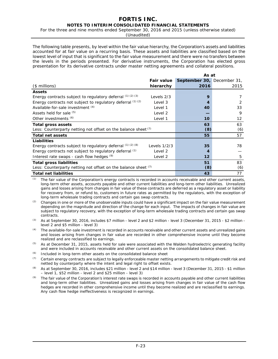For the three and nine months ended September 30, 2016 and 2015 (unless otherwise stated)

(Unaudited)

The following table presents, by level within the fair value hierarchy, the Corporation's assets and liabilities accounted for at fair value on a recurring basis. These assets and liabilities are classified based on the lowest level of input that is significant to the fair value measurement and there were no transfers between the levels in the periods presented. For derivative instruments, the Corporation has elected gross presentation for its derivative contracts under master netting agreements and collateral positions.

|                                                                | As at          |                            |                   |
|----------------------------------------------------------------|----------------|----------------------------|-------------------|
|                                                                | Fair value     | September 30, December 31, |                   |
| $($$ millions)                                                 | hierarchy      | 2016                       | 2015              |
| <b>Assets</b>                                                  |                |                            |                   |
| Energy contracts subject to regulatory deferral (1) (2) (3)    | Levels 2/3     | 9                          |                   |
| Energy contracts not subject to regulatory deferral (1) (2)    | Level 3        | 4                          |                   |
| Available-for-sale investment (4)                              | Level 1        | 40                         | 33                |
| Assets held for sale $(5)$                                     | Level 2        |                            | 9                 |
| Other investments (6)                                          | Level 1        | 10                         | $12 \overline{ }$ |
| Total gross assets                                             |                | 63                         | 63                |
| Less: Counterparty netting not offset on the balance sheet (7) |                | (8)                        | (6)               |
| <b>Total net assets</b>                                        |                | 55                         | 57                |
| Liabilities                                                    |                |                            |                   |
| Energy contracts subject to regulatory deferral (1) (2) (8)    | Levels $1/2/3$ | 35                         | 78                |
| Energy contracts not subject to regulatory deferral (1)        | Level 2        | 4                          |                   |
| Interest rate swaps - cash flow hedges (9)                     | Level 2        | 12                         | 5                 |
| <b>Total gross liabilities</b>                                 |                | 51                         | 83                |
| Less: Counterparty netting not offset on the balance sheet (7) |                | (8)                        | (6)               |
| <b>Total net liabilities</b>                                   |                | 43                         | 77                |

*(1)* The fair value of the Corporation's energy contracts is recorded in accounts receivable and other current assets, long-term other assets, accounts payable and other current liabilities and long-term other liabilities. Unrealized gains and losses arising from changes in fair value of these contracts are deferred as a regulatory asset or liability for recovery from, or refund to, customers in future rates as permitted by the regulators, with the exception of long-term wholesale trading contracts and certain gas swap contracts.

*(2)* Changes in one or more of the unobservable inputs could have a significant impact on the fair value measurement depending on the magnitude and direction of the change for each input. The impacts of changes in fair value are subject to regulatory recovery, with the exception of long-term wholesale trading contracts and certain gas swap contracts.

*(3)* As at September 30, 2016, includes \$7 million - level 2 and \$2 million - level 3 (December 31, 2015 - \$2 million level 2 and \$5 million - level 3)

*(4)* The available-for-sale investment is recorded in accounts receivable and other current assets and unrealized gains and losses arising from changes in fair value are recorded in other comprehensive income until they become realized and are reclassified to earnings.

*(5)* As at December 31, 2015, assets held for sale were associated with the Walden hydroelectric generating facility and were included in accounts receivable and other current assets on the consolidated balance sheet.

*(6)* Included in long-term other assets on the consolidated balance sheet

*(7)* Certain energy contracts are subject to legally enforceable master netting arrangements to mitigate credit risk and netted by counterparty where the intent and legal right to offset exists.

*(8)* As at September 30, 2016, includes \$21 million - level 2 and \$14 million - level 3 (December 31, 2015 - \$1 million – level 1, \$52 million - level 2 and \$25 million - level 3)

*(9)* The fair value of the Corporation's interest rate swaps is recorded in accounts payable and other current liabilities and long-term other liabilities. Unrealized gains and losses arising from changes in fair value of the cash flow hedges are recorded in other comprehensive income until they become realized and are reclassified to earnings. Any cash flow hedge ineffectiveness is recognized in earnings.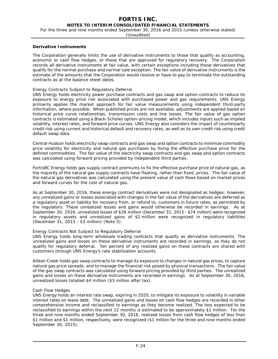# **FORTIS INC.**

**NOTES TO INTERIM CONSOLIDATED FINANCIAL STATEMENTS**

For the three and nine months ended September 30, 2016 and 2015 (unless otherwise stated)

(Unaudited)

## **Derivative Instruments**

The Corporation generally limits the use of derivative instruments to those that qualify as accounting, economic or cash flow hedges, or those that are approved for regulatory recovery. The Corporation records all derivative instruments at fair value, with certain exceptions including those derivatives that qualify for the normal purchase and normal sale exception. The fair value of derivative instruments is the estimate of the amounts that the Corporation would receive or have to pay to terminate the outstanding contracts as at the balance sheet dates.

## *Energy Contracts Subject to Regulatory Deferral*

UNS Energy holds electricity power purchase contracts and gas swap and option contracts to reduce its exposure to energy price risk associated with purchased power and gas requirements. UNS Energy primarily applies the market approach for fair value measurements using independent third-party information, where possible. When published prices are not available, adjustments are applied based on historical price curve relationships, transmission costs and line losses. The fair value of gas option contracts is estimated using a Black-Scholes option-pricing model, which includes inputs such as implied volatility, interest rates, and forward price curves. UNS Energy also considers the impact of counterparty credit risk using current and historical default and recovery rates, as well as its own credit risk using credit default swap data.

Central Hudson holds electricity swap contracts and gas swap and option contracts to minimize commodity price volatility for electricity and natural gas purchases by fixing the effective purchase price for the defined commodities. The fair value of the electricity swap contracts and gas swap and option contracts was calculated using forward pricing provided by independent third parties.

FortisBC Energy holds gas supply contract premiums to fix the effective purchase price of natural gas, as the majority of the natural gas supply contracts have floating, rather than fixed, prices. The fair value of the natural gas derivatives was calculated using the present value of cash flows based on market prices and forward curves for the cost of natural gas.

As at September 30, 2016, these energy contract derivatives were not designated as hedges; however, any unrealized gains or losses associated with changes in the fair value of the derivatives are deferred as a regulatory asset or liability for recovery from, or refund to, customers in future rates, as permitted by the regulators. These unrealized losses and gains would otherwise be recorded in earnings. As at September 30, 2016, unrealized losses of \$28 million (December 31, 2015 - \$74 million) were recognized in regulatory assets and unrealized gains of \$2 million were recognized in regulatory liabilities (December 31, 2015 - \$3 million) (Note 5).

## *Energy Contracts Not Subject to Regulatory Deferral*

UNS Energy holds long-term wholesale trading contracts that qualify as derivative instruments. The unrealized gains and losses on these derivative instruments are recorded in earnings, as they do not qualify for regulatory deferral. Ten percent of any realized gains on these contracts are shared with customers through UNS Energy's rate stabilization accounts.

Aitken Creek holds gas swap contracts to manage its exposure to changes in natural gas prices, to capture natural gas price spreads, and to manage the financial risk posed by physical transactions. The fair value of the gas swap contracts was calculated using forward pricing provided by third parties. The unrealized gains and losses on these derivative instruments are recorded in earnings. As at September 30, 2016, unrealized losses totalled \$4 million (\$3 million after tax).

## *Cash Flow Hedges*

UNS Energy holds an interest rate swap, expiring in 2020, to mitigate its exposure to volatility in variable interest rates on lease debt. The unrealized gains and losses on cash flow hedges are recorded in other comprehensive income and reclassified to earnings as they become realized. The loss expected to be reclassified to earnings within the next 12 months is estimated to be approximately \$1 million. For the three and nine months ended September 30, 2016, realized losses from cash flow hedges of less than \$1 million and \$1 million, respectively, were recognized (\$1 million for the three and nine months ended September 30, 2015).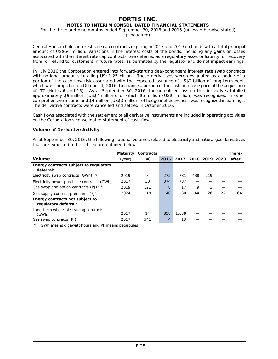For the three and nine months ended September 30, 2016 and 2015 (unless otherwise stated)

(Unaudited)

Central Hudson holds interest rate cap contracts expiring in 2017 and 2019 on bonds with a total principal amount of US\$64 million. Variations in the interest costs of the bonds, including any gains or losses associated with the interest rate cap contracts, are deferred as a regulatory asset or liability for recovery from, or refund to, customers in future rates, as permitted by the regulator and do not impact earnings.

In July 2016 the Corporation entered into forward-starting deal-contingent interest rate swap contracts with notional amounts totalling US\$1.25 billion. These derivatives were designated as a hedge of a portion of the cash flow risk associated with the expected issuance of US\$2 billion of long-term debt, which was completed on October 4, 2016, to finance a portion of the cash purchase price of the acquisition of ITC (Notes 6 and 16). As at September 30, 2016, the unrealized loss on the derivatives totalled approximately \$9 million (US\$7 million), of which \$5 million (US\$4 million) was recognized in other comprehensive income and \$4 million (US\$3 million) of hedge ineffectiveness was recognized in earnings. The derivative contracts were cancelled and settled in October 2016.

Cash flows associated with the settlement of all derivative instruments are included in operating activities on the Corporation's consolidated statement of cash flows.

## **Volume of Derivative Activity**

As at September 30, 2016, the following notional volumes related to electricity and natural gas derivatives that are expected to be settled are outlined below.

|                                                         | <b>Maturity</b> | Contracts |      |       |     |                |    | There- |
|---------------------------------------------------------|-----------------|-----------|------|-------|-----|----------------|----|--------|
| <b>Volume</b>                                           | (year)          | (#)       | 2016 | 2017  |     | 2018 2019 2020 |    | after  |
| Energy contracts subject to regulatory<br>deferral:     |                 |           |      |       |     |                |    |        |
| Electricity swap contracts $(GWh)^{(1)}$                | 2019            | 8         | 275  | 781   | 438 | 219            |    |        |
| Electricity power purchase contracts (GWh)              | 2017            | 30        | 374  | 737   |     |                |    |        |
| Gas swap and option contracts $(PJ)$ $(1)$              | 2019            | 121       | 8    | 17    | 9   | 3              |    |        |
| Gas supply contract premiums (PJ)                       | 2024            | 118       | 40   | 80    | 44  | 26             | 22 | 64     |
| Energy contracts not subject to<br>regulatory deferral: |                 |           |      |       |     |                |    |        |
| Long-term wholesale trading contracts<br>(GWh)          | 2017            | 14        | 858  | 1,688 |     |                |    |        |
| Gas swap contracts (PJ)                                 | 2017            | 541       | 4    | 13    |     |                |    |        |

*(1)* GWh means gigawatt hours and PJ means petajoules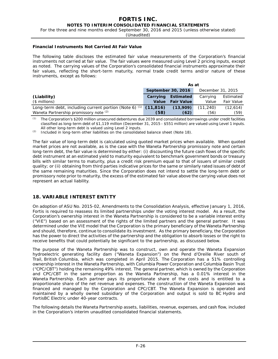For the three and nine months ended September 30, 2016 and 2015 (unless otherwise stated)

(Unaudited)

#### **Financial Instruments Not Carried At Fair Value**

The following table discloses the estimated fair value measurements of the Corporation's financial instruments not carried at fair value. The fair values were measured using Level 2 pricing inputs, except as noted. The carrying values of the Corporation's consolidated financial instruments approximate their fair values, reflecting the short-term maturity, normal trade credit terms and/or nature of these instruments, except as follows:

|                                                                   | As at                                   |                   |          |                   |
|-------------------------------------------------------------------|-----------------------------------------|-------------------|----------|-------------------|
|                                                                   | September 30, 2016<br>December 31, 2015 |                   |          |                   |
| (Liability)                                                       | Carrying                                | <b>Estimated</b>  | Carrying | Estimated         |
| $($$ millions)                                                    | <b>Value</b>                            | <b>Fair Value</b> | Value    | <b>Fair Value</b> |
| Long-term debt, including current portion (Note 6) $(1)$ (11,816) |                                         | (13,909)          | (11.240) | (12, 614)         |
| Waneta Partnership promissory note (2)                            | (58)                                    | (62)              | (56)     | (59)              |

*(1)* The Corporation's \$200 million unsecured debentures due 2039 and consolidated borrowings under credit facilities classified as long-term debt of \$1,119 million (December 31, 2015 - \$551 million) are valued using Level 1 inputs. All other long-term debt is valued using Level 2 inputs.

*(2)* Included in long-term other liabilities on the consolidated balance sheet (Note 18).

The fair value of long-term debt is calculated using quoted market prices when available. When quoted market prices are not available, as is the case with the Waneta Partnership promissory note and certain long-term debt, the fair value is determined by either: (i) discounting the future cash flows of the specific debt instrument at an estimated yield to maturity equivalent to benchmark government bonds or treasury bills with similar terms to maturity, plus a credit risk premium equal to that of issuers of similar credit quality; or (ii) obtaining from third parties indicative prices for the same or similarly rated issues of debt of the same remaining maturities. Since the Corporation does not intend to settle the long-term debt or promissory note prior to maturity, the excess of the estimated fair value above the carrying value does not represent an actual liability.

# **18. VARIABLE INTEREST ENTITY**

On adoption of ASU No. 2015-02, *Amendments to the Consolidation Analysis*, effective January 1, 2016, Fortis is required to reassess its limited partnerships under the voting interest model. As a result, the Corporation's ownership interest in the Waneta Partnership is considered to be a variable interest entity ("VIE") based on an assessment of the rights of the limited partners and the general partner. It was determined under the VIE model that the Corporation is the primary beneficiary of the Waneta Partnership and should, therefore, continue to consolidate its investment. As the primary beneficiary, the Corporation has the power to direct the activities of the partnership and the obligation to absorb losses or the right to receive benefits that could potentially be significant to the partnership, as discussed below.

The purpose of the Waneta Partnership was to construct, own and operate the Waneta Expansion hydroelectric generating facility dam ("Waneta Expansion") on the Pend d'Oreille River south of Trail, British Columbia, which was completed in April 2015. The Corporation has a 51% controlling ownership interest in the Waneta Partnership, with Columbia Power Corporation and Columbia Basin Trust ("CPC/CBT") holding the remaining 49% interest. The general partner, which is owned by the Corporation and CPC/CBT in the same proportion as the Waneta Partnership, has a 0.01% interest in the Waneta Partnership. Each partner pays its proportionate share of the costs and is entitled to a proportionate share of the net revenue and expenses. The construction of the Waneta Expansion was financed and managed by the Corporation and CPC/CBT. The Waneta Expansion is operated and maintained by a wholly owned subsidiary of the Corporation and output is sold to BC Hydro and FortisBC Electric under 40-year contracts.

The following details the Waneta Partnership assets, liabilities, revenue, expenses, and cash flow, included in the Corporation's interim unaudited consolidated financial statements.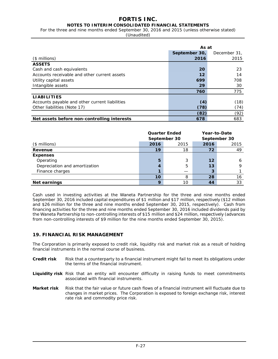# **FORTIS INC.**

# **NOTES TO INTERIM CONSOLIDATED FINANCIAL STATEMENTS**

For the three and nine months ended September 30, 2016 and 2015 (unless otherwise stated)

(Unaudited)

|                                                | As at         |              |  |
|------------------------------------------------|---------------|--------------|--|
|                                                | September 30, | December 31, |  |
| $($$ millions)                                 | 2016          | 2015         |  |
| <b>ASSETS</b>                                  |               |              |  |
| Cash and cash equivalents                      | 20            | 23           |  |
| Accounts receivable and other current assets   | 12            | 14           |  |
| Utility capital assets                         | 699           | 708          |  |
| Intangible assets                              | 29            | 30           |  |
|                                                | 760           | 775          |  |
| <b>LIABILITIES</b>                             |               |              |  |
| Accounts payable and other current liabilities | (4)           | (18)         |  |
| Other liabilities (Note 17)                    | (78)          | (74)         |  |
|                                                | (82)          | (92)         |  |
| Net assets before non-controlling interests    | 678           | 683          |  |

|                               | <b>Quarter Ended</b><br>September 30 |      | Year-to-Date<br>September 30 |      |  |
|-------------------------------|--------------------------------------|------|------------------------------|------|--|
| $($$ millions)                | 2016                                 | 2015 | 2016                         | 2015 |  |
| Revenue                       | 19                                   | 18   | 72                           | 49   |  |
| <b>Expenses</b>               |                                      |      |                              |      |  |
| Operating                     | 5                                    | 3    | 12                           | 6    |  |
| Depreciation and amortization |                                      | 5    | 13                           | a    |  |
| Finance charges               |                                      |      |                              |      |  |
|                               | 10                                   | 8    | 28                           | 16   |  |
| Net earnings                  | $\mathbf Q$                          | 10   | 44                           | 33   |  |

Cash used in investing activities at the Waneta Partnership for the three and nine months ended September 30, 2016 included capital expenditures of \$1 million and \$17 million, respectively (\$12 million and \$26 million for the three and nine months ended September 30, 2015, respectively). Cash from financing activities for the three and nine months ended September 30, 2016 included dividends paid by the Waneta Partnership to non-controlling interests of \$15 million and \$24 million, respectively (advances from non-controlling interests of \$9 million for the nine months ended September 30, 2015).

# **19. FINANCIAL RISK MANAGEMENT**

The Corporation is primarily exposed to credit risk, liquidity risk and market risk as a result of holding financial instruments in the normal course of business.

- **Credit risk** Risk that a counterparty to a financial instrument might fail to meet its obligations under the terms of the financial instrument.
- **Liquidity risk** Risk that an entity will encounter difficulty in raising funds to meet commitments associated with financial instruments.
- **Market risk** Risk that the fair value or future cash flows of a financial instrument will fluctuate due to changes in market prices. The Corporation is exposed to foreign exchange risk, interest rate risk and commodity price risk.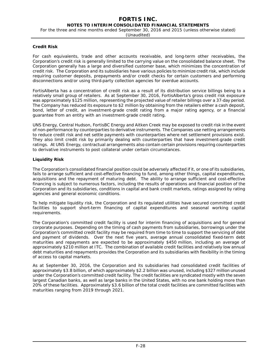For the three and nine months ended September 30, 2016 and 2015 (unless otherwise stated)

## **Credit Risk**

For cash equivalents, trade and other accounts receivable, and long-term other receivables, the Corporation's credit risk is generally limited to the carrying value on the consolidated balance sheet. The Corporation generally has a large and diversified customer base, which minimizes the concentration of credit risk. The Corporation and its subsidiaries have various policies to minimize credit risk, which include requiring customer deposits, prepayments and/or credit checks for certain customers and performing disconnections and/or using third-party collection agencies for overdue accounts.

FortisAlberta has a concentration of credit risk as a result of its distribution service billings being to a relatively small group of retailers. As at September 30, 2016, FortisAlberta's gross credit risk exposure was approximately \$125 million, representing the projected value of retailer billings over a 37-day period. The Company has reduced its exposure to \$2 million by obtaining from the retailers either a cash deposit, bond, letter of credit, an investment-grade credit rating from a major rating agency, or a financial guarantee from an entity with an investment-grade credit rating.

UNS Energy, Central Hudson, FortisBC Energy and Aitken Creek may be exposed to credit risk in the event of non-performance by counterparties to derivative instruments. The Companies use netting arrangements to reduce credit risk and net settle payments with counterparties where net settlement provisions exist. They also limit credit risk by primarily dealing with counterparties that have investment-grade credit ratings. At UNS Energy, contractual arrangements also contain certain provisions requiring counterparties to derivative instruments to post collateral under certain circumstances.

# **Liquidity Risk**

The Corporation's consolidated financial position could be adversely affected if it, or one of its subsidiaries, fails to arrange sufficient and cost-effective financing to fund, among other things, capital expenditures, acquisitions and the repayment of maturing debt. The ability to arrange sufficient and cost-effective financing is subject to numerous factors, including the results of operations and financial position of the Corporation and its subsidiaries, conditions in capital and bank credit markets, ratings assigned by rating agencies and general economic conditions.

To help mitigate liquidity risk, the Corporation and its regulated utilities have secured committed credit facilities to support short-term financing of capital expenditures and seasonal working capital requirements.

The Corporation's committed credit facility is used for interim financing of acquisitions and for general corporate purposes. Depending on the timing of cash payments from subsidiaries, borrowings under the Corporation's committed credit facility may be required from time to time to support the servicing of debt and payment of dividends. Over the next five years, average annual consolidated fixed-term debt maturities and repayments are expected to be approximately \$450 million, including an average of approximately \$210 million at ITC. The combination of available credit facilities and relatively low annual debt maturities and repayments provides the Corporation and its subsidiaries with flexibility in the timing of access to capital markets.

As at September 30, 2016, the Corporation and its subsidiaries had consolidated credit facilities of approximately \$3.8 billion, of which approximately \$2.2 billion was unused, including \$327 million unused under the Corporation's committed credit facility. The credit facilities are syndicated mostly with the seven largest Canadian banks, as well as large banks in the United States, with no one bank holding more than 20% of these facilities. Approximately \$3.6 billion of the total credit facilities are committed facilities with maturities ranging from 2019 through 2021.

<sup>(</sup>Unaudited)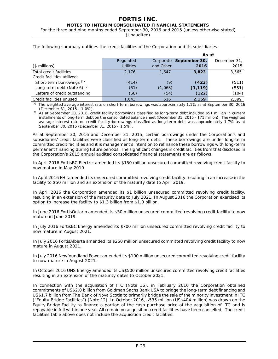For the three and nine months ended September 30, 2016 and 2015 (unless otherwise stated)

(Unaudited)

|                               |                  |           | As at                   |              |  |
|-------------------------------|------------------|-----------|-------------------------|--------------|--|
|                               | Regulated        |           | Corporate September 30, | December 31, |  |
| $($$ millions)                | <b>Utilities</b> | and Other | 2016                    | 2015         |  |
| Total credit facilities       | 2,176            | 1.647     | 3,823                   | 3,565        |  |
| Credit facilities utilized:   |                  |           |                         |              |  |
| Short-term borrowings $(1)$   | (414)            | (9)       | (423)                   | (511)        |  |
| Long-term debt (Note 6) $(2)$ | (51)             | (1,068)   | (1, 119)                | (551)        |  |
| Letters of credit outstanding | (68)             | (54)      | (122)                   | (104)        |  |
| Credit facilities unused      | 1,643            | 516       | 2,159                   | 2.399        |  |

The following summary outlines the credit facilities of the Corporation and its subsidiaries.

*(1)* The weighted average interest rate on short-term borrowings was approximately 1.1% as at September 30, 2016 (December 31, 2015 - 1.0%).

*(2)* As at September 30, 2016, credit facility borrowings classified as long-term debt included \$51 million in current installments of long-term debt on the consolidated balance sheet (December 31, 2015 - \$71 million). The weighted average interest rate on credit facility borrowings classified as long-term debt was approximately 1.7% as at September 30, 2016 (December 31, 2015 - 1.5%).

As at September 30, 2016 and December 31, 2015, certain borrowings under the Corporation's and subsidiaries' credit facilities were classified as long-term debt. These borrowings are under long-term committed credit facilities and it is management's intention to refinance these borrowings with long-term permanent financing during future periods. The significant changes in credit facilities from that disclosed in the Corporation's 2015 annual audited consolidated financial statements are as follows.

In April 2016 FortisBC Electric amended its \$150 million unsecured committed revolving credit facility to now mature in May 2019.

In April 2016 FHI amended its unsecured committed revolving credit facility resulting in an increase in the facility to \$50 million and an extension of the maturity date to April 2019.

In April 2016 the Corporation amended its \$1 billion unsecured committed revolving credit facility, resulting in an extension of the maturity date to July 2021. In August 2016 the Corporation exercised its option to increase the facility to \$1.3 billion from \$1.0 billion.

In June 2016 FortisOntario amended its \$30 million unsecured committed revolving credit facility to now mature in June 2019.

In July 2016 FortisBC Energy amended its \$700 million unsecured committed revolving credit facility to now mature in August 2021.

In July 2016 FortisAlberta amended its \$250 million unsecured committed revolving credit facility to now mature in August 2021.

In July 2016 Newfoundland Power amended its \$100 million unsecured committed revolving credit facility to now mature in August 2021.

In October 2016 UNS Energy amended its US\$500 million unsecured committed revolving credit facilities resulting in an extension of the maturity dates to October 2021.

In connection with the acquisition of ITC (Note 16), in February 2016 the Corporation obtained commitments of US\$2.0 billion from Goldman Sachs Bank USA to bridge the long-term debt financing and US\$1.7 billion from The Bank of Nova Scotia to primarily bridge the sale of the minority investment in ITC ("Equity Bridge Facilities") (Note 12). In October 2016, \$535 million (US\$404 million) was drawn on the Equity Bridge Facility to finance a portion of the cash purchase price of the acquisition of ITC and is repayable in full within one year. All remaining acquisition credit facilities have been cancelled. The credit facilities table above does not include the acquisition credit facilities.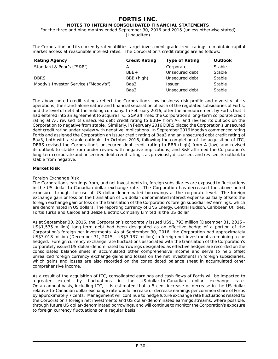For the three and nine months ended September 30, 2016 and 2015 (unless otherwise stated)

(Unaudited)

The Corporation and its currently rated utilities target investment-grade credit ratings to maintain capital market access at reasonable interest rates. The Corporation's credit ratings are as follows:

| <b>Rating Agency</b>                 | <b>Credit Rating</b> | <b>Type of Rating</b> | <b>Outlook</b> |
|--------------------------------------|----------------------|-----------------------|----------------|
| Standard & Poor's ("S&P")            | $A -$                | Corporate             | <b>Stable</b>  |
|                                      | $BBB+$               | Unsecured debt        | Stable         |
| <b>DBRS</b>                          | BBB (high)           | Unsecured debt        | Stable         |
| Moody's Investor Service ("Moody's") | Baa3                 | <b>Issuer</b>         | Stable         |
|                                      | Baa3                 | Unsecured debt        | Stable         |

The above-noted credit ratings reflect the Corporation's low business-risk profile and diversity of its operations, the stand-alone nature and financial separation of each of the regulated subsidiaries of Fortis, and the level of debt at the holding company. In February 2016, after the announcement by Fortis that it had entered into an agreement to acquire ITC, S&P affirmed the Corporation's long-term corporate credit rating at A-, revised its unsecured debt credit rating to BBB+ from A-, and revised its outlook on the Corporation to negative from stable. Similarly, in February 2016 DBRS placed the Corporation's unsecured debt credit rating under review with negative implications. In September 2016 Moody's commenced rating Fortis and assigned the Corporation an issuer credit rating of Baa3 and an unsecured debt credit rating of Baa3, both with a stable outlook. In October 2016, following the completion of the acquisition of ITC, DBRS revised the Corporation's unsecured debt credit rating to BBB (high) from A (low) and revised its outlook to stable from under review with negative implications, and S&P affirmed the Corporation's long-term corporate and unsecured debt credit ratings, as previously discussed, and revised its outlook to stable from negative.

# **Market Risk**

# *Foreign Exchange Risk*

The Corporation's earnings from, and net investments in, foreign subsidiaries are exposed to fluctuations in the US dollar-to-Canadian dollar exchange rate. The Corporation has decreased the above-noted exposure through the use of US dollar-denominated borrowings at the corporate level. The foreign exchange gain or loss on the translation of US dollar-denominated interest expense partially offsets the foreign exchange gain or loss on the translation of the Corporation's foreign subsidiaries' earnings, which are denominated in US dollars. The reporting currency of UNS Energy, Central Hudson, Caribbean Utilities, Fortis Turks and Caicos and Belize Electric Company Limited is the US dollar.

As at September 30, 2016, the Corporation's corporately issued US\$1,793 million (December 31, 2015 - US\$1,535 million) long-term debt had been designated as an effective hedge of a portion of the Corporation's foreign net investments. As at September 30, 2016, the Corporation had approximately US\$3,018 million (December 31, 2015 - US\$3,137 million) in foreign net investments remaining to be hedged. Foreign currency exchange rate fluctuations associated with the translation of the Corporation's corporately issued US dollar-denominated borrowings designated as effective hedges are recorded on the consolidated balance sheet in accumulated other comprehensive income and serve to help offset unrealized foreign currency exchange gains and losses on the net investments in foreign subsidiaries, which gains and losses are also recorded on the consolidated balance sheet in accumulated other comprehensive income.

As a result of the acquisition of ITC, consolidated earnings and cash flows of Fortis will be impacted to a greater extent by fluctuations in the US dollar-to-Canadian dollar exchange rate. On an annual basis, including ITC, it is estimated that a 5 cent increase or decrease in the US dollar relative-to-Canadian dollar exchange rate would increase or decrease earnings per common share of Fortis by approximately 7 cents. Management will continue to hedge future exchange rate fluctuations related to the Corporation's foreign net investments and US dollar-denominated earnings streams, where possible, through future US dollar-denominated borrowings, and will continue to monitor the Corporation's exposure to foreign currency fluctuations on a regular basis.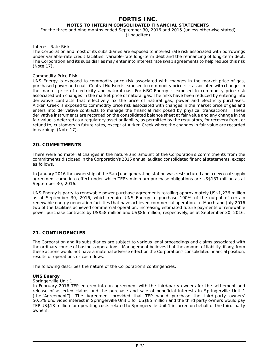For the three and nine months ended September 30, 2016 and 2015 (unless otherwise stated)

(Unaudited)

## *Interest Rate Risk*

The Corporation and most of its subsidiaries are exposed to interest rate risk associated with borrowings under variable-rate credit facilities, variable-rate long-term debt and the refinancing of long-term debt. The Corporation and its subsidiaries may enter into interest rate swap agreements to help reduce this risk (Note 17).

## *Commodity Price Risk*

UNS Energy is exposed to commodity price risk associated with changes in the market price of gas, purchased power and coal. Central Hudson is exposed to commodity price risk associated with changes in the market price of electricity and natural gas. FortisBC Energy is exposed to commodity price risk associated with changes in the market price of natural gas. The risks have been reduced by entering into derivative contracts that effectively fix the price of natural gas, power and electricity purchases. Aitken Creek is exposed to commodity price risk associated with changes in the market price of gas and enters into derivative contracts to manage the financial risk posed by physical transactions. These derivative instruments are recorded on the consolidated balance sheet at fair value and any change in the fair value is deferred as a regulatory asset or liability, as permitted by the regulators, for recovery from, or refund to, customers in future rates, except at Aitken Creek where the changes in fair value are recorded in earnings (Note 17).

# **20. COMMITMENTS**

There were no material changes in the nature and amount of the Corporation's commitments from the commitments disclosed in the Corporation's 2015 annual audited consolidated financial statements, except as follows.

In January 2016 the ownership of the San Juan generating station was restructured and a new coal supply agreement came into effect under which TEP's minimum purchase obligations are US\$137 million as at September 30, 2016.

UNS Energy is party to renewable power purchase agreements totalling approximately US\$1,236 million as at September 30, 2016, which require UNS Energy to purchase 100% of the output of certain renewable energy generation facilities that have achieved commercial operation. In March and July 2016 two of the facilities achieved commercial operation, increasing estimated future payments of renewable power purchase contracts by US\$58 million and US\$86 million, respectively, as at September 30, 2016.

# **21. CONTINGENCIES**

The Corporation and its subsidiaries are subject to various legal proceedings and claims associated with the ordinary course of business operations. Management believes that the amount of liability, if any, from these actions would not have a material adverse effect on the Corporation's consolidated financial position, results of operations or cash flows.

The following describes the nature of the Corporation's contingencies.

## **UNS Energy**

## *Springerville Unit 1*

In February 2016 TEP entered into an agreement with the third-party owners for the settlement and release of asserted claims and the purchase and sale of beneficial interests in Springerville Unit 1 (the "Agreement"). The Agreement provided that TEP would purchase the third-party owners' 50.5% undivided interest in Springerville Unit 1 for US\$85 million and the third-party owners would pay TEP US\$13 million for operating costs related to Springerville Unit 1 incurred on behalf of the third-party owners.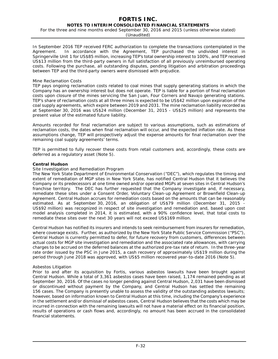For the three and nine months ended September 30, 2016 and 2015 (unless otherwise stated)

(Unaudited)

In September 2016 TEP received FERC authorization to complete the transactions contemplated in the Agreement. In accordance with the Agreement, TEP purchased the undivided interest in Springerville Unit 1 for US\$85 million, increasing TEP's total ownership interest to 100%, and TEP received US\$13 million from the third-party owners in full satisfaction of all previously unreimbursed operating costs. Following the purchase, all outstanding disputes, pending litigation and arbitration proceedings between TEP and the third-party owners were dismissed with prejudice.

## *Mine Reclamation Costs*

TEP pays ongoing reclamation costs related to coal mines that supply generating stations in which the Company has an ownership interest but does not operate. TEP is liable for a portion of final reclamation costs upon closure of the mines servicing the San Juan, Four Corners and Navajo generating stations. TEP's share of reclamation costs at all three mines is expected to be US\$42 million upon expiration of the coal supply agreements, which expire between 2019 and 2031. The mine reclamation liability recorded as at September 30, 2016 was US\$24 million (December 31, 2015 - US\$25 million) and represents the present value of the estimated future liability.

Amounts recorded for final reclamation are subject to various assumptions, such as estimations of reclamation costs, the dates when final reclamation will occur, and the expected inflation rate. As these assumptions change, TEP will prospectively adjust the expense amounts for final reclamation over the remaining coal supply agreements' terms.

TEP is permitted to fully recover these costs from retail customers and, accordingly, these costs are deferred as a regulatory asset (Note 5)*.*

## **Central Hudson**

## *Site Investigation and Remediation Program*

The New York State Department of Environmental Conservation ("DEC"), which regulates the timing and extent of remediation of MGP sites in New York State, has notified Central Hudson that it believes the Company or its predecessors at one time owned and/or operated MGPs at seven sites in Central Hudson's franchise territory. The DEC has further requested that the Company investigate and, if necessary, remediate these sites under a Consent Order, Voluntary Clean-up Agreement or Brownfield Clean-up Agreement. Central Hudson accrues for remediation costs based on the amounts that can be reasonably estimated. As at September 30, 2016, an obligation of US\$79 million (December 31, 2015 - US\$92 million) was recognized in respect of site investigation and remediation and, based upon cost model analysis completed in 2014, it is estimated, with a 90% confidence level, that total costs to remediate these sites over the next 30 years will not exceed US\$169 million.

Central Hudson has notified its insurers and intends to seek reimbursement from insurers for remediation, where coverage exists. Further, as authorized by the New York State Public Service Commission ("PSC"), Central Hudson is currently permitted to defer, for future recovery from customers, differences between actual costs for MGP site investigation and remediation and the associated rate allowances, with carrying charges to be accrued on the deferred balances at the authorized pre-tax rate of return. In the three-year rate order issued by the PSC in June 2015, a cash recovery of approximately US\$19 million during the period through June 2018 was approved, with US\$5 million recovered year-to-date 2016 (Note 5)*.*

## *Asbestos Litigation*

Prior to and after its acquisition by Fortis, various asbestos lawsuits have been brought against Central Hudson. While a total of 3,361 asbestos cases have been raised, 1,174 remained pending as at September 30, 2016. Of the cases no longer pending against Central Hudson, 2,031 have been dismissed or discontinued without payment by the Company, and Central Hudson has settled the remaining 156 cases. The Company is presently unable to assess the validity of the outstanding asbestos lawsuits; however, based on information known to Central Hudson at this time, including the Company's experience in the settlement and/or dismissal of asbestos cases, Central Hudson believes that the costs which may be incurred in connection with the remaining lawsuits will not have a material effect on its financial position, results of operations or cash flows and, accordingly, no amount has been accrued in the consolidated financial statements.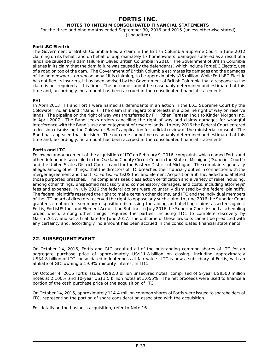For the three and nine months ended September 30, 2016 and 2015 (unless otherwise stated)

(Unaudited)

## **FortisBC Electric**

The Government of British Columbia filed a claim in the British Columbia Supreme Court in June 2012 claiming on its behalf, and on behalf of approximately 17 homeowners, damages suffered as a result of a landslide caused by a dam failure in Oliver, British Columbia in 2010. The Government of British Columbia alleges in its claim that the dam failure was caused by the defendants', which include FortisBC Electric, use of a road on top of the dam. The Government of British Columbia estimates its damages and the damages of the homeowners, on whose behalf it is claiming, to be approximately \$15 million. While FortisBC Electric has notified its insurers, it has been advised by the Government of British Columbia that a response to the claim is not required at this time. The outcome cannot be reasonably determined and estimated at this time and, accordingly, no amount has been accrued in the consolidated financial statements.

## **FHI**

In April 2013 FHI and Fortis were named as defendants in an action in the B.C. Supreme Court by the Coldwater Indian Band ("Band"). The claim is in regard to interests in a pipeline right of way on reserve lands. The pipeline on the right of way was transferred by FHI (then Terasen Inc.) to Kinder Morgan Inc. in April 2007. The Band seeks orders cancelling the right of way and claims damages for wrongful interference with the Band's use and enjoyment of reserve lands. In May 2016 the Federal Court entered a decision dismissing the Coldwater Band's application for judicial review of the ministerial consent. The Band has appealed that decision. The outcome cannot be reasonably determined and estimated at this time and, accordingly, no amount has been accrued in the consolidated financial statements.

## **Fortis and ITC**

Following announcement of the acquisition of ITC on February 9, 2016, complaints which named Fortis and other defendants were filed in the Oakland County Circuit Court in the State of Michigan ("Superior Court") and the United States District Court in and for the Eastern District of Michigan. The complaints generally allege, among other things, that the directors of ITC breached their fiduciary duties in connection with the merger agreement and that ITC, Fortis, FortisUS Inc. and Element Acquisition Sub Inc. aided and abetted those purported breaches. The complaints seek class action certification and a variety of relief including, among other things, unspecified rescissory and compensatory damages, and costs, including attorneys' fees and expenses. In July 2016 the federal actions were voluntarily dismissed by the federal plaintiffs. The federal plaintiffs reserved the right to make certain other claims, and ITC and the individual members of the ITC board of directors reserved the right to oppose any such claim. In June 2016 the Superior Court granted a motion for summary disposition dismissing the aiding and abetting claims asserted against Fortis, FortisUS Inc. and Element Acquisition Sub Inc. In July 2016 the Superior Court issued a scheduling order, which, among other things, requires the parties, including ITC, to complete discovery by March 2017, and set a trial date for June 2017. The outcome of these lawsuits cannot be predicted with any certainty and, accordingly, no amount has been accrued in the consolidated financial statements.

# **22. SUBSEQUENT EVENT**

On October 14, 2016, Fortis and GIC acquired all of the outstanding common shares of ITC for an aggregate purchase price of approximately US\$11.8 billion on closing, including approximately US\$4.8 billion of ITC consolidated indebtedness at fair value. ITC is now a subsidiary of Fortis, with an affiliate of GIC owning a 19.9% minority interest in ITC.

On October 4, 2016 Fortis issued US\$2.0 billion unsecured notes, comprised of 5-year US\$500 million notes at 2.100% and 10-year US\$1.5 billion notes at 3.055%. The net proceeds were used to finance a portion of the cash purchase price of the acquisition of ITC.

On October 14, 2016, approximately 114.4 million common shares of Fortis were issued to shareholders of ITC, representing the portion of share consideration associated with the acquisition.

For details on the business acquisition, refer to Note 16.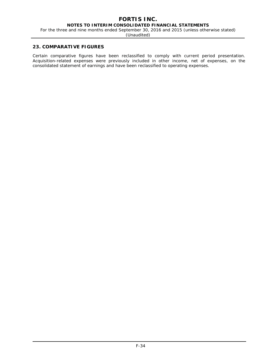#### **FORTIS INC. NOTES TO INTERIM CONSOLIDATED FINANCIAL STATEMENTS**

For the three and nine months ended September 30, 2016 and 2015 (unless otherwise stated)

(Unaudited)

#### **23. COMPARATIVE FIGURES**

Certain comparative figures have been reclassified to comply with current period presentation. Acquisition-related expenses were previously included in other income, net of expenses, on the consolidated statement of earnings and have been reclassified to operating expenses.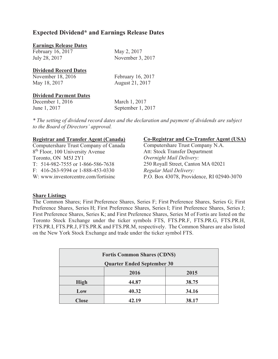## **Expected Dividend\* and Earnings Release Dates**

#### **Earnings Release Dates**

February 16, 2017 May 2, 2017 July 28, 2017 November 3, 2017

### **Dividend Record Dates**

| November 18, 2016 | February 16, 2017 |
|-------------------|-------------------|
| May 18, 2017      | August 21, 2017   |

## **Dividend Payment Dates**

December 1, 2016 March 1, 2017 June 1, 2017 September 1, 2017

*\* The setting of dividend record dates and the declaration and payment of dividends are subject to the Board of Directors' approval.* 

### **Registrar and Transfer Agent (Canada)**

Computershare Trust Company of Canada 8<sup>th</sup> Floor, 100 University Avenue Toronto, ON M5J 2Y1 T: 514-982-7555 or 1-866-586-7638 F: 416-263-9394 or 1-888-453-0330 W: [www.investorcentre.com/fortisinc](http://www.investorcentre.com/fortisinc) 

### **Co-Registrar and Co-Transfer Agent (USA)**

Computershare Trust Company N.A. Att: Stock Transfer Department *Overnight Mail Delivery:* 250 Royall Street, Canton MA 02021 *Regular Mail Delivery:* P.O. Box 43078, Providence, RI 02940-3070

## **Share Listings**

The Common Shares; First Preference Shares, Series F; First Preference Shares, Series G; First Preference Shares, Series H; First Preference Shares, Series I; First Preference Shares, Series J; First Preference Shares, Series K; and First Preference Shares, Series M of Fortis are listed on the Toronto Stock Exchange under the ticker symbols FTS, FTS.PR.F, FTS.PR.G, FTS.PR.H, FTS.PR.I, FTS.PR.J, FTS.PR.K and FTS.PR.M, respectively. The Common Shares are also listed on the New York Stock Exchange and trade under the ticker symbol FTS.

| <b>Fortis Common Shares (CDN\$)</b> |       |       |
|-------------------------------------|-------|-------|
| <b>Quarter Ended September 30</b>   |       |       |
|                                     | 2016  | 2015  |
| <b>High</b>                         | 44.87 | 38.75 |
| Low                                 | 40.32 | 34.16 |
| <b>Close</b>                        | 42.19 | 38.17 |